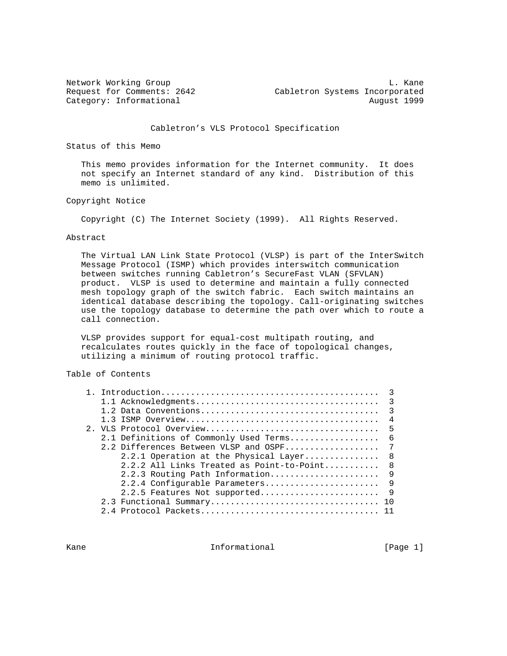Network Working Group and the contract of the contract of the contract of the contract of the contract of the contract of the contract of the contract of the contract of the contract of the contract of the contract of the Request for Comments: 2642 Cabletron Systems Incorporated Category: Informational and August 1999

Cabletron's VLS Protocol Specification

Status of this Memo

 This memo provides information for the Internet community. It does not specify an Internet standard of any kind. Distribution of this memo is unlimited.

Copyright Notice

Copyright (C) The Internet Society (1999). All Rights Reserved.

#### Abstract

 The Virtual LAN Link State Protocol (VLSP) is part of the InterSwitch Message Protocol (ISMP) which provides interswitch communication between switches running Cabletron's SecureFast VLAN (SFVLAN) product. VLSP is used to determine and maintain a fully connected mesh topology graph of the switch fabric. Each switch maintains an identical database describing the topology. Call-originating switches use the topology database to determine the path over which to route a call connection.

 VLSP provides support for equal-cost multipath routing, and recalculates routes quickly in the face of topological changes, utilizing a minimum of routing protocol traffic.

# Table of Contents

|  | $\overline{\mathbf{3}}$                          |                |
|--|--------------------------------------------------|----------------|
|  |                                                  | $\overline{4}$ |
|  | 2. VLS Protocol Overview<br>- 5                  |                |
|  | 2.1 Definitions of Commonly Used Terms<br>- 6    |                |
|  | 2.2 Differences Between VLSP and OSPF            | 7              |
|  | 2.2.1 Operation at the Physical Layer<br>- 8     |                |
|  | $2.2.2$ All Links Treated as Point-to-Point<br>8 |                |
|  | 2.2.3 Routing Path Information                   | 9              |
|  | 2.2.4 Configurable Parameters<br>- 9             |                |
|  | $\overline{9}$<br>2.2.5 Features Not supported   |                |
|  |                                                  |                |
|  |                                                  |                |
|  |                                                  |                |

Kane **Informational** Informational [Page 1]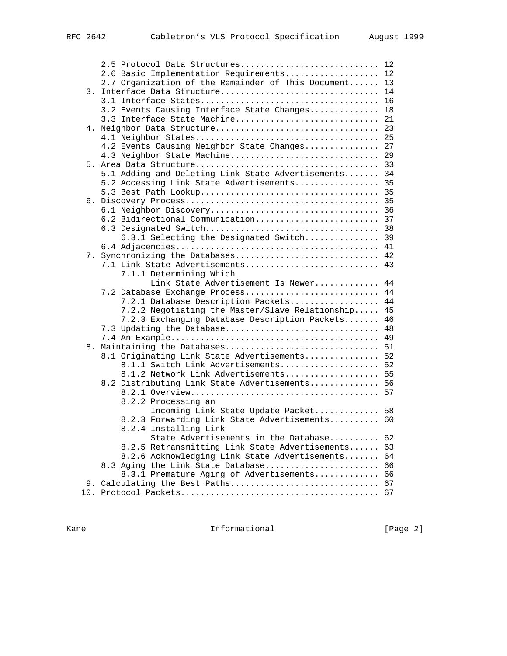|    | 2.5 Protocol Data Structures 12                                                                    |    |
|----|----------------------------------------------------------------------------------------------------|----|
|    | 2.6 Basic Implementation Requirements 12                                                           |    |
|    | 2.7 Organization of the Remainder of This Document 13                                              |    |
| 3. | Interface Data Structure 14                                                                        |    |
|    |                                                                                                    |    |
|    | 3.2 Events Causing Interface State Changes 18                                                      |    |
|    | 3.3 Interface State Machine 21                                                                     |    |
| 4. |                                                                                                    |    |
|    |                                                                                                    |    |
|    | 4.2 Events Causing Neighbor State Changes 27                                                       |    |
|    | 4.3 Neighbor State Machine 29                                                                      |    |
|    |                                                                                                    |    |
|    | 5.1 Adding and Deleting Link State Advertisements 34                                               |    |
|    | 5.2 Accessing Link State Advertisements 35                                                         |    |
|    |                                                                                                    |    |
|    |                                                                                                    |    |
|    |                                                                                                    |    |
|    | 6.2 Bidirectional Communication 37                                                                 |    |
|    |                                                                                                    |    |
|    | 6.3.1 Selecting the Designated Switch                                                              | 39 |
|    |                                                                                                    |    |
|    | 7. Synchronizing the Databases 42                                                                  |    |
|    | 7.1 Link State Advertisements 43                                                                   |    |
|    | 7.1.1 Determining Which                                                                            |    |
|    | Link State Advertisement Is Newer                                                                  | 44 |
|    | 7.2 Database Exchange Process                                                                      | 44 |
|    | 7.2.1 Database Description Packets                                                                 | 44 |
|    | 7.2.2 Negotiating the Master/Slave Relationship                                                    | 45 |
|    | 7.2.3 Exchanging Database Description Packets                                                      | 46 |
|    | 7.3 Updating the Database                                                                          | 48 |
|    |                                                                                                    | 49 |
| 8. | Maintaining the Databases                                                                          | 51 |
|    | 8.1 Originating Link State Advertisements                                                          | 52 |
|    | 8.1.1 Switch Link Advertisements 52                                                                |    |
|    | 8.1.2 Network Link Advertisements 55                                                               |    |
|    | 8.2 Distributing Link State Advertisements 56                                                      |    |
|    |                                                                                                    | 57 |
|    | 8.2.2 Processing an                                                                                |    |
|    | Incoming Link State Update Packet 58                                                               |    |
|    | 8.2.3 Forwarding Link State Advertisements 60                                                      |    |
|    | 8.2.4 Installing Link                                                                              |    |
|    | State Advertisements in the Database 62                                                            |    |
|    | 8.2.5 Retransmitting Link State Advertisements 63<br>8.2.6 Acknowledging Link State Advertisements | 64 |
|    |                                                                                                    |    |
|    | 8.3 Aging the Link State Database<br>8.3.1 Premature Aging of Advertisements 66                    | 66 |
|    | 9. Calculating the Best Paths 67                                                                   |    |
|    |                                                                                                    |    |
|    |                                                                                                    |    |

Kane **Informational Informational Example 1** [Page 2]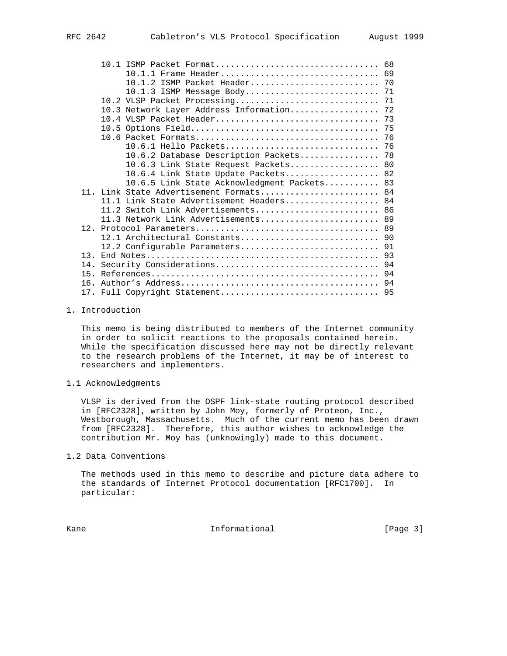|     | 10.1 ISMP Packet Format 68                  |  |  |
|-----|---------------------------------------------|--|--|
|     | 10.1.1 Frame Header 69                      |  |  |
|     | 10.1.2 ISMP Packet Header 70                |  |  |
|     |                                             |  |  |
|     |                                             |  |  |
|     | 10.3 Network Layer Address Information 72   |  |  |
|     |                                             |  |  |
|     |                                             |  |  |
|     |                                             |  |  |
|     |                                             |  |  |
|     | 10.6.2 Database Description Packets 78      |  |  |
|     | 10.6.3 Link State Request Packets 80        |  |  |
|     | 10.6.4 Link State Update Packets 82         |  |  |
|     | 10.6.5 Link State Acknowledgment Packets 83 |  |  |
|     | 11. Link State Advertisement Formats 84     |  |  |
|     | 11.1 Link State Advertisement Headers 84    |  |  |
|     | 11.2 Switch Link Advertisements 86          |  |  |
|     | 11.3 Network Link Advertisements 89         |  |  |
|     |                                             |  |  |
|     | 12.1 Architectural Constants 90             |  |  |
|     | 12.2 Configurable Parameters 91             |  |  |
| 13  |                                             |  |  |
| 14. |                                             |  |  |
| 15. |                                             |  |  |
| 16. |                                             |  |  |
|     | 17. Full Copyright Statement 95             |  |  |
|     |                                             |  |  |

## 1. Introduction

 This memo is being distributed to members of the Internet community in order to solicit reactions to the proposals contained herein. While the specification discussed here may not be directly relevant to the research problems of the Internet, it may be of interest to researchers and implementers.

# 1.1 Acknowledgments

 VLSP is derived from the OSPF link-state routing protocol described in [RFC2328], written by John Moy, formerly of Proteon, Inc., Westborough, Massachusetts. Much of the current memo has been drawn from [RFC2328]. Therefore, this author wishes to acknowledge the contribution Mr. Moy has (unknowingly) made to this document.

1.2 Data Conventions

 The methods used in this memo to describe and picture data adhere to the standards of Internet Protocol documentation [RFC1700]. In particular:

Kane **Informational Informational** [Page 3]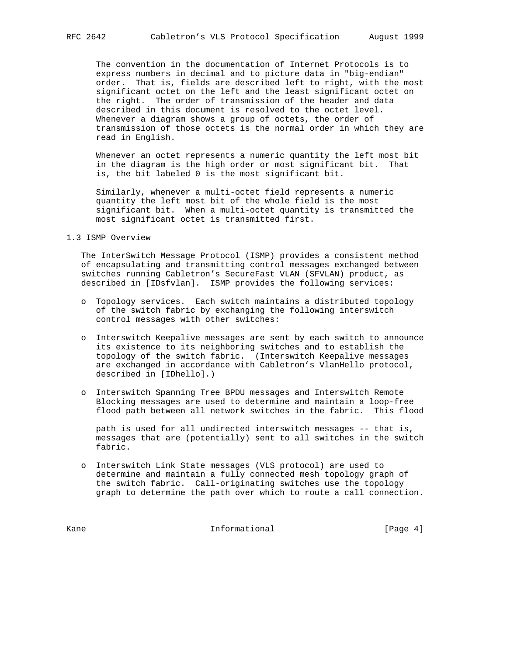The convention in the documentation of Internet Protocols is to express numbers in decimal and to picture data in "big-endian" order. That is, fields are described left to right, with the most significant octet on the left and the least significant octet on the right. The order of transmission of the header and data described in this document is resolved to the octet level. Whenever a diagram shows a group of octets, the order of transmission of those octets is the normal order in which they are read in English.

 Whenever an octet represents a numeric quantity the left most bit in the diagram is the high order or most significant bit. That is, the bit labeled 0 is the most significant bit.

 Similarly, whenever a multi-octet field represents a numeric quantity the left most bit of the whole field is the most significant bit. When a multi-octet quantity is transmitted the most significant octet is transmitted first.

1.3 ISMP Overview

 The InterSwitch Message Protocol (ISMP) provides a consistent method of encapsulating and transmitting control messages exchanged between switches running Cabletron's SecureFast VLAN (SFVLAN) product, as described in [IDsfvlan]. ISMP provides the following services:

- o Topology services. Each switch maintains a distributed topology of the switch fabric by exchanging the following interswitch control messages with other switches:
- o Interswitch Keepalive messages are sent by each switch to announce its existence to its neighboring switches and to establish the topology of the switch fabric. (Interswitch Keepalive messages are exchanged in accordance with Cabletron's VlanHello protocol, described in [IDhello].)
- o Interswitch Spanning Tree BPDU messages and Interswitch Remote Blocking messages are used to determine and maintain a loop-free flood path between all network switches in the fabric. This flood

 path is used for all undirected interswitch messages -- that is, messages that are (potentially) sent to all switches in the switch fabric.

 o Interswitch Link State messages (VLS protocol) are used to determine and maintain a fully connected mesh topology graph of the switch fabric. Call-originating switches use the topology graph to determine the path over which to route a call connection.

Kane **Informational Informational Example 1** [Page 4]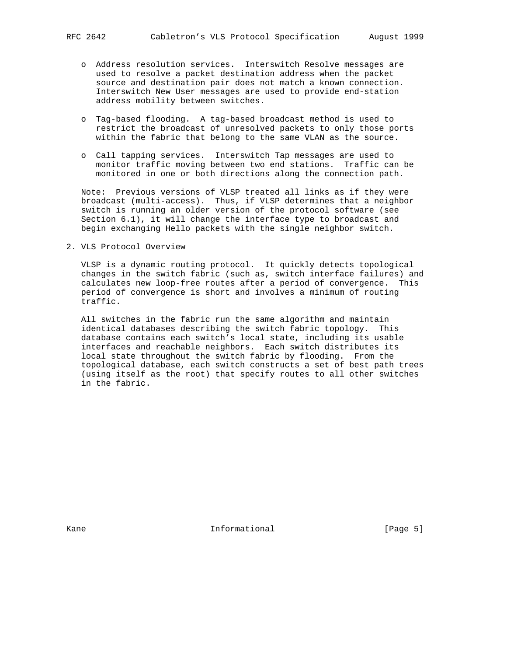- o Address resolution services. Interswitch Resolve messages are used to resolve a packet destination address when the packet source and destination pair does not match a known connection. Interswitch New User messages are used to provide end-station address mobility between switches.
- o Tag-based flooding. A tag-based broadcast method is used to restrict the broadcast of unresolved packets to only those ports within the fabric that belong to the same VLAN as the source.
- o Call tapping services. Interswitch Tap messages are used to monitor traffic moving between two end stations. Traffic can be monitored in one or both directions along the connection path.

 Note: Previous versions of VLSP treated all links as if they were broadcast (multi-access). Thus, if VLSP determines that a neighbor switch is running an older version of the protocol software (see Section 6.1), it will change the interface type to broadcast and begin exchanging Hello packets with the single neighbor switch.

2. VLS Protocol Overview

 VLSP is a dynamic routing protocol. It quickly detects topological changes in the switch fabric (such as, switch interface failures) and calculates new loop-free routes after a period of convergence. This period of convergence is short and involves a minimum of routing traffic.

 All switches in the fabric run the same algorithm and maintain identical databases describing the switch fabric topology. This database contains each switch's local state, including its usable interfaces and reachable neighbors. Each switch distributes its local state throughout the switch fabric by flooding. From the topological database, each switch constructs a set of best path trees (using itself as the root) that specify routes to all other switches in the fabric.

Kane **Informational Informational Informational** [Page 5]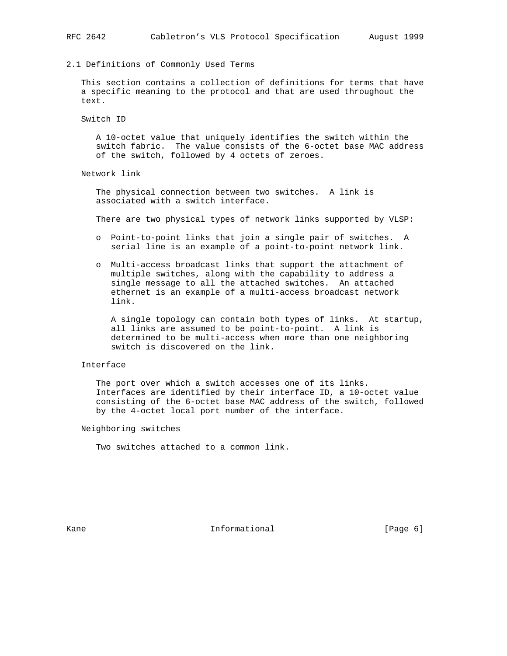2.1 Definitions of Commonly Used Terms

 This section contains a collection of definitions for terms that have a specific meaning to the protocol and that are used throughout the text.

Switch ID

 A 10-octet value that uniquely identifies the switch within the switch fabric. The value consists of the 6-octet base MAC address of the switch, followed by 4 octets of zeroes.

Network link

 The physical connection between two switches. A link is associated with a switch interface.

There are two physical types of network links supported by VLSP:

- o Point-to-point links that join a single pair of switches. A serial line is an example of a point-to-point network link.
- o Multi-access broadcast links that support the attachment of multiple switches, along with the capability to address a single message to all the attached switches. An attached ethernet is an example of a multi-access broadcast network link.

 A single topology can contain both types of links. At startup, all links are assumed to be point-to-point. A link is determined to be multi-access when more than one neighboring switch is discovered on the link.

# Interface

 The port over which a switch accesses one of its links. Interfaces are identified by their interface ID, a 10-octet value consisting of the 6-octet base MAC address of the switch, followed by the 4-octet local port number of the interface.

Neighboring switches

Two switches attached to a common link.

Kane **Informational Informational Example 1** [Page 6]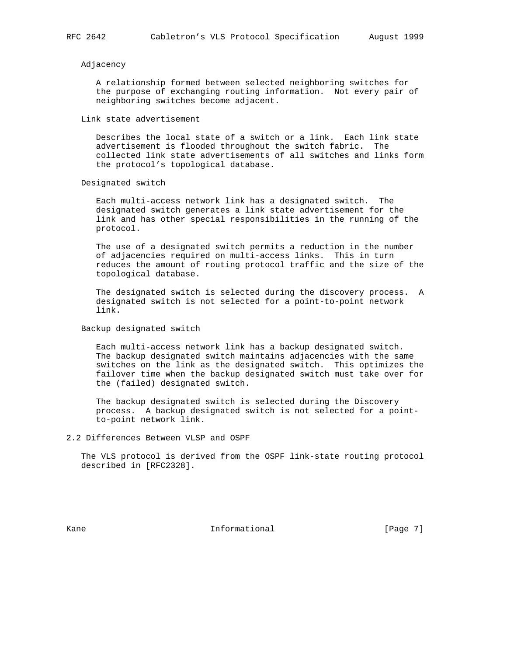## Adjacency

 A relationship formed between selected neighboring switches for the purpose of exchanging routing information. Not every pair of neighboring switches become adjacent.

Link state advertisement

 Describes the local state of a switch or a link. Each link state advertisement is flooded throughout the switch fabric. The collected link state advertisements of all switches and links form the protocol's topological database.

Designated switch

 Each multi-access network link has a designated switch. The designated switch generates a link state advertisement for the link and has other special responsibilities in the running of the protocol.

 The use of a designated switch permits a reduction in the number of adjacencies required on multi-access links. This in turn reduces the amount of routing protocol traffic and the size of the topological database.

 The designated switch is selected during the discovery process. A designated switch is not selected for a point-to-point network link.

Backup designated switch

 Each multi-access network link has a backup designated switch. The backup designated switch maintains adjacencies with the same switches on the link as the designated switch. This optimizes the failover time when the backup designated switch must take over for the (failed) designated switch.

 The backup designated switch is selected during the Discovery process. A backup designated switch is not selected for a point to-point network link.

2.2 Differences Between VLSP and OSPF

 The VLS protocol is derived from the OSPF link-state routing protocol described in [RFC2328].

Kane **Informational** Informational [Page 7]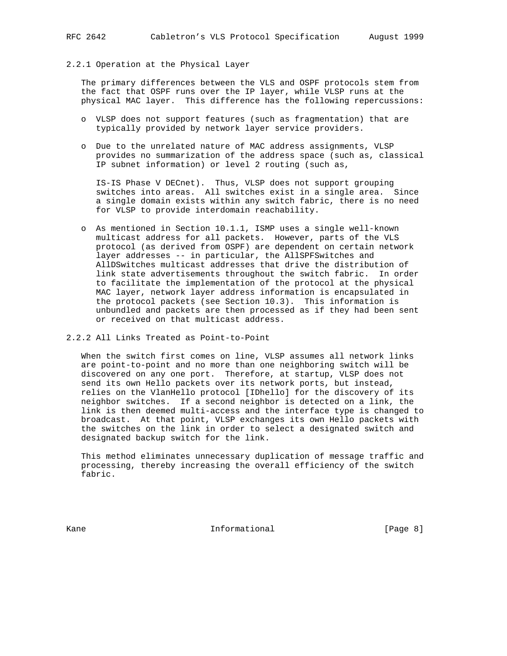## 2.2.1 Operation at the Physical Layer

 The primary differences between the VLS and OSPF protocols stem from the fact that OSPF runs over the IP layer, while VLSP runs at the physical MAC layer. This difference has the following repercussions:

- o VLSP does not support features (such as fragmentation) that are typically provided by network layer service providers.
- o Due to the unrelated nature of MAC address assignments, VLSP provides no summarization of the address space (such as, classical IP subnet information) or level 2 routing (such as,

 IS-IS Phase V DECnet). Thus, VLSP does not support grouping switches into areas. All switches exist in a single area. Since a single domain exists within any switch fabric, there is no need for VLSP to provide interdomain reachability.

 o As mentioned in Section 10.1.1, ISMP uses a single well-known multicast address for all packets. However, parts of the VLS protocol (as derived from OSPF) are dependent on certain network layer addresses -- in particular, the AllSPFSwitches and AllDSwitches multicast addresses that drive the distribution of link state advertisements throughout the switch fabric. In order to facilitate the implementation of the protocol at the physical MAC layer, network layer address information is encapsulated in the protocol packets (see Section 10.3). This information is unbundled and packets are then processed as if they had been sent or received on that multicast address.

## 2.2.2 All Links Treated as Point-to-Point

 When the switch first comes on line, VLSP assumes all network links are point-to-point and no more than one neighboring switch will be discovered on any one port. Therefore, at startup, VLSP does not send its own Hello packets over its network ports, but instead, relies on the VlanHello protocol [IDhello] for the discovery of its neighbor switches. If a second neighbor is detected on a link, the link is then deemed multi-access and the interface type is changed to broadcast. At that point, VLSP exchanges its own Hello packets with the switches on the link in order to select a designated switch and designated backup switch for the link.

 This method eliminates unnecessary duplication of message traffic and processing, thereby increasing the overall efficiency of the switch fabric.

Kane **Informational Informational Example 1** [Page 8]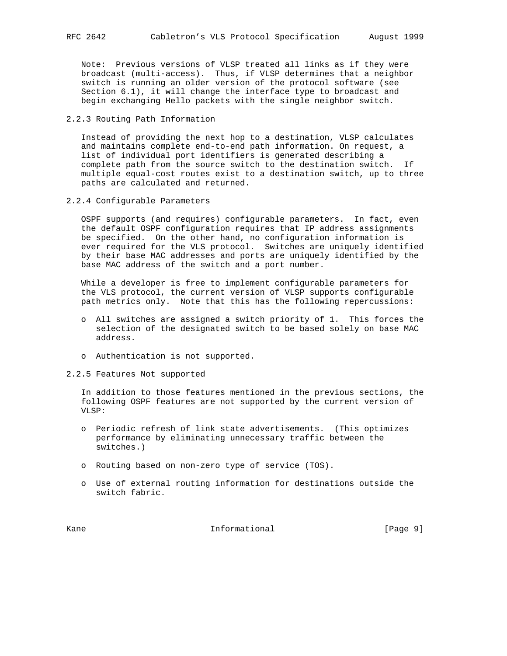Note: Previous versions of VLSP treated all links as if they were broadcast (multi-access). Thus, if VLSP determines that a neighbor switch is running an older version of the protocol software (see Section 6.1), it will change the interface type to broadcast and begin exchanging Hello packets with the single neighbor switch.

2.2.3 Routing Path Information

 Instead of providing the next hop to a destination, VLSP calculates and maintains complete end-to-end path information. On request, a list of individual port identifiers is generated describing a complete path from the source switch to the destination switch. If multiple equal-cost routes exist to a destination switch, up to three paths are calculated and returned.

2.2.4 Configurable Parameters

 OSPF supports (and requires) configurable parameters. In fact, even the default OSPF configuration requires that IP address assignments be specified. On the other hand, no configuration information is ever required for the VLS protocol. Switches are uniquely identified by their base MAC addresses and ports are uniquely identified by the base MAC address of the switch and a port number.

 While a developer is free to implement configurable parameters for the VLS protocol, the current version of VLSP supports configurable path metrics only. Note that this has the following repercussions:

- o All switches are assigned a switch priority of 1. This forces the selection of the designated switch to be based solely on base MAC address.
- o Authentication is not supported.
- 2.2.5 Features Not supported

 In addition to those features mentioned in the previous sections, the following OSPF features are not supported by the current version of  $VLSP:$ 

- o Periodic refresh of link state advertisements. (This optimizes performance by eliminating unnecessary traffic between the switches.)
- o Routing based on non-zero type of service (TOS).
- o Use of external routing information for destinations outside the switch fabric.

Kane **Informational Informational Informational I**Page 91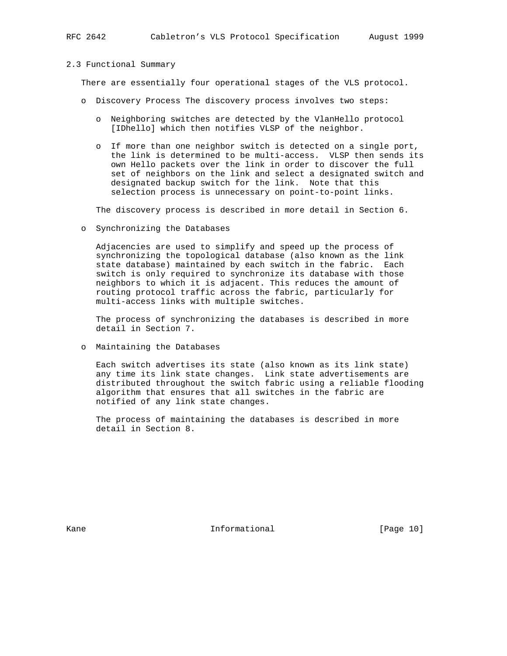#### 2.3 Functional Summary

There are essentially four operational stages of the VLS protocol.

- o Discovery Process The discovery process involves two steps:
	- o Neighboring switches are detected by the VlanHello protocol [IDhello] which then notifies VLSP of the neighbor.
	- o If more than one neighbor switch is detected on a single port, the link is determined to be multi-access. VLSP then sends its own Hello packets over the link in order to discover the full set of neighbors on the link and select a designated switch and designated backup switch for the link. Note that this selection process is unnecessary on point-to-point links.

The discovery process is described in more detail in Section 6.

o Synchronizing the Databases

 Adjacencies are used to simplify and speed up the process of synchronizing the topological database (also known as the link state database) maintained by each switch in the fabric. Each switch is only required to synchronize its database with those neighbors to which it is adjacent. This reduces the amount of routing protocol traffic across the fabric, particularly for multi-access links with multiple switches.

 The process of synchronizing the databases is described in more detail in Section 7.

o Maintaining the Databases

 Each switch advertises its state (also known as its link state) any time its link state changes. Link state advertisements are distributed throughout the switch fabric using a reliable flooding algorithm that ensures that all switches in the fabric are notified of any link state changes.

 The process of maintaining the databases is described in more detail in Section 8.

Kane **Informational Informational** [Page 10]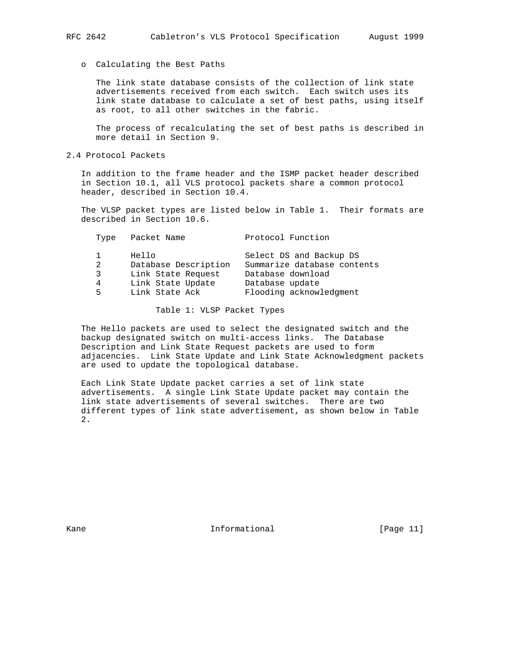# o Calculating the Best Paths

 The link state database consists of the collection of link state advertisements received from each switch. Each switch uses its link state database to calculate a set of best paths, using itself as root, to all other switches in the fabric.

 The process of recalculating the set of best paths is described in more detail in Section 9.

# 2.4 Protocol Packets

 In addition to the frame header and the ISMP packet header described in Section 10.1, all VLS protocol packets share a common protocol header, described in Section 10.4.

 The VLSP packet types are listed below in Table 1. Their formats are described in Section 10.6.

| Type | Packet Name          | Protocol Function           |
|------|----------------------|-----------------------------|
|      | Hello                | Select DS and Backup DS     |
| 2    | Database Description | Summarize database contents |
| 3    | Link State Request   | Database download           |
| 4    | Link State Update    | Database update             |
| 5    | Link State Ack       | Flooding acknowledgment     |

Table 1: VLSP Packet Types

 The Hello packets are used to select the designated switch and the backup designated switch on multi-access links. The Database Description and Link State Request packets are used to form adjacencies. Link State Update and Link State Acknowledgment packets are used to update the topological database.

 Each Link State Update packet carries a set of link state advertisements. A single Link State Update packet may contain the link state advertisements of several switches. There are two different types of link state advertisement, as shown below in Table 2.

Kane **Informational Informational** [Page 11]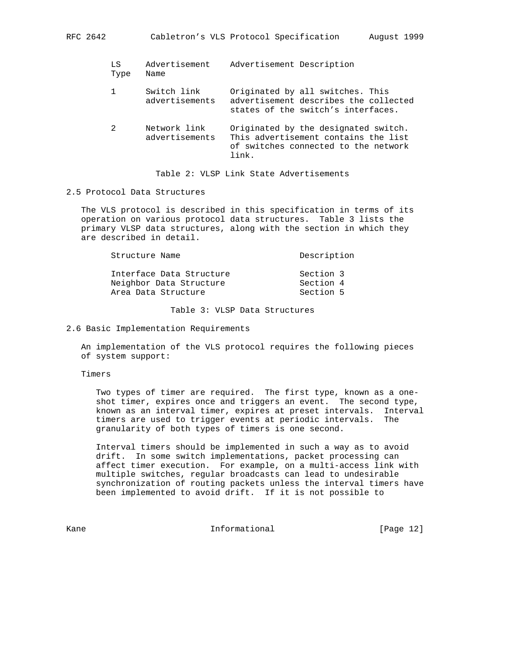| LS<br>Type | Advertisement<br>Name          | Advertisement Description                                                                                                     |
|------------|--------------------------------|-------------------------------------------------------------------------------------------------------------------------------|
|            | Switch link<br>advertisements  | Originated by all switches. This<br>advertisement describes the collected<br>states of the switch's interfaces.               |
| 2          | Network link<br>advertisements | Originated by the designated switch.<br>This advertisement contains the list<br>of switches connected to the network<br>link. |

Table 2: VLSP Link State Advertisements

# 2.5 Protocol Data Structures

 The VLS protocol is described in this specification in terms of its operation on various protocol data structures. Table 3 lists the primary VLSP data structures, along with the section in which they are described in detail.

| Structure Name                                      | Description            |
|-----------------------------------------------------|------------------------|
| Interface Data Structure<br>Neighbor Data Structure | Section 3<br>Section 4 |
| Area Data Structure                                 | Section 5              |

Table 3: VLSP Data Structures

2.6 Basic Implementation Requirements

 An implementation of the VLS protocol requires the following pieces of system support:

Timers

 Two types of timer are required. The first type, known as a one shot timer, expires once and triggers an event. The second type, known as an interval timer, expires at preset intervals. Interval timers are used to trigger events at periodic intervals. The granularity of both types of timers is one second.

 Interval timers should be implemented in such a way as to avoid drift. In some switch implementations, packet processing can affect timer execution. For example, on a multi-access link with multiple switches, regular broadcasts can lead to undesirable synchronization of routing packets unless the interval timers have been implemented to avoid drift. If it is not possible to

Kane **Informational Informational** [Page 12]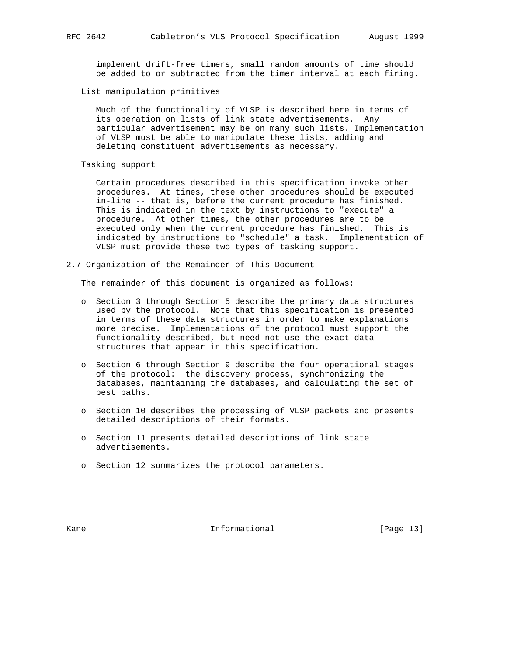implement drift-free timers, small random amounts of time should be added to or subtracted from the timer interval at each firing.

# List manipulation primitives

 Much of the functionality of VLSP is described here in terms of its operation on lists of link state advertisements. Any particular advertisement may be on many such lists. Implementation of VLSP must be able to manipulate these lists, adding and deleting constituent advertisements as necessary.

Tasking support

 Certain procedures described in this specification invoke other procedures. At times, these other procedures should be executed in-line -- that is, before the current procedure has finished. This is indicated in the text by instructions to "execute" a procedure. At other times, the other procedures are to be executed only when the current procedure has finished. This is indicated by instructions to "schedule" a task. Implementation of VLSP must provide these two types of tasking support.

2.7 Organization of the Remainder of This Document

The remainder of this document is organized as follows:

- o Section 3 through Section 5 describe the primary data structures used by the protocol. Note that this specification is presented in terms of these data structures in order to make explanations more precise. Implementations of the protocol must support the functionality described, but need not use the exact data structures that appear in this specification.
- o Section 6 through Section 9 describe the four operational stages of the protocol: the discovery process, synchronizing the databases, maintaining the databases, and calculating the set of best paths.
- o Section 10 describes the processing of VLSP packets and presents detailed descriptions of their formats.
- o Section 11 presents detailed descriptions of link state advertisements.
- o Section 12 summarizes the protocol parameters.

Kane **Informational Informational** [Page 13]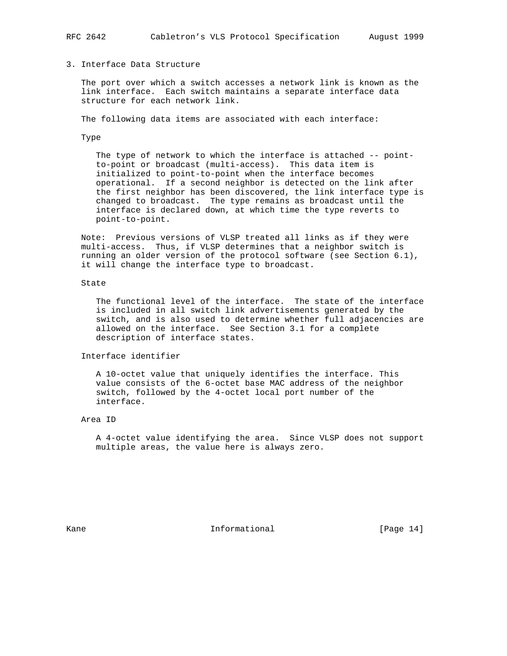# 3. Interface Data Structure

 The port over which a switch accesses a network link is known as the link interface. Each switch maintains a separate interface data structure for each network link.

The following data items are associated with each interface:

Type

 The type of network to which the interface is attached -- point to-point or broadcast (multi-access). This data item is initialized to point-to-point when the interface becomes operational. If a second neighbor is detected on the link after the first neighbor has been discovered, the link interface type is changed to broadcast. The type remains as broadcast until the interface is declared down, at which time the type reverts to point-to-point.

 Note: Previous versions of VLSP treated all links as if they were multi-access. Thus, if VLSP determines that a neighbor switch is running an older version of the protocol software (see Section 6.1), it will change the interface type to broadcast.

## State

 The functional level of the interface. The state of the interface is included in all switch link advertisements generated by the switch, and is also used to determine whether full adjacencies are allowed on the interface. See Section 3.1 for a complete description of interface states.

## Interface identifier

 A 10-octet value that uniquely identifies the interface. This value consists of the 6-octet base MAC address of the neighbor switch, followed by the 4-octet local port number of the interface.

## Area ID

 A 4-octet value identifying the area. Since VLSP does not support multiple areas, the value here is always zero.

Kane **Informational Informational** [Page 14]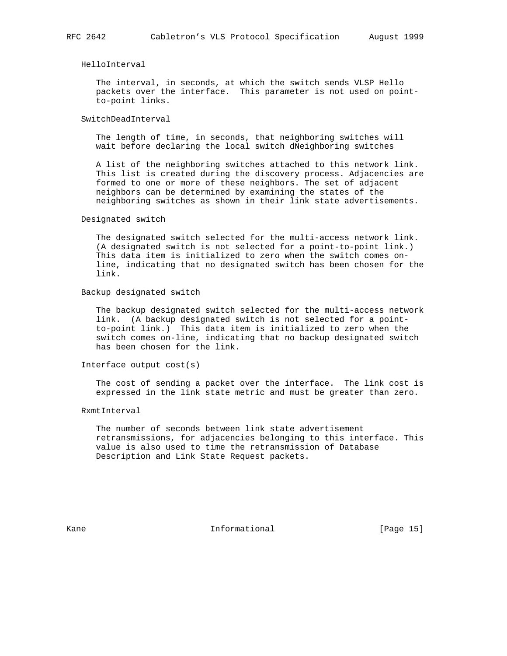## HelloInterval

 The interval, in seconds, at which the switch sends VLSP Hello packets over the interface. This parameter is not used on point to-point links.

## SwitchDeadInterval

 The length of time, in seconds, that neighboring switches will wait before declaring the local switch dNeighboring switches

 A list of the neighboring switches attached to this network link. This list is created during the discovery process. Adjacencies are formed to one or more of these neighbors. The set of adjacent neighbors can be determined by examining the states of the neighboring switches as shown in their link state advertisements.

#### Designated switch

 The designated switch selected for the multi-access network link. (A designated switch is not selected for a point-to-point link.) This data item is initialized to zero when the switch comes on line, indicating that no designated switch has been chosen for the link.

#### Backup designated switch

 The backup designated switch selected for the multi-access network link. (A backup designated switch is not selected for a point to-point link.) This data item is initialized to zero when the switch comes on-line, indicating that no backup designated switch has been chosen for the link.

## Interface output cost(s)

 The cost of sending a packet over the interface. The link cost is expressed in the link state metric and must be greater than zero.

#### RxmtInterval

 The number of seconds between link state advertisement retransmissions, for adjacencies belonging to this interface. This value is also used to time the retransmission of Database Description and Link State Request packets.

Kane **Informational Informational** [Page 15]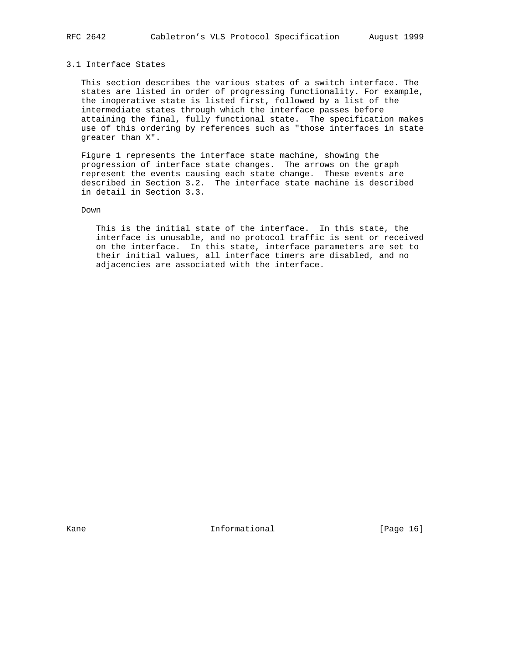# 3.1 Interface States

 This section describes the various states of a switch interface. The states are listed in order of progressing functionality. For example, the inoperative state is listed first, followed by a list of the intermediate states through which the interface passes before attaining the final, fully functional state. The specification makes use of this ordering by references such as "those interfaces in state greater than X".

 Figure 1 represents the interface state machine, showing the progression of interface state changes. The arrows on the graph represent the events causing each state change. These events are described in Section 3.2. The interface state machine is described in detail in Section 3.3.

# Down

 This is the initial state of the interface. In this state, the interface is unusable, and no protocol traffic is sent or received on the interface. In this state, interface parameters are set to their initial values, all interface timers are disabled, and no adjacencies are associated with the interface.

Kane **Informational Informational** [Page 16]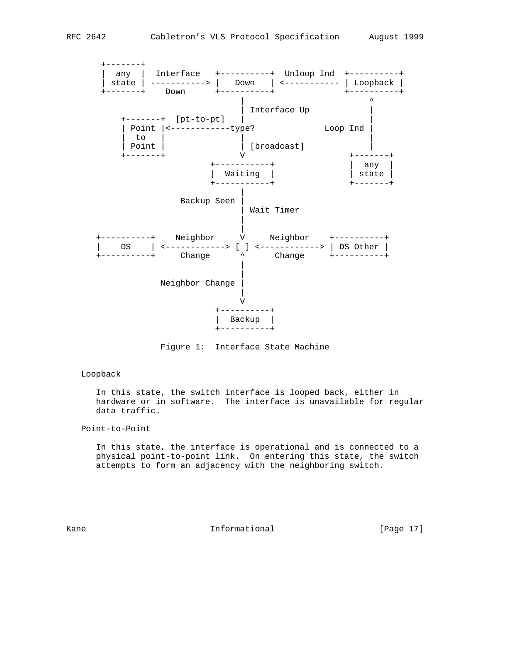

Figure 1: Interface State Machine

## Loopback

 In this state, the switch interface is looped back, either in hardware or in software. The interface is unavailable for regular data traffic.

## Point-to-Point

 In this state, the interface is operational and is connected to a physical point-to-point link. On entering this state, the switch attempts to form an adjacency with the neighboring switch.

Kane **Informational Informational** [Page 17]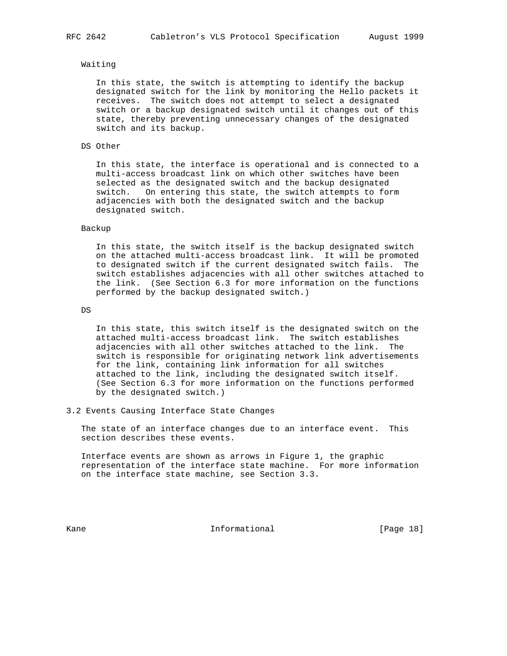## Waiting

 In this state, the switch is attempting to identify the backup designated switch for the link by monitoring the Hello packets it receives. The switch does not attempt to select a designated switch or a backup designated switch until it changes out of this state, thereby preventing unnecessary changes of the designated switch and its backup.

#### DS Other

 In this state, the interface is operational and is connected to a multi-access broadcast link on which other switches have been selected as the designated switch and the backup designated switch. On entering this state, the switch attempts to form adjacencies with both the designated switch and the backup designated switch.

#### Backup

 In this state, the switch itself is the backup designated switch on the attached multi-access broadcast link. It will be promoted to designated switch if the current designated switch fails. The switch establishes adjacencies with all other switches attached to the link. (See Section 6.3 for more information on the functions performed by the backup designated switch.)

DS

 In this state, this switch itself is the designated switch on the attached multi-access broadcast link. The switch establishes adjacencies with all other switches attached to the link. The switch is responsible for originating network link advertisements for the link, containing link information for all switches attached to the link, including the designated switch itself. (See Section 6.3 for more information on the functions performed by the designated switch.)

#### 3.2 Events Causing Interface State Changes

 The state of an interface changes due to an interface event. This section describes these events.

 Interface events are shown as arrows in Figure 1, the graphic representation of the interface state machine. For more information on the interface state machine, see Section 3.3.

Kane **Informational Informational** [Page 18]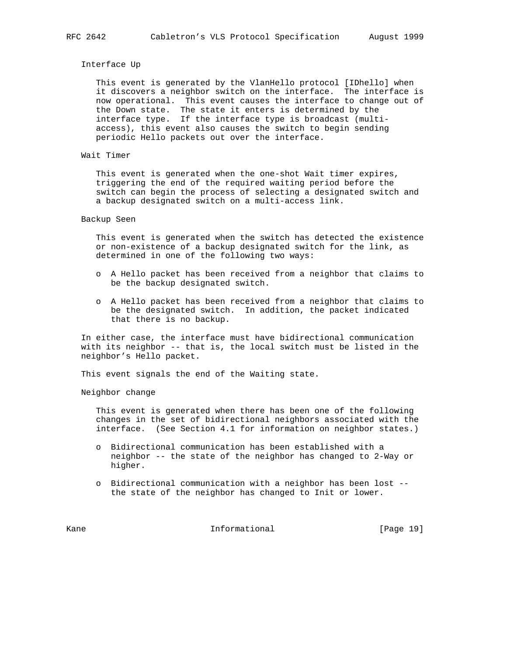## Interface Up

 This event is generated by the VlanHello protocol [IDhello] when it discovers a neighbor switch on the interface. The interface is now operational. This event causes the interface to change out of the Down state. The state it enters is determined by the interface type. If the interface type is broadcast (multi access), this event also causes the switch to begin sending periodic Hello packets out over the interface.

### Wait Timer

 This event is generated when the one-shot Wait timer expires, triggering the end of the required waiting period before the switch can begin the process of selecting a designated switch and a backup designated switch on a multi-access link.

## Backup Seen

 This event is generated when the switch has detected the existence or non-existence of a backup designated switch for the link, as determined in one of the following two ways:

- o A Hello packet has been received from a neighbor that claims to be the backup designated switch.
- o A Hello packet has been received from a neighbor that claims to be the designated switch. In addition, the packet indicated that there is no backup.

 In either case, the interface must have bidirectional communication with its neighbor -- that is, the local switch must be listed in the neighbor's Hello packet.

This event signals the end of the Waiting state.

Neighbor change

 This event is generated when there has been one of the following changes in the set of bidirectional neighbors associated with the interface. (See Section 4.1 for information on neighbor states.)

- o Bidirectional communication has been established with a neighbor -- the state of the neighbor has changed to 2-Way or higher.
- o Bidirectional communication with a neighbor has been lost the state of the neighbor has changed to Init or lower.

Kane **Informational Informational** [Page 19]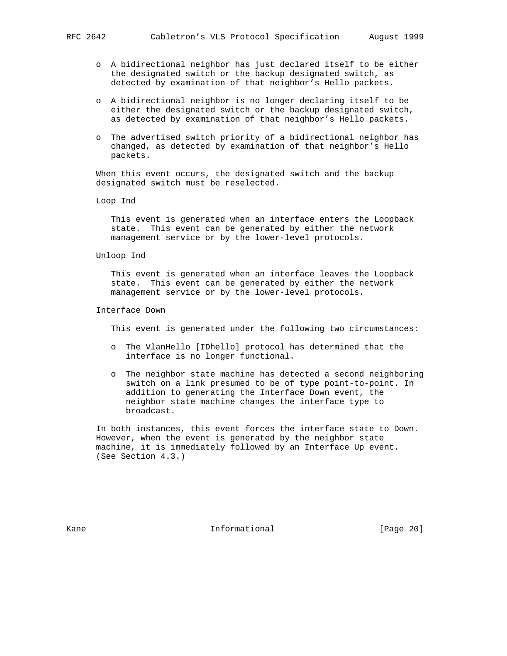- o A bidirectional neighbor has just declared itself to be either the designated switch or the backup designated switch, as detected by examination of that neighbor's Hello packets.
- o A bidirectional neighbor is no longer declaring itself to be either the designated switch or the backup designated switch, as detected by examination of that neighbor's Hello packets.
- o The advertised switch priority of a bidirectional neighbor has changed, as detected by examination of that neighbor's Hello packets.

 When this event occurs, the designated switch and the backup designated switch must be reselected.

Loop Ind

 This event is generated when an interface enters the Loopback state. This event can be generated by either the network management service or by the lower-level protocols.

#### Unloop Ind

 This event is generated when an interface leaves the Loopback state. This event can be generated by either the network management service or by the lower-level protocols.

Interface Down

This event is generated under the following two circumstances:

- o The VlanHello [IDhello] protocol has determined that the interface is no longer functional.
- o The neighbor state machine has detected a second neighboring switch on a link presumed to be of type point-to-point. In addition to generating the Interface Down event, the neighbor state machine changes the interface type to broadcast.

 In both instances, this event forces the interface state to Down. However, when the event is generated by the neighbor state machine, it is immediately followed by an Interface Up event. (See Section 4.3.)

Kane **Informational Informational** [Page 20]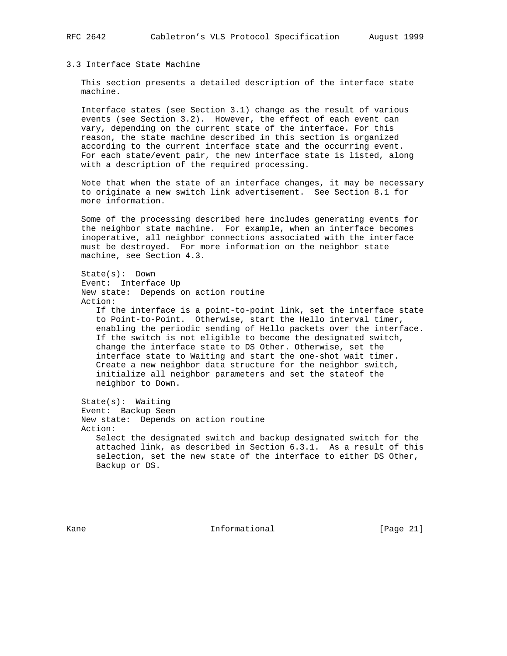# 3.3 Interface State Machine

 This section presents a detailed description of the interface state machine.

 Interface states (see Section 3.1) change as the result of various events (see Section 3.2). However, the effect of each event can vary, depending on the current state of the interface. For this reason, the state machine described in this section is organized according to the current interface state and the occurring event. For each state/event pair, the new interface state is listed, along with a description of the required processing.

 Note that when the state of an interface changes, it may be necessary to originate a new switch link advertisement. See Section 8.1 for more information.

 Some of the processing described here includes generating events for the neighbor state machine. For example, when an interface becomes inoperative, all neighbor connections associated with the interface must be destroyed. For more information on the neighbor state machine, see Section 4.3.

 State(s): Down Event: Interface Up New state: Depends on action routine Action: If the interface is a point-to-point link, set the interface state to Point-to-Point. Otherwise, start the Hello interval timer, enabling the periodic sending of Hello packets over the interface. If the switch is not eligible to become the designated switch, change the interface state to DS Other. Otherwise, set the interface state to Waiting and start the one-shot wait timer. Create a new neighbor data structure for the neighbor switch, initialize all neighbor parameters and set the stateof the neighbor to Down. State(s): Waiting Event: Backup Seen New state: Depends on action routine Action: Select the designated switch and backup designated switch for the attached link, as described in Section 6.3.1. As a result of this

selection, set the new state of the interface to either DS Other,

Backup or DS.

Kane **Informational Informational** [Page 21]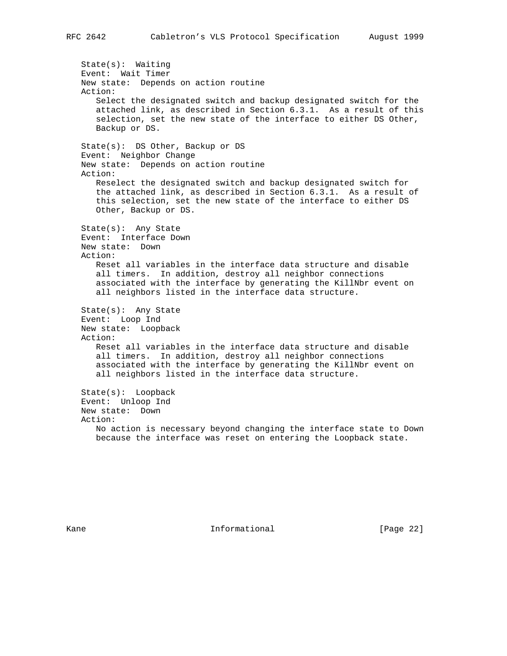State(s): Waiting Event: Wait Timer New state: Depends on action routine Action: Select the designated switch and backup designated switch for the attached link, as described in Section 6.3.1. As a result of this selection, set the new state of the interface to either DS Other, Backup or DS. State(s): DS Other, Backup or DS Event: Neighbor Change New state: Depends on action routine Action: Reselect the designated switch and backup designated switch for the attached link, as described in Section 6.3.1. As a result of this selection, set the new state of the interface to either DS Other, Backup or DS. State(s): Any State Event: Interface Down New state: Down Action: Reset all variables in the interface data structure and disable all timers. In addition, destroy all neighbor connections associated with the interface by generating the KillNbr event on all neighbors listed in the interface data structure. State(s): Any State Event: Loop Ind New state: Loopback Action: Reset all variables in the interface data structure and disable all timers. In addition, destroy all neighbor connections associated with the interface by generating the KillNbr event on all neighbors listed in the interface data structure. State(s): Loopback Event: Unloop Ind New state: Down Action: No action is necessary beyond changing the interface state to Down because the interface was reset on entering the Loopback state.

Kane **Informational Informational** [Page 22]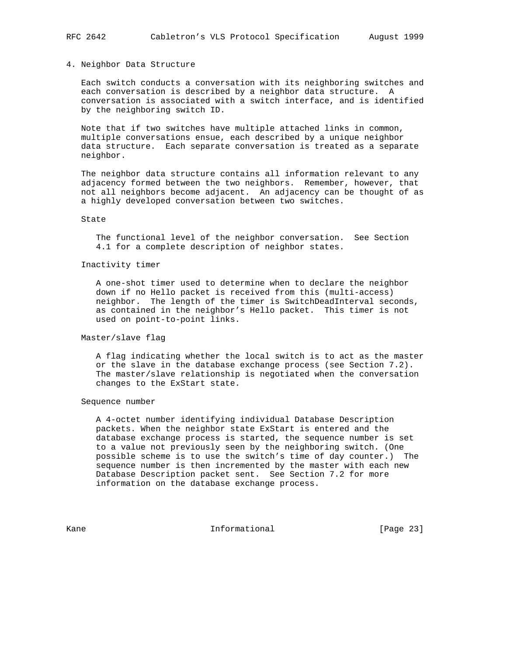#### 4. Neighbor Data Structure

 Each switch conducts a conversation with its neighboring switches and each conversation is described by a neighbor data structure. A conversation is associated with a switch interface, and is identified by the neighboring switch ID.

 Note that if two switches have multiple attached links in common, multiple conversations ensue, each described by a unique neighbor data structure. Each separate conversation is treated as a separate neighbor.

 The neighbor data structure contains all information relevant to any adjacency formed between the two neighbors. Remember, however, that not all neighbors become adjacent. An adjacency can be thought of as a highly developed conversation between two switches.

## State

 The functional level of the neighbor conversation. See Section 4.1 for a complete description of neighbor states.

## Inactivity timer

 A one-shot timer used to determine when to declare the neighbor down if no Hello packet is received from this (multi-access) neighbor. The length of the timer is SwitchDeadInterval seconds, as contained in the neighbor's Hello packet. This timer is not used on point-to-point links.

## Master/slave flag

 A flag indicating whether the local switch is to act as the master or the slave in the database exchange process (see Section 7.2). The master/slave relationship is negotiated when the conversation changes to the ExStart state.

#### Sequence number

 A 4-octet number identifying individual Database Description packets. When the neighbor state ExStart is entered and the database exchange process is started, the sequence number is set to a value not previously seen by the neighboring switch. (One possible scheme is to use the switch's time of day counter.) The sequence number is then incremented by the master with each new Database Description packet sent. See Section 7.2 for more information on the database exchange process.

Kane **Informational Informational** [Page 23]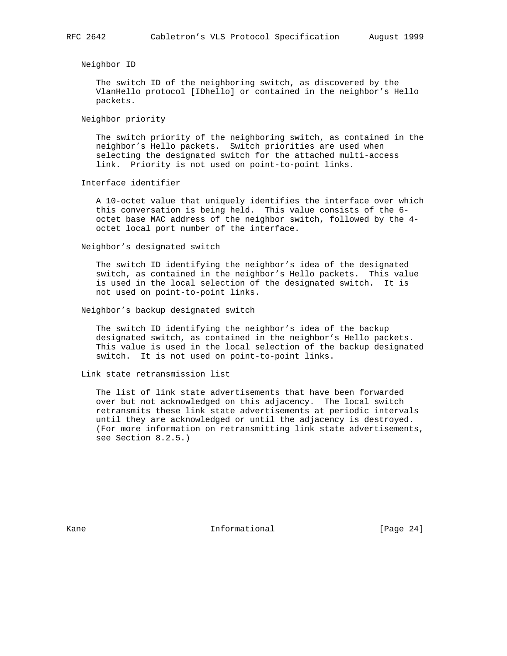## Neighbor ID

 The switch ID of the neighboring switch, as discovered by the VlanHello protocol [IDhello] or contained in the neighbor's Hello packets.

Neighbor priority

 The switch priority of the neighboring switch, as contained in the neighbor's Hello packets. Switch priorities are used when selecting the designated switch for the attached multi-access link. Priority is not used on point-to-point links.

Interface identifier

 A 10-octet value that uniquely identifies the interface over which this conversation is being held. This value consists of the 6 octet base MAC address of the neighbor switch, followed by the 4 octet local port number of the interface.

Neighbor's designated switch

 The switch ID identifying the neighbor's idea of the designated switch, as contained in the neighbor's Hello packets. This value is used in the local selection of the designated switch. It is not used on point-to-point links.

## Neighbor's backup designated switch

 The switch ID identifying the neighbor's idea of the backup designated switch, as contained in the neighbor's Hello packets. This value is used in the local selection of the backup designated switch. It is not used on point-to-point links.

#### Link state retransmission list

 The list of link state advertisements that have been forwarded over but not acknowledged on this adjacency. The local switch retransmits these link state advertisements at periodic intervals until they are acknowledged or until the adjacency is destroyed. (For more information on retransmitting link state advertisements, see Section 8.2.5.)

Kane **Informational Informational** [Page 24]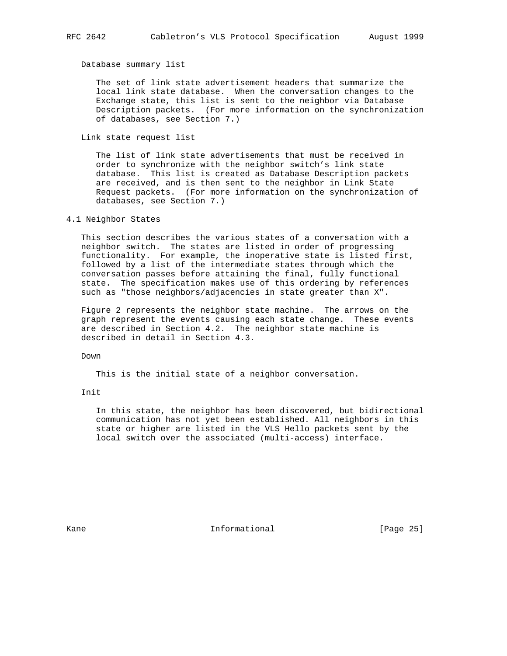Database summary list

 The set of link state advertisement headers that summarize the local link state database. When the conversation changes to the Exchange state, this list is sent to the neighbor via Database Description packets. (For more information on the synchronization of databases, see Section 7.)

Link state request list

 The list of link state advertisements that must be received in order to synchronize with the neighbor switch's link state database. This list is created as Database Description packets are received, and is then sent to the neighbor in Link State Request packets. (For more information on the synchronization of databases, see Section 7.)

## 4.1 Neighbor States

 This section describes the various states of a conversation with a neighbor switch. The states are listed in order of progressing functionality. For example, the inoperative state is listed first, followed by a list of the intermediate states through which the conversation passes before attaining the final, fully functional state. The specification makes use of this ordering by references such as "those neighbors/adjacencies in state greater than X".

 Figure 2 represents the neighbor state machine. The arrows on the graph represent the events causing each state change. These events are described in Section 4.2. The neighbor state machine is described in detail in Section 4.3.

Down

This is the initial state of a neighbor conversation.

Init

 In this state, the neighbor has been discovered, but bidirectional communication has not yet been established. All neighbors in this state or higher are listed in the VLS Hello packets sent by the local switch over the associated (multi-access) interface.

Kane **Informational Informational** [Page 25]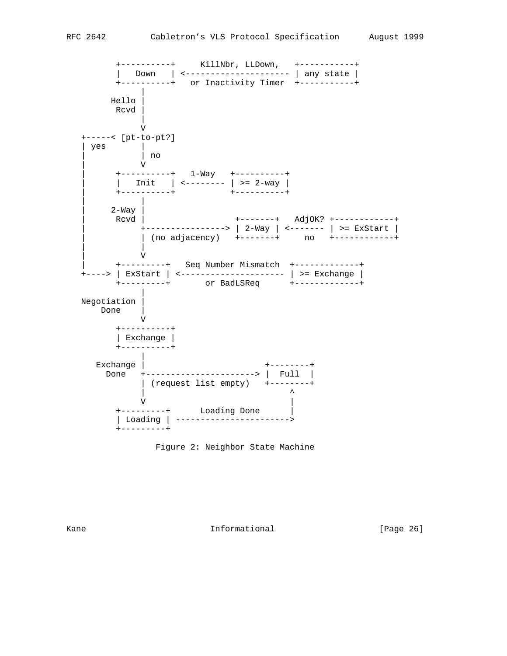+----------+ KillNbr, LLDown, +-----------+ | Down | <--------------------- | any state | +----------+ or Inactivity Timer +-----------+ | Hello | Rcvd | | V +-----< [pt-to-pt?] | yes | | | no | V | +----------+ 1-Way +----------+ | Init |  $\leftarrow$  -------- | >= 2-way | | +----------+ +----------+ | |  $2-Way$ Rcvd | +--------+ Adj0K? +-----------+ | +----------------> | 2-Way | <------- | >= ExStart | | | (no adjacency) +-------+ no +------------+ | | | V | +---------+ Seq Number Mismatch +-------------+ +----> | ExStart | <--------------------- | >= Exchange | +---------+ or BadLSReq +-------------+ | Negotiation | Done | V +----------+ | Exchange | +----------+ | Exchange | +--------+ Done +----------------------> | Full | | (request list empty) +--------+ | ^  $\mathbf V$  +---------+ Loading Done | | Loading | -----------------------> +---------+

Figure 2: Neighbor State Machine

Kane **Informational Informational** [Page 26]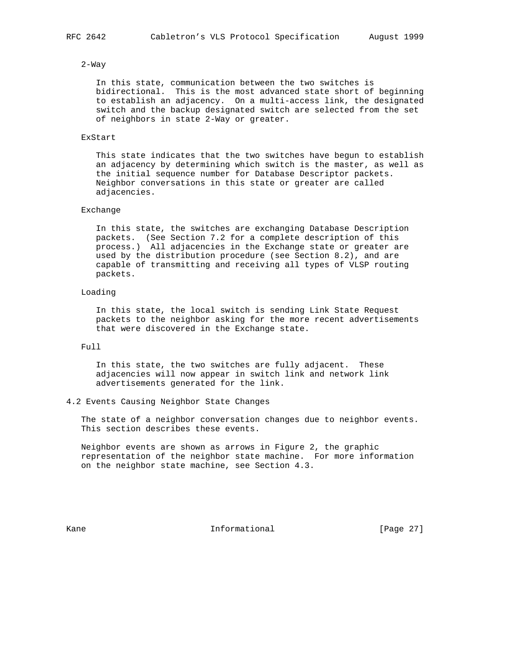#### 2-Way

 In this state, communication between the two switches is bidirectional. This is the most advanced state short of beginning to establish an adjacency. On a multi-access link, the designated switch and the backup designated switch are selected from the set of neighbors in state 2-Way or greater.

### ExStart

 This state indicates that the two switches have begun to establish an adjacency by determining which switch is the master, as well as the initial sequence number for Database Descriptor packets. Neighbor conversations in this state or greater are called adjacencies.

# Exchange

 In this state, the switches are exchanging Database Description packets. (See Section 7.2 for a complete description of this process.) All adjacencies in the Exchange state or greater are used by the distribution procedure (see Section 8.2), and are capable of transmitting and receiving all types of VLSP routing packets.

# Loading

 In this state, the local switch is sending Link State Request packets to the neighbor asking for the more recent advertisements that were discovered in the Exchange state.

## Full

 In this state, the two switches are fully adjacent. These adjacencies will now appear in switch link and network link advertisements generated for the link.

#### 4.2 Events Causing Neighbor State Changes

 The state of a neighbor conversation changes due to neighbor events. This section describes these events.

 Neighbor events are shown as arrows in Figure 2, the graphic representation of the neighbor state machine. For more information on the neighbor state machine, see Section 4.3.

Kane **Informational Informational** [Page 27]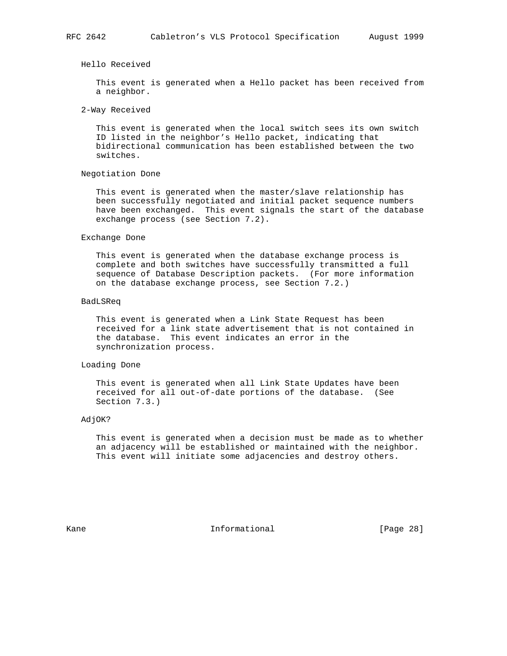Hello Received

 This event is generated when a Hello packet has been received from a neighbor.

2-Way Received

 This event is generated when the local switch sees its own switch ID listed in the neighbor's Hello packet, indicating that bidirectional communication has been established between the two switches.

#### Negotiation Done

 This event is generated when the master/slave relationship has been successfully negotiated and initial packet sequence numbers have been exchanged. This event signals the start of the database exchange process (see Section 7.2).

#### Exchange Done

 This event is generated when the database exchange process is complete and both switches have successfully transmitted a full sequence of Database Description packets. (For more information on the database exchange process, see Section 7.2.)

#### BadLSReq

 This event is generated when a Link State Request has been received for a link state advertisement that is not contained in the database. This event indicates an error in the synchronization process.

# Loading Done

 This event is generated when all Link State Updates have been received for all out-of-date portions of the database. (See Section 7.3.)

#### AdjOK?

 This event is generated when a decision must be made as to whether an adjacency will be established or maintained with the neighbor. This event will initiate some adjacencies and destroy others.

Kane **Informational Informational** [Page 28]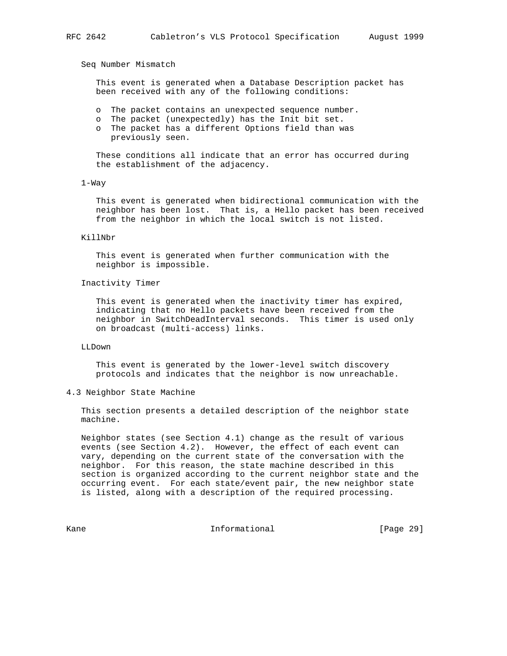Seq Number Mismatch

 This event is generated when a Database Description packet has been received with any of the following conditions:

- o The packet contains an unexpected sequence number.
- o The packet (unexpectedly) has the Init bit set.
- o The packet has a different Options field than was previously seen.

 These conditions all indicate that an error has occurred during the establishment of the adjacency.

#### 1-Way

 This event is generated when bidirectional communication with the neighbor has been lost. That is, a Hello packet has been received from the neighbor in which the local switch is not listed.

#### KillNbr

 This event is generated when further communication with the neighbor is impossible.

#### Inactivity Timer

 This event is generated when the inactivity timer has expired, indicating that no Hello packets have been received from the neighbor in SwitchDeadInterval seconds. This timer is used only on broadcast (multi-access) links.

#### LLDown

 This event is generated by the lower-level switch discovery protocols and indicates that the neighbor is now unreachable.

## 4.3 Neighbor State Machine

 This section presents a detailed description of the neighbor state machine.

 Neighbor states (see Section 4.1) change as the result of various events (see Section 4.2). However, the effect of each event can vary, depending on the current state of the conversation with the neighbor. For this reason, the state machine described in this section is organized according to the current neighbor state and the occurring event. For each state/event pair, the new neighbor state is listed, along with a description of the required processing.

Kane **Informational Informational** [Page 29]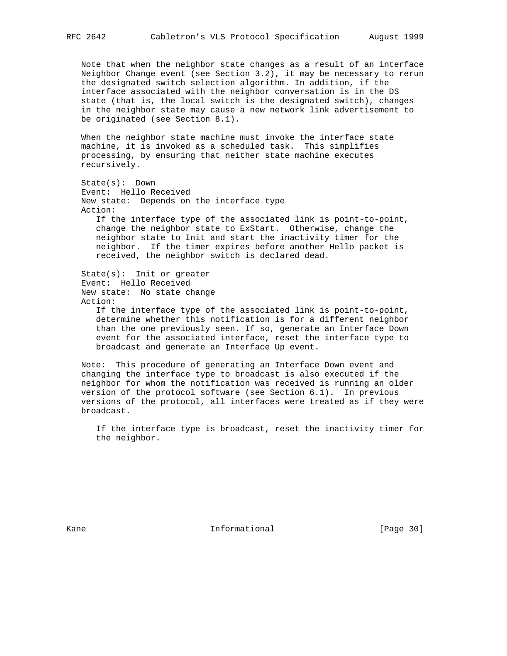Note that when the neighbor state changes as a result of an interface Neighbor Change event (see Section 3.2), it may be necessary to rerun the designated switch selection algorithm. In addition, if the interface associated with the neighbor conversation is in the DS state (that is, the local switch is the designated switch), changes in the neighbor state may cause a new network link advertisement to be originated (see Section 8.1).

 When the neighbor state machine must invoke the interface state machine, it is invoked as a scheduled task. This simplifies processing, by ensuring that neither state machine executes recursively.

 State(s): Down Event: Hello Received New state: Depends on the interface type Action: If the interface type of the associated link is point-to-point, change the neighbor state to ExStart. Otherwise, change the neighbor state to Init and start the inactivity timer for the neighbor. If the timer expires before another Hello packet is received, the neighbor switch is declared dead. State(s): Init or greater

```
 Event: Hello Received
New state: No state change
Action:
```
 If the interface type of the associated link is point-to-point, determine whether this notification is for a different neighbor than the one previously seen. If so, generate an Interface Down event for the associated interface, reset the interface type to broadcast and generate an Interface Up event.

 Note: This procedure of generating an Interface Down event and changing the interface type to broadcast is also executed if the neighbor for whom the notification was received is running an older version of the protocol software (see Section 6.1). In previous versions of the protocol, all interfaces were treated as if they were broadcast.

 If the interface type is broadcast, reset the inactivity timer for the neighbor.

Kane **Informational Informational** [Page 30]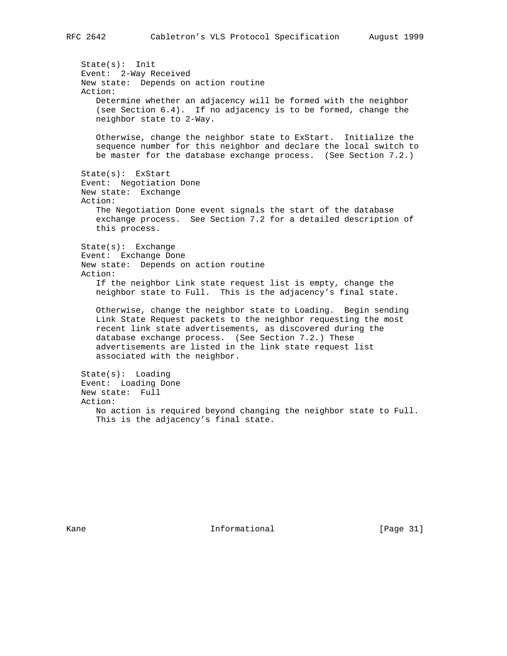State(s): Init Event: 2-Way Received New state: Depends on action routine Action: Determine whether an adjacency will be formed with the neighbor (see Section 6.4). If no adjacency is to be formed, change the neighbor state to 2-Way. Otherwise, change the neighbor state to ExStart. Initialize the sequence number for this neighbor and declare the local switch to be master for the database exchange process. (See Section 7.2.) State(s): ExStart Event: Negotiation Done New state: Exchange Action: The Negotiation Done event signals the start of the database exchange process. See Section 7.2 for a detailed description of this process. State(s): Exchange Event: Exchange Done New state: Depends on action routine Action: If the neighbor Link state request list is empty, change the neighbor state to Full. This is the adjacency's final state. Otherwise, change the neighbor state to Loading. Begin sending Link State Request packets to the neighbor requesting the most recent link state advertisements, as discovered during the database exchange process. (See Section 7.2.) These advertisements are listed in the link state request list associated with the neighbor. State(s): Loading Event: Loading Done New state: Full Action: No action is required beyond changing the neighbor state to Full. This is the adjacency's final state.

Kane **Informational Informational** [Page 31]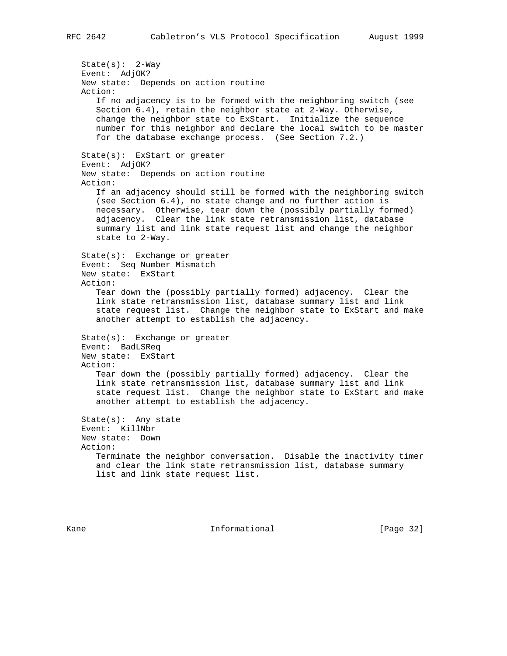State(s): 2-Way Event: AdjOK? New state: Depends on action routine Action: If no adjacency is to be formed with the neighboring switch (see Section 6.4), retain the neighbor state at 2-Way. Otherwise, change the neighbor state to ExStart. Initialize the sequence number for this neighbor and declare the local switch to be master for the database exchange process. (See Section 7.2.) State(s): ExStart or greater Event: AdjOK? New state: Depends on action routine Action: If an adjacency should still be formed with the neighboring switch (see Section 6.4), no state change and no further action is necessary. Otherwise, tear down the (possibly partially formed) adjacency. Clear the link state retransmission list, database summary list and link state request list and change the neighbor state to 2-Way. State(s): Exchange or greater Event: Seq Number Mismatch New state: ExStart Action: Tear down the (possibly partially formed) adjacency. Clear the link state retransmission list, database summary list and link state request list. Change the neighbor state to ExStart and make another attempt to establish the adjacency. State(s): Exchange or greater Event: BadLSReq New state: ExStart Action: Tear down the (possibly partially formed) adjacency. Clear the link state retransmission list, database summary list and link state request list. Change the neighbor state to ExStart and make another attempt to establish the adjacency. State(s): Any state Event: KillNbr New state: Down Action: Terminate the neighbor conversation. Disable the inactivity timer and clear the link state retransmission list, database summary list and link state request list.

Kane **Informational Informational** [Page 32]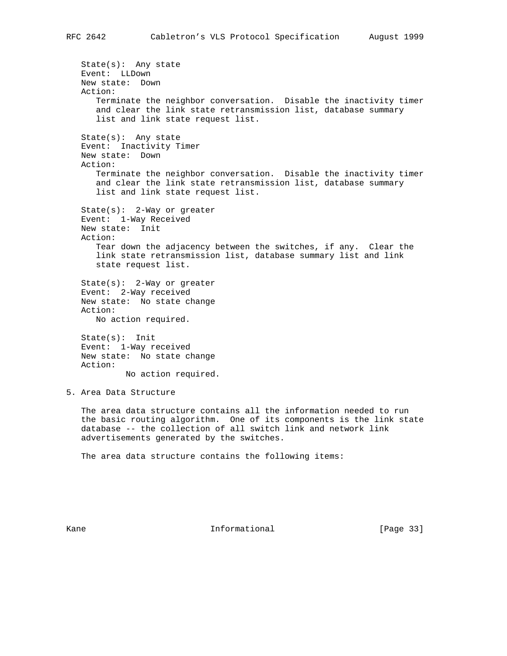State(s): Any state Event: LLDown New state: Down Action: Terminate the neighbor conversation. Disable the inactivity timer and clear the link state retransmission list, database summary list and link state request list. State(s): Any state Event: Inactivity Timer New state: Down Action: Terminate the neighbor conversation. Disable the inactivity timer and clear the link state retransmission list, database summary list and link state request list. State(s): 2-Way or greater Event: 1-Way Received New state: Init Action: Tear down the adjacency between the switches, if any. Clear the link state retransmission list, database summary list and link state request list. State(s): 2-Way or greater Event: 2-Way received New state: No state change Action: No action required. State(s): Init Event: 1-Way received New state: No state change Action: No action required. 5. Area Data Structure The area data structure contains all the information needed to run the basic routing algorithm. One of its components is the link state database -- the collection of all switch link and network link advertisements generated by the switches. The area data structure contains the following items:

Kane **Informational Informational** [Page 33]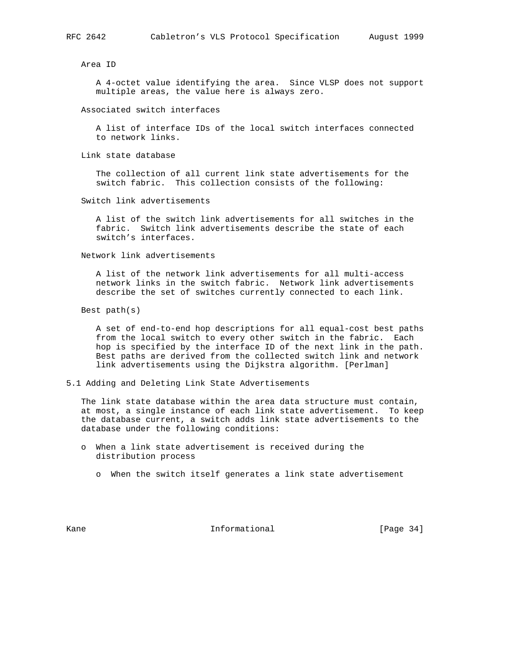Area ID

 A 4-octet value identifying the area. Since VLSP does not support multiple areas, the value here is always zero.

Associated switch interfaces

 A list of interface IDs of the local switch interfaces connected to network links.

Link state database

 The collection of all current link state advertisements for the switch fabric. This collection consists of the following:

Switch link advertisements

 A list of the switch link advertisements for all switches in the fabric. Switch link advertisements describe the state of each switch's interfaces.

Network link advertisements

 A list of the network link advertisements for all multi-access network links in the switch fabric. Network link advertisements describe the set of switches currently connected to each link.

Best path(s)

 A set of end-to-end hop descriptions for all equal-cost best paths from the local switch to every other switch in the fabric. Each hop is specified by the interface ID of the next link in the path. Best paths are derived from the collected switch link and network link advertisements using the Dijkstra algorithm. [Perlman]

5.1 Adding and Deleting Link State Advertisements

 The link state database within the area data structure must contain, at most, a single instance of each link state advertisement. To keep the database current, a switch adds link state advertisements to the database under the following conditions:

- o When a link state advertisement is received during the distribution process
	- o When the switch itself generates a link state advertisement

Kane **Informational Informational** [Page 34]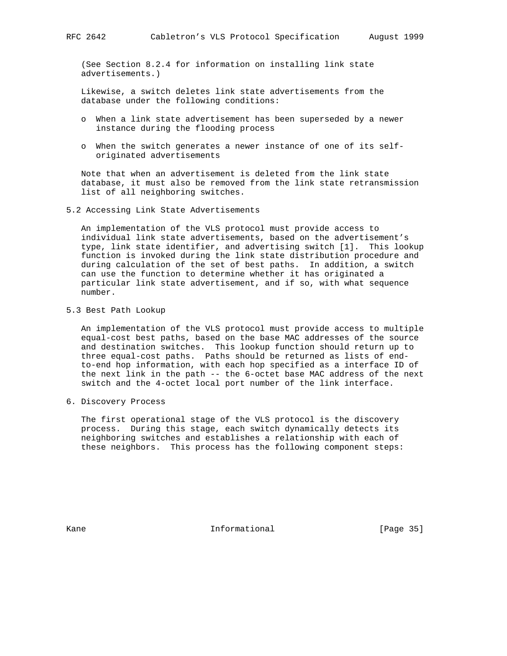(See Section 8.2.4 for information on installing link state advertisements.)

 Likewise, a switch deletes link state advertisements from the database under the following conditions:

- o When a link state advertisement has been superseded by a newer instance during the flooding process
- o When the switch generates a newer instance of one of its self originated advertisements

 Note that when an advertisement is deleted from the link state database, it must also be removed from the link state retransmission list of all neighboring switches.

5.2 Accessing Link State Advertisements

 An implementation of the VLS protocol must provide access to individual link state advertisements, based on the advertisement's type, link state identifier, and advertising switch [1]. This lookup function is invoked during the link state distribution procedure and during calculation of the set of best paths. In addition, a switch can use the function to determine whether it has originated a particular link state advertisement, and if so, with what sequence number.

5.3 Best Path Lookup

 An implementation of the VLS protocol must provide access to multiple equal-cost best paths, based on the base MAC addresses of the source and destination switches. This lookup function should return up to three equal-cost paths. Paths should be returned as lists of end to-end hop information, with each hop specified as a interface ID of the next link in the path -- the 6-octet base MAC address of the next switch and the 4-octet local port number of the link interface.

6. Discovery Process

 The first operational stage of the VLS protocol is the discovery process. During this stage, each switch dynamically detects its neighboring switches and establishes a relationship with each of these neighbors. This process has the following component steps:

Kane **Informational Informational** [Page 35]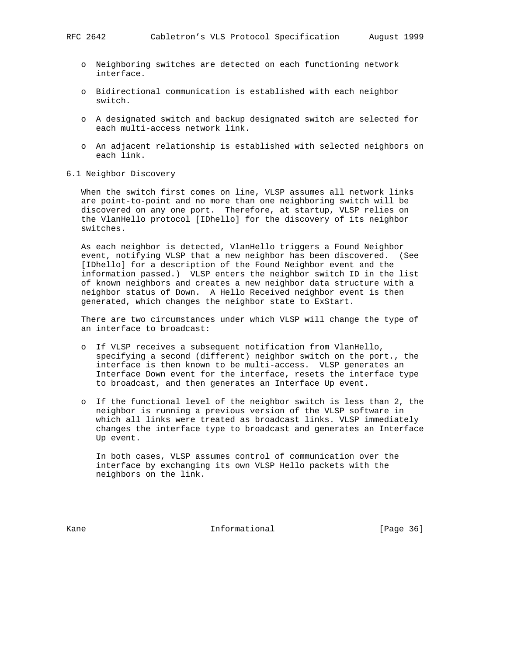- o Neighboring switches are detected on each functioning network interface.
- o Bidirectional communication is established with each neighbor switch.
- o A designated switch and backup designated switch are selected for each multi-access network link.
- o An adjacent relationship is established with selected neighbors on each link.
- 6.1 Neighbor Discovery

 When the switch first comes on line, VLSP assumes all network links are point-to-point and no more than one neighboring switch will be discovered on any one port. Therefore, at startup, VLSP relies on the VlanHello protocol [IDhello] for the discovery of its neighbor switches.

 As each neighbor is detected, VlanHello triggers a Found Neighbor event, notifying VLSP that a new neighbor has been discovered. (See [IDhello] for a description of the Found Neighbor event and the information passed.) VLSP enters the neighbor switch ID in the list of known neighbors and creates a new neighbor data structure with a neighbor status of Down. A Hello Received neighbor event is then generated, which changes the neighbor state to ExStart.

 There are two circumstances under which VLSP will change the type of an interface to broadcast:

- o If VLSP receives a subsequent notification from VlanHello, specifying a second (different) neighbor switch on the port., the interface is then known to be multi-access. VLSP generates an Interface Down event for the interface, resets the interface type to broadcast, and then generates an Interface Up event.
- o If the functional level of the neighbor switch is less than 2, the neighbor is running a previous version of the VLSP software in which all links were treated as broadcast links. VLSP immediately changes the interface type to broadcast and generates an Interface Up event.

 In both cases, VLSP assumes control of communication over the interface by exchanging its own VLSP Hello packets with the neighbors on the link.

Kane **Informational Informational** [Page 36]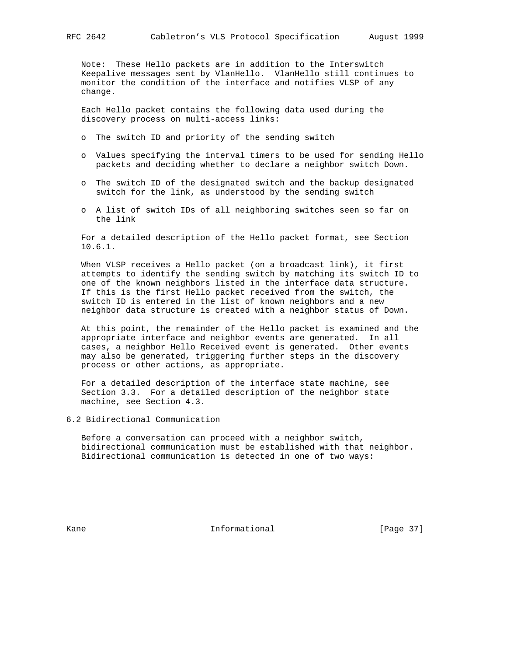Note: These Hello packets are in addition to the Interswitch Keepalive messages sent by VlanHello. VlanHello still continues to monitor the condition of the interface and notifies VLSP of any change.

 Each Hello packet contains the following data used during the discovery process on multi-access links:

- o The switch ID and priority of the sending switch
- o Values specifying the interval timers to be used for sending Hello packets and deciding whether to declare a neighbor switch Down.
- o The switch ID of the designated switch and the backup designated switch for the link, as understood by the sending switch
- o A list of switch IDs of all neighboring switches seen so far on the link

 For a detailed description of the Hello packet format, see Section 10.6.1.

 When VLSP receives a Hello packet (on a broadcast link), it first attempts to identify the sending switch by matching its switch ID to one of the known neighbors listed in the interface data structure. If this is the first Hello packet received from the switch, the switch ID is entered in the list of known neighbors and a new neighbor data structure is created with a neighbor status of Down.

 At this point, the remainder of the Hello packet is examined and the appropriate interface and neighbor events are generated. In all cases, a neighbor Hello Received event is generated. Other events may also be generated, triggering further steps in the discovery process or other actions, as appropriate.

 For a detailed description of the interface state machine, see Section 3.3. For a detailed description of the neighbor state machine, see Section 4.3.

6.2 Bidirectional Communication

 Before a conversation can proceed with a neighbor switch, bidirectional communication must be established with that neighbor. Bidirectional communication is detected in one of two ways:

Kane **Informational Informational** [Page 37]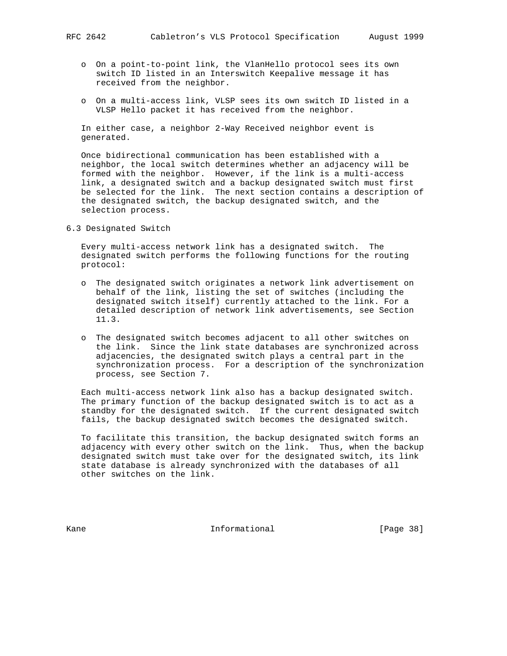- o On a point-to-point link, the VlanHello protocol sees its own switch ID listed in an Interswitch Keepalive message it has received from the neighbor.
- o On a multi-access link, VLSP sees its own switch ID listed in a VLSP Hello packet it has received from the neighbor.

 In either case, a neighbor 2-Way Received neighbor event is generated.

 Once bidirectional communication has been established with a neighbor, the local switch determines whether an adjacency will be formed with the neighbor. However, if the link is a multi-access link, a designated switch and a backup designated switch must first be selected for the link. The next section contains a description of the designated switch, the backup designated switch, and the selection process.

6.3 Designated Switch

 Every multi-access network link has a designated switch. The designated switch performs the following functions for the routing protocol:

- o The designated switch originates a network link advertisement on behalf of the link, listing the set of switches (including the designated switch itself) currently attached to the link. For a detailed description of network link advertisements, see Section 11.3.
- o The designated switch becomes adjacent to all other switches on the link. Since the link state databases are synchronized across adjacencies, the designated switch plays a central part in the synchronization process. For a description of the synchronization process, see Section 7.

 Each multi-access network link also has a backup designated switch. The primary function of the backup designated switch is to act as a standby for the designated switch. If the current designated switch fails, the backup designated switch becomes the designated switch.

 To facilitate this transition, the backup designated switch forms an adjacency with every other switch on the link. Thus, when the backup designated switch must take over for the designated switch, its link state database is already synchronized with the databases of all other switches on the link.

Kane **Informational Informational** [Page 38]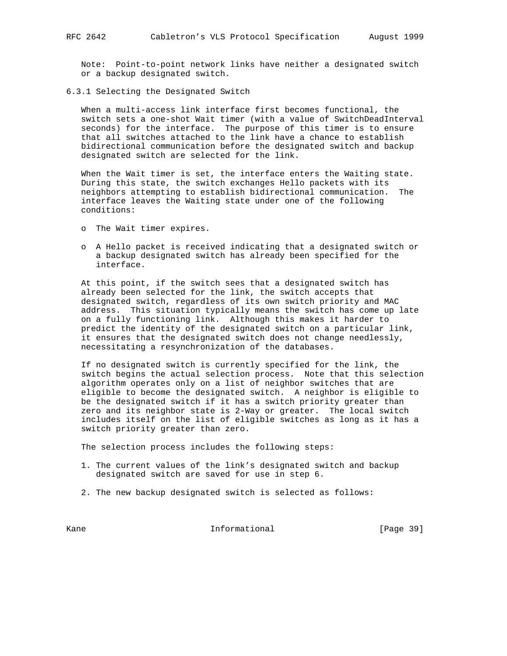Note: Point-to-point network links have neither a designated switch or a backup designated switch.

6.3.1 Selecting the Designated Switch

 When a multi-access link interface first becomes functional, the switch sets a one-shot Wait timer (with a value of SwitchDeadInterval seconds) for the interface. The purpose of this timer is to ensure that all switches attached to the link have a chance to establish bidirectional communication before the designated switch and backup designated switch are selected for the link.

 When the Wait timer is set, the interface enters the Waiting state. During this state, the switch exchanges Hello packets with its neighbors attempting to establish bidirectional communication. The interface leaves the Waiting state under one of the following conditions:

- o The Wait timer expires.
- o A Hello packet is received indicating that a designated switch or a backup designated switch has already been specified for the interface.

 At this point, if the switch sees that a designated switch has already been selected for the link, the switch accepts that designated switch, regardless of its own switch priority and MAC address. This situation typically means the switch has come up late on a fully functioning link. Although this makes it harder to predict the identity of the designated switch on a particular link, it ensures that the designated switch does not change needlessly, necessitating a resynchronization of the databases.

 If no designated switch is currently specified for the link, the switch begins the actual selection process. Note that this selection algorithm operates only on a list of neighbor switches that are eligible to become the designated switch. A neighbor is eligible to be the designated switch if it has a switch priority greater than zero and its neighbor state is 2-Way or greater. The local switch includes itself on the list of eligible switches as long as it has a switch priority greater than zero.

The selection process includes the following steps:

- 1. The current values of the link's designated switch and backup designated switch are saved for use in step 6.
- 2. The new backup designated switch is selected as follows:

Kane **Informational Informational** [Page 39]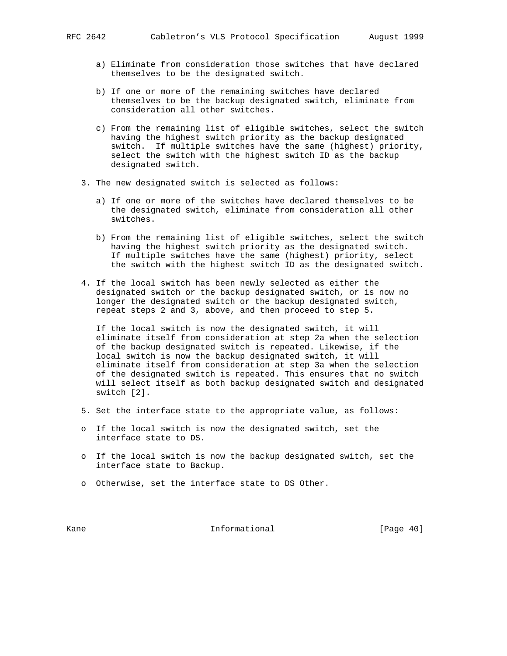- a) Eliminate from consideration those switches that have declared themselves to be the designated switch.
- b) If one or more of the remaining switches have declared themselves to be the backup designated switch, eliminate from consideration all other switches.
- c) From the remaining list of eligible switches, select the switch having the highest switch priority as the backup designated switch. If multiple switches have the same (highest) priority, select the switch with the highest switch ID as the backup designated switch.
- 3. The new designated switch is selected as follows:
	- a) If one or more of the switches have declared themselves to be the designated switch, eliminate from consideration all other switches.
	- b) From the remaining list of eligible switches, select the switch having the highest switch priority as the designated switch. If multiple switches have the same (highest) priority, select the switch with the highest switch ID as the designated switch.
- 4. If the local switch has been newly selected as either the designated switch or the backup designated switch, or is now no longer the designated switch or the backup designated switch, repeat steps 2 and 3, above, and then proceed to step 5.

 If the local switch is now the designated switch, it will eliminate itself from consideration at step 2a when the selection of the backup designated switch is repeated. Likewise, if the local switch is now the backup designated switch, it will eliminate itself from consideration at step 3a when the selection of the designated switch is repeated. This ensures that no switch will select itself as both backup designated switch and designated switch [2].

- 5. Set the interface state to the appropriate value, as follows:
- o If the local switch is now the designated switch, set the interface state to DS.
- o If the local switch is now the backup designated switch, set the interface state to Backup.
- o Otherwise, set the interface state to DS Other.

Kane **Informational Informational** [Page 40]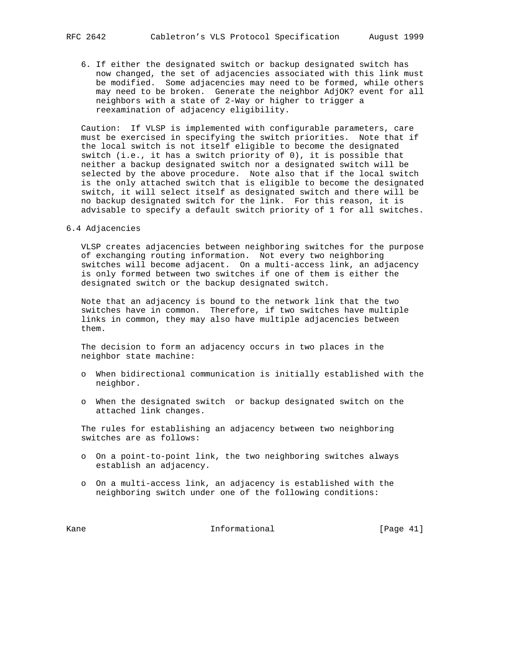6. If either the designated switch or backup designated switch has now changed, the set of adjacencies associated with this link must be modified. Some adjacencies may need to be formed, while others may need to be broken. Generate the neighbor AdjOK? event for all neighbors with a state of 2-Way or higher to trigger a reexamination of adjacency eligibility.

 Caution: If VLSP is implemented with configurable parameters, care must be exercised in specifying the switch priorities. Note that if the local switch is not itself eligible to become the designated switch (i.e., it has a switch priority of 0), it is possible that neither a backup designated switch nor a designated switch will be selected by the above procedure. Note also that if the local switch is the only attached switch that is eligible to become the designated switch, it will select itself as designated switch and there will be no backup designated switch for the link. For this reason, it is advisable to specify a default switch priority of 1 for all switches.

6.4 Adjacencies

 VLSP creates adjacencies between neighboring switches for the purpose of exchanging routing information. Not every two neighboring switches will become adjacent. On a multi-access link, an adjacency is only formed between two switches if one of them is either the designated switch or the backup designated switch.

 Note that an adjacency is bound to the network link that the two switches have in common. Therefore, if two switches have multiple links in common, they may also have multiple adjacencies between them.

 The decision to form an adjacency occurs in two places in the neighbor state machine:

- o When bidirectional communication is initially established with the neighbor.
- o When the designated switch or backup designated switch on the attached link changes.

 The rules for establishing an adjacency between two neighboring switches are as follows:

- o On a point-to-point link, the two neighboring switches always establish an adjacency.
- o On a multi-access link, an adjacency is established with the neighboring switch under one of the following conditions:

Kane Informational [Page 41]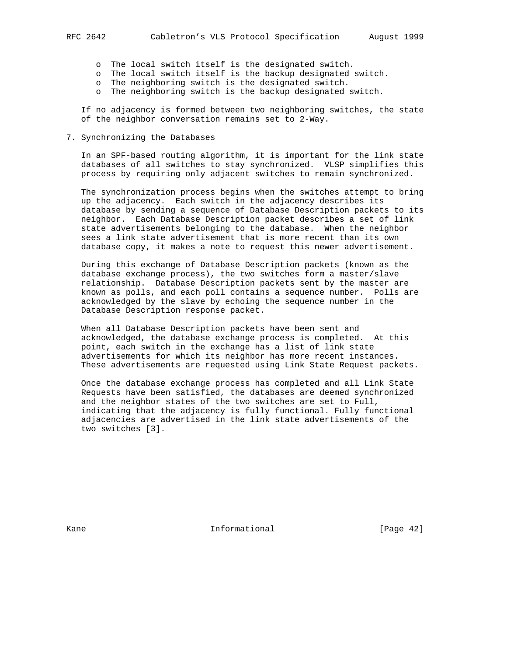- o The local switch itself is the designated switch.
- o The local switch itself is the backup designated switch.
- o The neighboring switch is the designated switch.
- o The neighboring switch is the backup designated switch.

 If no adjacency is formed between two neighboring switches, the state of the neighbor conversation remains set to 2-Way.

# 7. Synchronizing the Databases

 In an SPF-based routing algorithm, it is important for the link state databases of all switches to stay synchronized. VLSP simplifies this process by requiring only adjacent switches to remain synchronized.

 The synchronization process begins when the switches attempt to bring up the adjacency. Each switch in the adjacency describes its database by sending a sequence of Database Description packets to its neighbor. Each Database Description packet describes a set of link state advertisements belonging to the database. When the neighbor sees a link state advertisement that is more recent than its own database copy, it makes a note to request this newer advertisement.

 During this exchange of Database Description packets (known as the database exchange process), the two switches form a master/slave relationship. Database Description packets sent by the master are known as polls, and each poll contains a sequence number. Polls are acknowledged by the slave by echoing the sequence number in the Database Description response packet.

 When all Database Description packets have been sent and acknowledged, the database exchange process is completed. At this point, each switch in the exchange has a list of link state advertisements for which its neighbor has more recent instances. These advertisements are requested using Link State Request packets.

 Once the database exchange process has completed and all Link State Requests have been satisfied, the databases are deemed synchronized and the neighbor states of the two switches are set to Full, indicating that the adjacency is fully functional. Fully functional adjacencies are advertised in the link state advertisements of the two switches [3].

Kane **Informational Informational** [Page 42]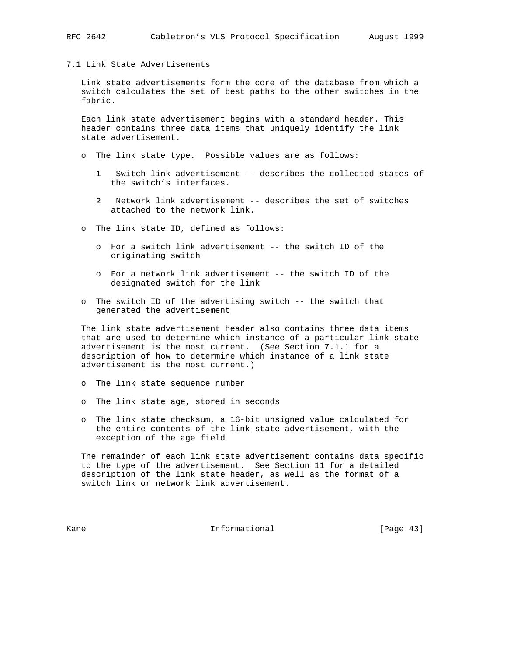7.1 Link State Advertisements

 Link state advertisements form the core of the database from which a switch calculates the set of best paths to the other switches in the fabric.

 Each link state advertisement begins with a standard header. This header contains three data items that uniquely identify the link state advertisement.

- o The link state type. Possible values are as follows:
	- 1 Switch link advertisement -- describes the collected states of the switch's interfaces.
	- 2 Network link advertisement -- describes the set of switches attached to the network link.
- o The link state ID, defined as follows:
	- o For a switch link advertisement -- the switch ID of the originating switch
	- o For a network link advertisement -- the switch ID of the designated switch for the link
- o The switch ID of the advertising switch -- the switch that generated the advertisement

 The link state advertisement header also contains three data items that are used to determine which instance of a particular link state advertisement is the most current. (See Section 7.1.1 for a description of how to determine which instance of a link state advertisement is the most current.)

- o The link state sequence number
- o The link state age, stored in seconds
- o The link state checksum, a 16-bit unsigned value calculated for the entire contents of the link state advertisement, with the exception of the age field

 The remainder of each link state advertisement contains data specific to the type of the advertisement. See Section 11 for a detailed description of the link state header, as well as the format of a switch link or network link advertisement.

Kane **Informational Informational** [Page 43]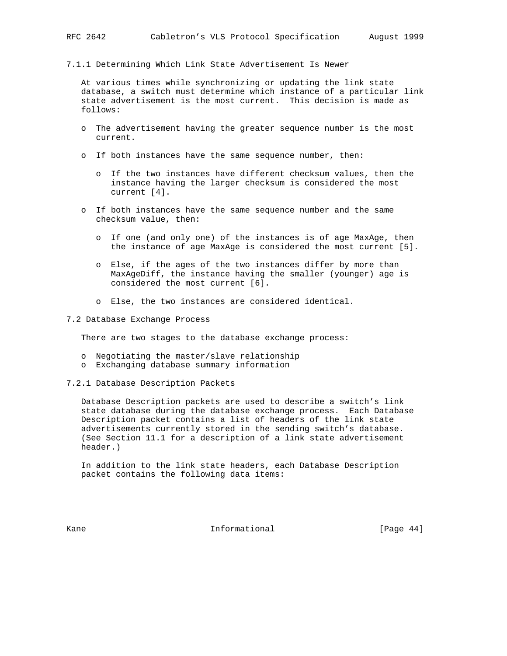7.1.1 Determining Which Link State Advertisement Is Newer

 At various times while synchronizing or updating the link state database, a switch must determine which instance of a particular link state advertisement is the most current. This decision is made as follows:

- o The advertisement having the greater sequence number is the most current.
- o If both instances have the same sequence number, then:
	- o If the two instances have different checksum values, then the instance having the larger checksum is considered the most current [4].
- o If both instances have the same sequence number and the same checksum value, then:
	- o If one (and only one) of the instances is of age MaxAge, then the instance of age MaxAge is considered the most current [5].
	- o Else, if the ages of the two instances differ by more than MaxAgeDiff, the instance having the smaller (younger) age is considered the most current [6].
	- o Else, the two instances are considered identical.
- 7.2 Database Exchange Process

There are two stages to the database exchange process:

- o Negotiating the master/slave relationship
- o Exchanging database summary information
- 7.2.1 Database Description Packets

 Database Description packets are used to describe a switch's link state database during the database exchange process. Each Database Description packet contains a list of headers of the link state advertisements currently stored in the sending switch's database. (See Section 11.1 for a description of a link state advertisement header.)

 In addition to the link state headers, each Database Description packet contains the following data items:

Kane **Informational Informational** [Page 44]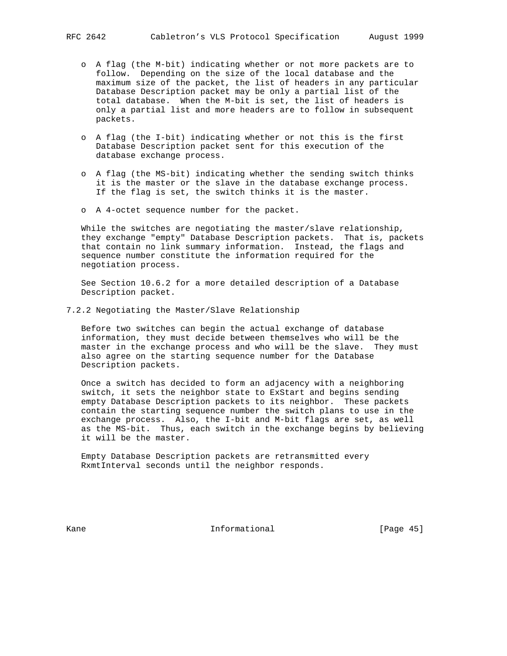- o A flag (the M-bit) indicating whether or not more packets are to follow. Depending on the size of the local database and the maximum size of the packet, the list of headers in any particular Database Description packet may be only a partial list of the total database. When the M-bit is set, the list of headers is only a partial list and more headers are to follow in subsequent packets.
- o A flag (the I-bit) indicating whether or not this is the first Database Description packet sent for this execution of the database exchange process.
- o A flag (the MS-bit) indicating whether the sending switch thinks it is the master or the slave in the database exchange process. If the flag is set, the switch thinks it is the master.
- o A 4-octet sequence number for the packet.

 While the switches are negotiating the master/slave relationship, they exchange "empty" Database Description packets. That is, packets that contain no link summary information. Instead, the flags and sequence number constitute the information required for the negotiation process.

 See Section 10.6.2 for a more detailed description of a Database Description packet.

7.2.2 Negotiating the Master/Slave Relationship

 Before two switches can begin the actual exchange of database information, they must decide between themselves who will be the master in the exchange process and who will be the slave. They must also agree on the starting sequence number for the Database Description packets.

 Once a switch has decided to form an adjacency with a neighboring switch, it sets the neighbor state to ExStart and begins sending empty Database Description packets to its neighbor. These packets contain the starting sequence number the switch plans to use in the exchange process. Also, the I-bit and M-bit flags are set, as well as the MS-bit. Thus, each switch in the exchange begins by believing it will be the master.

 Empty Database Description packets are retransmitted every RxmtInterval seconds until the neighbor responds.

Kane **Informational Informational** [Page 45]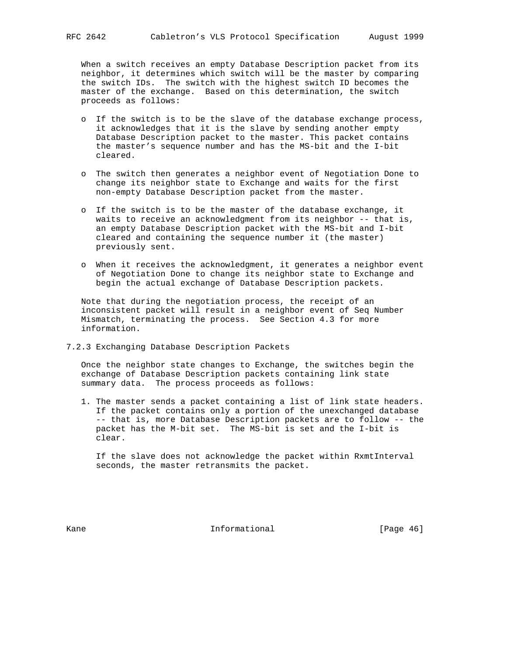When a switch receives an empty Database Description packet from its neighbor, it determines which switch will be the master by comparing the switch IDs. The switch with the highest switch ID becomes the master of the exchange. Based on this determination, the switch proceeds as follows:

- o If the switch is to be the slave of the database exchange process, it acknowledges that it is the slave by sending another empty Database Description packet to the master. This packet contains the master's sequence number and has the MS-bit and the I-bit cleared.
- o The switch then generates a neighbor event of Negotiation Done to change its neighbor state to Exchange and waits for the first non-empty Database Description packet from the master.
- o If the switch is to be the master of the database exchange, it waits to receive an acknowledgment from its neighbor -- that is, an empty Database Description packet with the MS-bit and I-bit cleared and containing the sequence number it (the master) previously sent.
- o When it receives the acknowledgment, it generates a neighbor event of Negotiation Done to change its neighbor state to Exchange and begin the actual exchange of Database Description packets.

 Note that during the negotiation process, the receipt of an inconsistent packet will result in a neighbor event of Seq Number Mismatch, terminating the process. See Section 4.3 for more information.

7.2.3 Exchanging Database Description Packets

 Once the neighbor state changes to Exchange, the switches begin the exchange of Database Description packets containing link state summary data. The process proceeds as follows:

 1. The master sends a packet containing a list of link state headers. If the packet contains only a portion of the unexchanged database -- that is, more Database Description packets are to follow -- the packet has the M-bit set. The MS-bit is set and the I-bit is clear.

 If the slave does not acknowledge the packet within RxmtInterval seconds, the master retransmits the packet.

Kane **Informational Informational** [Page 46]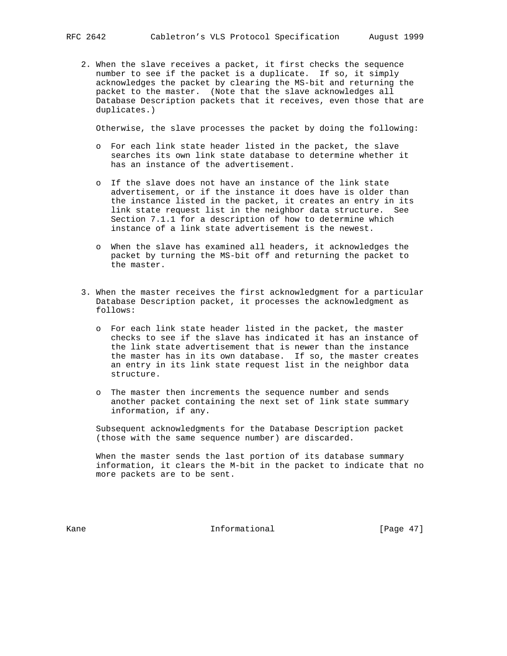2. When the slave receives a packet, it first checks the sequence number to see if the packet is a duplicate. If so, it simply acknowledges the packet by clearing the MS-bit and returning the packet to the master. (Note that the slave acknowledges all Database Description packets that it receives, even those that are duplicates.)

Otherwise, the slave processes the packet by doing the following:

- o For each link state header listed in the packet, the slave searches its own link state database to determine whether it has an instance of the advertisement.
- o If the slave does not have an instance of the link state advertisement, or if the instance it does have is older than the instance listed in the packet, it creates an entry in its link state request list in the neighbor data structure. See Section 7.1.1 for a description of how to determine which instance of a link state advertisement is the newest.
- o When the slave has examined all headers, it acknowledges the packet by turning the MS-bit off and returning the packet to the master.
- 3. When the master receives the first acknowledgment for a particular Database Description packet, it processes the acknowledgment as follows:
	- o For each link state header listed in the packet, the master checks to see if the slave has indicated it has an instance of the link state advertisement that is newer than the instance the master has in its own database. If so, the master creates an entry in its link state request list in the neighbor data structure.
	- o The master then increments the sequence number and sends another packet containing the next set of link state summary information, if any.

 Subsequent acknowledgments for the Database Description packet (those with the same sequence number) are discarded.

When the master sends the last portion of its database summary information, it clears the M-bit in the packet to indicate that no more packets are to be sent.

Kane **Informational Informational** [Page 47]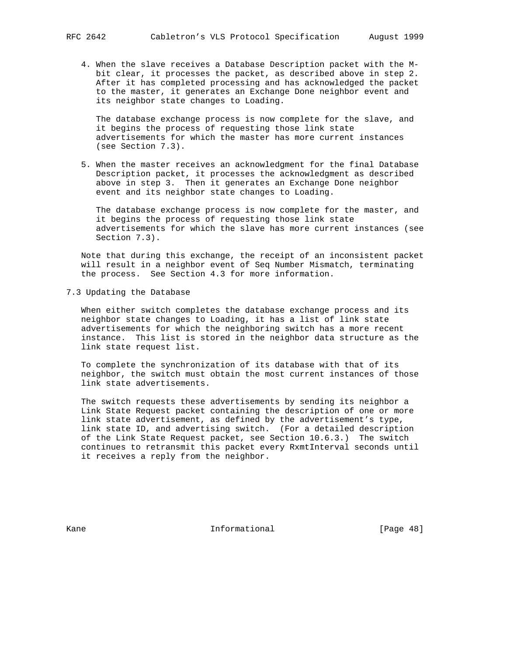4. When the slave receives a Database Description packet with the M bit clear, it processes the packet, as described above in step 2. After it has completed processing and has acknowledged the packet to the master, it generates an Exchange Done neighbor event and its neighbor state changes to Loading.

 The database exchange process is now complete for the slave, and it begins the process of requesting those link state advertisements for which the master has more current instances (see Section 7.3).

 5. When the master receives an acknowledgment for the final Database Description packet, it processes the acknowledgment as described above in step 3. Then it generates an Exchange Done neighbor event and its neighbor state changes to Loading.

 The database exchange process is now complete for the master, and it begins the process of requesting those link state advertisements for which the slave has more current instances (see Section 7.3).

 Note that during this exchange, the receipt of an inconsistent packet will result in a neighbor event of Seq Number Mismatch, terminating the process. See Section 4.3 for more information.

7.3 Updating the Database

 When either switch completes the database exchange process and its neighbor state changes to Loading, it has a list of link state advertisements for which the neighboring switch has a more recent instance. This list is stored in the neighbor data structure as the link state request list.

 To complete the synchronization of its database with that of its neighbor, the switch must obtain the most current instances of those link state advertisements.

 The switch requests these advertisements by sending its neighbor a Link State Request packet containing the description of one or more link state advertisement, as defined by the advertisement's type, link state ID, and advertising switch. (For a detailed description of the Link State Request packet, see Section 10.6.3.) The switch continues to retransmit this packet every RxmtInterval seconds until it receives a reply from the neighbor.

Kane **Informational Informational** [Page 48]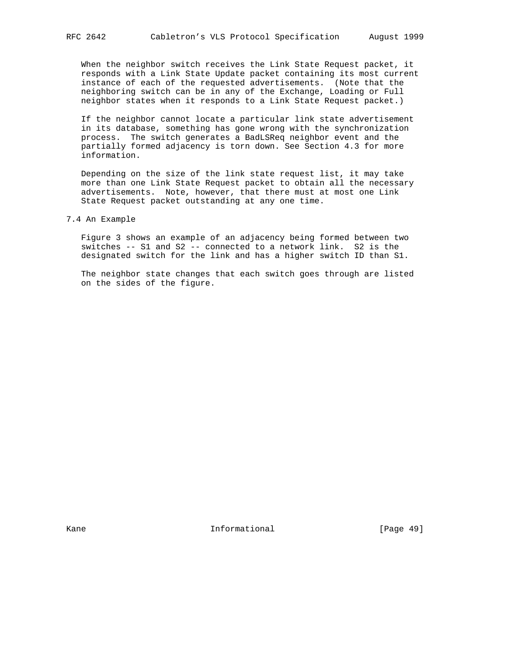When the neighbor switch receives the Link State Request packet, it responds with a Link State Update packet containing its most current instance of each of the requested advertisements. (Note that the neighboring switch can be in any of the Exchange, Loading or Full neighbor states when it responds to a Link State Request packet.)

 If the neighbor cannot locate a particular link state advertisement in its database, something has gone wrong with the synchronization process. The switch generates a BadLSReq neighbor event and the partially formed adjacency is torn down. See Section 4.3 for more information.

 Depending on the size of the link state request list, it may take more than one Link State Request packet to obtain all the necessary advertisements. Note, however, that there must at most one Link State Request packet outstanding at any one time.

 Figure 3 shows an example of an adjacency being formed between two switches -- S1 and S2 -- connected to a network link. S2 is the designated switch for the link and has a higher switch ID than S1.

 The neighbor state changes that each switch goes through are listed on the sides of the figure.

Kane **Informational Informational** [Page 49]

<sup>7.4</sup> An Example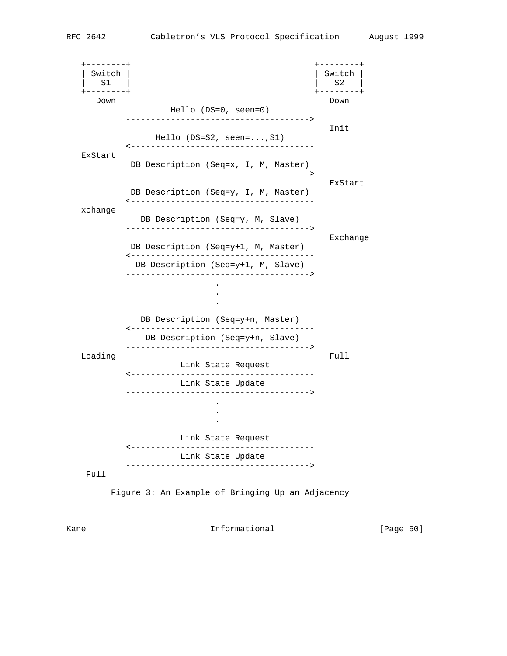+--------+ +--------+ | Switch | | Switch |  $|$  S1 | S2 +--------+ +--------+ Down Down Hello (DS=0, seen=0) -------------------------------------> **Inites and Security Construction of the Security Construction of the Inites of the Inites of the Inites of the Inites of the Inites of the Inites of the Inites of the Inites of the Inites of the Inites of the Inites of th**  Hello (DS=S2, seen=...,S1) <------------------------------------- ExStart DB Description (Seq=x, I, M, Master) -------------------------------------> ExStart DB Description (Seq=y, I, M, Master) <------------------------------------ xchange DB Description (Seq=y, M, Slave) -------------------------------------> Exchange DB Description (Seq=y+1, M, Master) <------------------------------------- DB Description (Seq=y+1, M, Slave) -------------------------------------> **.** The contract of the contract of the contract of the contract of the contract of the contract of the contract of **.** The contract of the contract of the contract of the contract of the contract of the contract of the contract of . DB Description (Seq=y+n, Master) <------------------------------------- DB Description (Seq=y+n, Slave) -------------------------------------> Loading Full Link State Request <------------------------------------- Link State Update -------------------------------------> **.** The contract of the contract of the contract of the contract of the contract of the contract of the contract of . **.** The contract of the contract of the contract of the contract of the contract of the contract of the contract of Link State Request <------------------------------------- Link State Update -------------------------------------> Full Figure 3: An Example of Bringing Up an Adjacency

Kane **Informational Informational** [Page 50]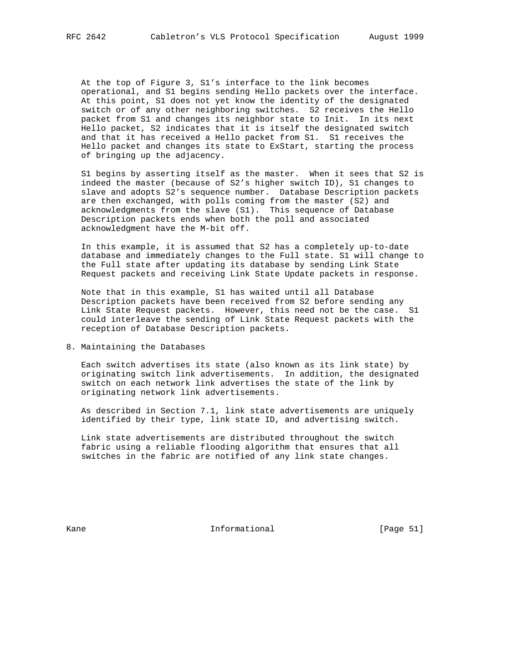At the top of Figure 3, S1's interface to the link becomes operational, and S1 begins sending Hello packets over the interface. At this point, S1 does not yet know the identity of the designated switch or of any other neighboring switches. S2 receives the Hello packet from S1 and changes its neighbor state to Init. In its next Hello packet, S2 indicates that it is itself the designated switch and that it has received a Hello packet from S1. S1 receives the Hello packet and changes its state to ExStart, starting the process of bringing up the adjacency.

 S1 begins by asserting itself as the master. When it sees that S2 is indeed the master (because of S2's higher switch ID), S1 changes to slave and adopts S2's sequence number. Database Description packets are then exchanged, with polls coming from the master (S2) and acknowledgments from the slave (S1). This sequence of Database Description packets ends when both the poll and associated acknowledgment have the M-bit off.

 In this example, it is assumed that S2 has a completely up-to-date database and immediately changes to the Full state. S1 will change to the Full state after updating its database by sending Link State Request packets and receiving Link State Update packets in response.

 Note that in this example, S1 has waited until all Database Description packets have been received from S2 before sending any Link State Request packets. However, this need not be the case. S1 could interleave the sending of Link State Request packets with the reception of Database Description packets.

8. Maintaining the Databases

 Each switch advertises its state (also known as its link state) by originating switch link advertisements. In addition, the designated switch on each network link advertises the state of the link by originating network link advertisements.

 As described in Section 7.1, link state advertisements are uniquely identified by their type, link state ID, and advertising switch.

 Link state advertisements are distributed throughout the switch fabric using a reliable flooding algorithm that ensures that all switches in the fabric are notified of any link state changes.

Kane **Informational Informational** [Page 51]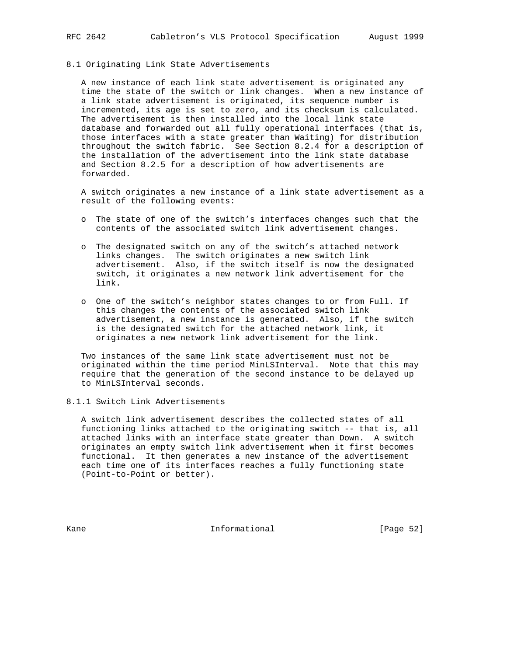# 8.1 Originating Link State Advertisements

 A new instance of each link state advertisement is originated any time the state of the switch or link changes. When a new instance of a link state advertisement is originated, its sequence number is incremented, its age is set to zero, and its checksum is calculated. The advertisement is then installed into the local link state database and forwarded out all fully operational interfaces (that is, those interfaces with a state greater than Waiting) for distribution throughout the switch fabric. See Section 8.2.4 for a description of the installation of the advertisement into the link state database and Section 8.2.5 for a description of how advertisements are forwarded.

 A switch originates a new instance of a link state advertisement as a result of the following events:

- o The state of one of the switch's interfaces changes such that the contents of the associated switch link advertisement changes.
- o The designated switch on any of the switch's attached network links changes. The switch originates a new switch link advertisement. Also, if the switch itself is now the designated switch, it originates a new network link advertisement for the link.
- o One of the switch's neighbor states changes to or from Full. If this changes the contents of the associated switch link advertisement, a new instance is generated. Also, if the switch is the designated switch for the attached network link, it originates a new network link advertisement for the link.

 Two instances of the same link state advertisement must not be originated within the time period MinLSInterval. Note that this may require that the generation of the second instance to be delayed up to MinLSInterval seconds.

# 8.1.1 Switch Link Advertisements

 A switch link advertisement describes the collected states of all functioning links attached to the originating switch -- that is, all attached links with an interface state greater than Down. A switch originates an empty switch link advertisement when it first becomes functional. It then generates a new instance of the advertisement each time one of its interfaces reaches a fully functioning state (Point-to-Point or better).

Kane **Informational Informational** [Page 52]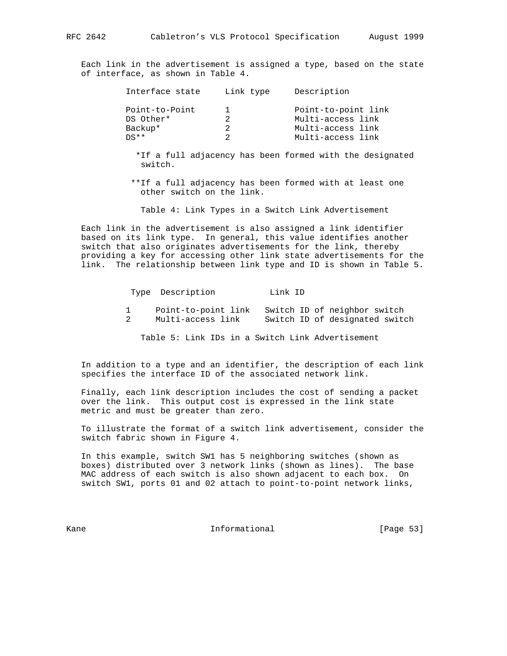Each link in the advertisement is assigned a type, based on the state of interface, as shown in Table 4.

| Interface state | Link type | Description         |  |
|-----------------|-----------|---------------------|--|
| Point-to-Point  |           | Point-to-point link |  |
| DS Other*       |           | Multi-access link   |  |
| Backup*         |           | Multi-access link   |  |
| $DS**$          |           | Multi-access link   |  |
|                 |           |                     |  |

 \*If a full adjacency has been formed with the designated switch.

 \*\*If a full adjacency has been formed with at least one other switch on the link.

Table 4: Link Types in a Switch Link Advertisement

 Each link in the advertisement is also assigned a link identifier based on its link type. In general, this value identifies another switch that also originates advertisements for the link, thereby providing a key for accessing other link state advertisements for the link. The relationship between link type and ID is shown in Table 5.

| Type Description    | Link ID |                                |  |
|---------------------|---------|--------------------------------|--|
| Point-to-point link |         | Switch ID of neighbor switch   |  |
| Multi-access link   |         | Switch ID of designated switch |  |

Table 5: Link IDs in a Switch Link Advertisement

 In addition to a type and an identifier, the description of each link specifies the interface ID of the associated network link.

 Finally, each link description includes the cost of sending a packet over the link. This output cost is expressed in the link state metric and must be greater than zero.

 To illustrate the format of a switch link advertisement, consider the switch fabric shown in Figure 4.

 In this example, switch SW1 has 5 neighboring switches (shown as boxes) distributed over 3 network links (shown as lines). The base MAC address of each switch is also shown adjacent to each box. On switch SW1, ports 01 and 02 attach to point-to-point network links,

Kane **Informational Informational** [Page 53]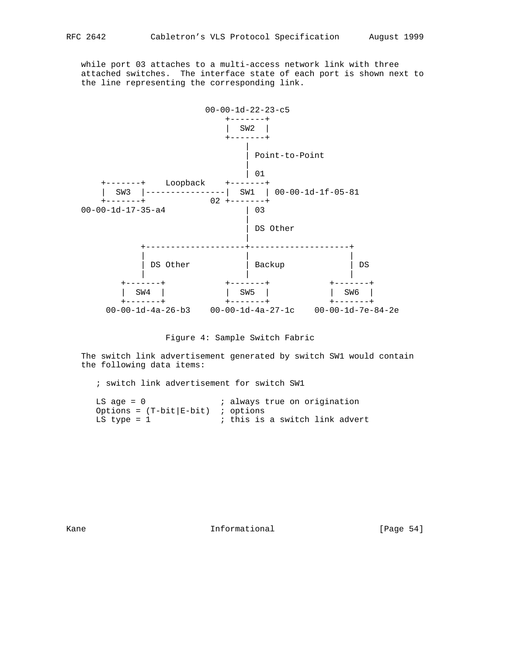while port 03 attaches to a multi-access network link with three attached switches. The interface state of each port is shown next to the line representing the corresponding link.



Figure 4: Sample Switch Fabric

 The switch link advertisement generated by switch SW1 would contain the following data items:

; switch link advertisement for switch SW1

| $LS$ age = $0$                            | ; always true on origination   |
|-------------------------------------------|--------------------------------|
| Options = $(T - bit   E - bit)$ ; options |                                |
| $LS$ type = $1$                           | ; this is a switch link advert |

Kane Informational [Page 54]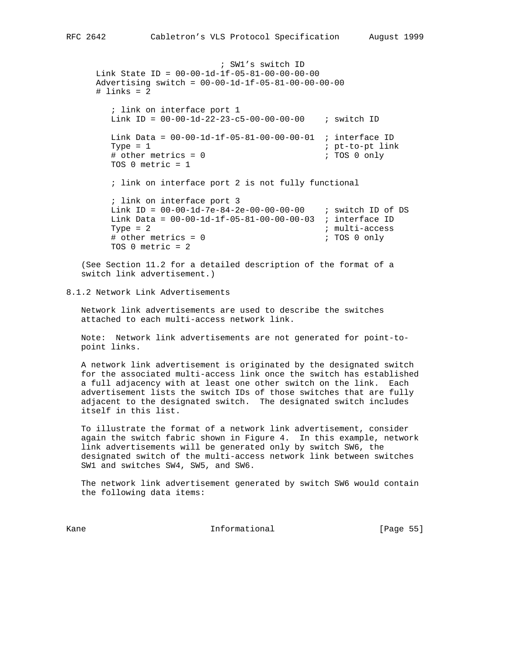```
 ; SW1's switch ID
 Link State ID = 00-00-1d-1f-05-81-00-00-00-00
 Advertising switch = 00-00-1d-1f-05-81-00-00-00-00
\# links = 2
   ; link on interface port 1
   Link ID = 00-00-1d-22-23-c5-00-00-00-00 ; switch ID
   Link Data = 00-00-1d-1f-05-81-00-00-00-01 ; interface ID
  Type = 1 ; pt-to-pt link
   # other metrics = 0 ; TOS 0 only
   TOS 0 metric = 1
   ; link on interface port 2 is not fully functional
   ; link on interface port 3
   Link ID = 00-00-1d-7e-84-2e-00-00-00-00 ; switch ID of DS
   Link Data = 00-00-1d-1f-05-81-00-00-00-03 ; interface ID
  Type = 2 \qquad \qquad ; \text{ multi-access}# other metrics = 0 \qquad ; TOS 0 only
   TOS 0 metric = 2
```
 (See Section 11.2 for a detailed description of the format of a switch link advertisement.)

8.1.2 Network Link Advertisements

 Network link advertisements are used to describe the switches attached to each multi-access network link.

 Note: Network link advertisements are not generated for point-to point links.

 A network link advertisement is originated by the designated switch for the associated multi-access link once the switch has established a full adjacency with at least one other switch on the link. Each advertisement lists the switch IDs of those switches that are fully adjacent to the designated switch. The designated switch includes itself in this list.

 To illustrate the format of a network link advertisement, consider again the switch fabric shown in Figure 4. In this example, network link advertisements will be generated only by switch SW6, the designated switch of the multi-access network link between switches SW1 and switches SW4, SW5, and SW6.

 The network link advertisement generated by switch SW6 would contain the following data items:

Kane **Informational Informational** [Page 55]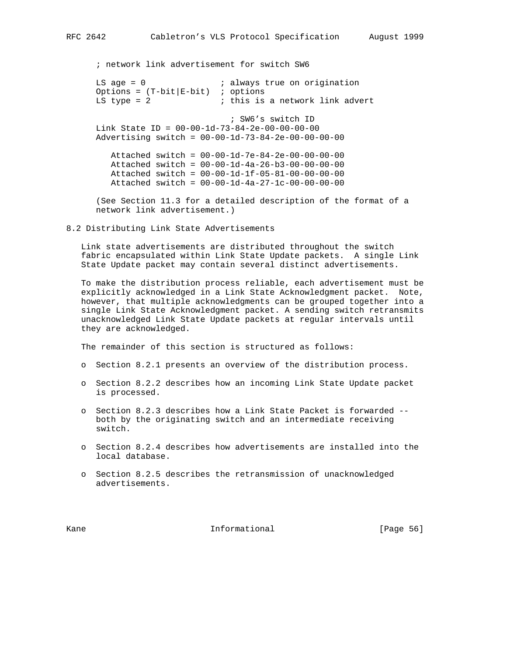LS age = 0  $\frac{1}{5}$  ; always true on origination Options =  $(T-bit|E-bit)$  ; options<br>LS type = 2 ; this is ; this is a network link advert ; SW6's switch ID Link State ID = 00-00-1d-73-84-2e-00-00-00-00 Advertising switch = 00-00-1d-73-84-2e-00-00-00-00 Attached switch = 00-00-1d-7e-84-2e-00-00-00-00 Attached switch = 00-00-1d-4a-26-b3-00-00-00-00 Attached switch = 00-00-1d-1f-05-81-00-00-00-00 Attached switch = 00-00-1d-4a-27-1c-00-00-00-00

; network link advertisement for switch SW6

 (See Section 11.3 for a detailed description of the format of a network link advertisement.)

8.2 Distributing Link State Advertisements

 Link state advertisements are distributed throughout the switch fabric encapsulated within Link State Update packets. A single Link State Update packet may contain several distinct advertisements.

 To make the distribution process reliable, each advertisement must be explicitly acknowledged in a Link State Acknowledgment packet. Note, however, that multiple acknowledgments can be grouped together into a single Link State Acknowledgment packet. A sending switch retransmits unacknowledged Link State Update packets at regular intervals until they are acknowledged.

The remainder of this section is structured as follows:

- o Section 8.2.1 presents an overview of the distribution process.
- o Section 8.2.2 describes how an incoming Link State Update packet is processed.
- o Section 8.2.3 describes how a Link State Packet is forwarded both by the originating switch and an intermediate receiving switch.
- o Section 8.2.4 describes how advertisements are installed into the local database.
- o Section 8.2.5 describes the retransmission of unacknowledged advertisements.

Kane **Informational Informational** [Page 56]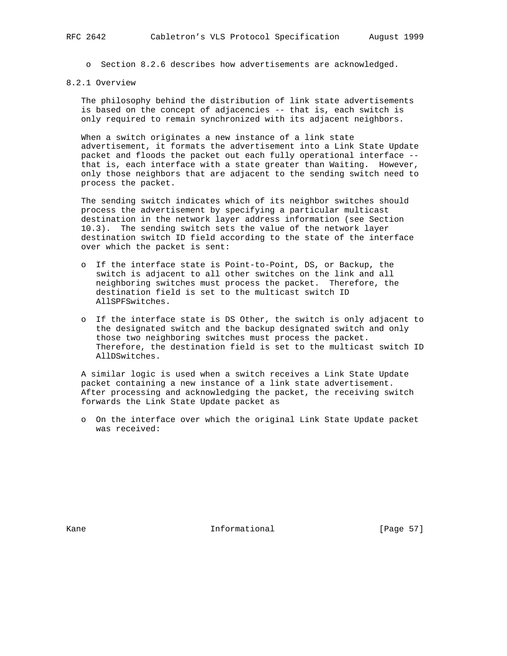o Section 8.2.6 describes how advertisements are acknowledged.

# 8.2.1 Overview

 The philosophy behind the distribution of link state advertisements is based on the concept of adjacencies -- that is, each switch is only required to remain synchronized with its adjacent neighbors.

 When a switch originates a new instance of a link state advertisement, it formats the advertisement into a Link State Update packet and floods the packet out each fully operational interface - that is, each interface with a state greater than Waiting. However, only those neighbors that are adjacent to the sending switch need to process the packet.

 The sending switch indicates which of its neighbor switches should process the advertisement by specifying a particular multicast destination in the network layer address information (see Section 10.3). The sending switch sets the value of the network layer destination switch ID field according to the state of the interface over which the packet is sent:

- o If the interface state is Point-to-Point, DS, or Backup, the switch is adjacent to all other switches on the link and all neighboring switches must process the packet. Therefore, the destination field is set to the multicast switch ID AllSPFSwitches.
- o If the interface state is DS Other, the switch is only adjacent to the designated switch and the backup designated switch and only those two neighboring switches must process the packet. Therefore, the destination field is set to the multicast switch ID AllDSwitches.

 A similar logic is used when a switch receives a Link State Update packet containing a new instance of a link state advertisement. After processing and acknowledging the packet, the receiving switch forwards the Link State Update packet as

 o On the interface over which the original Link State Update packet was received:

Kane **Informational Informational** [Page 57]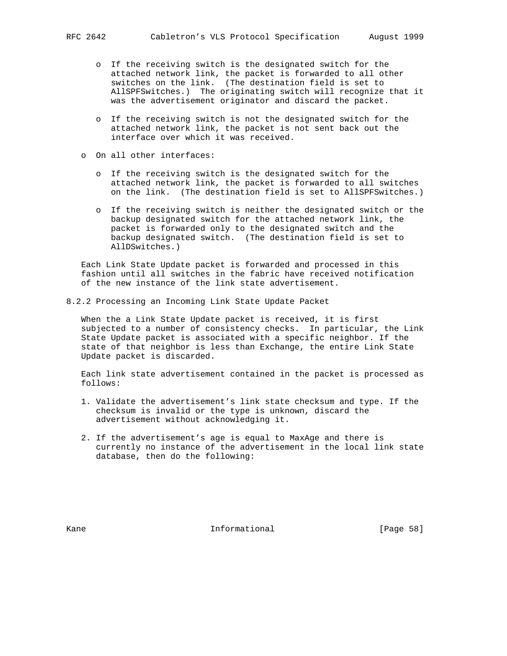- o If the receiving switch is the designated switch for the attached network link, the packet is forwarded to all other switches on the link. (The destination field is set to AllSPFSwitches.) The originating switch will recognize that it was the advertisement originator and discard the packet.
- o If the receiving switch is not the designated switch for the attached network link, the packet is not sent back out the interface over which it was received.
- o On all other interfaces:
	- o If the receiving switch is the designated switch for the attached network link, the packet is forwarded to all switches on the link. (The destination field is set to AllSPFSwitches.)
	- o If the receiving switch is neither the designated switch or the backup designated switch for the attached network link, the packet is forwarded only to the designated switch and the backup designated switch. (The destination field is set to AllDSwitches.)

 Each Link State Update packet is forwarded and processed in this fashion until all switches in the fabric have received notification of the new instance of the link state advertisement.

8.2.2 Processing an Incoming Link State Update Packet

 When the a Link State Update packet is received, it is first subjected to a number of consistency checks. In particular, the Link State Update packet is associated with a specific neighbor. If the state of that neighbor is less than Exchange, the entire Link State Update packet is discarded.

 Each link state advertisement contained in the packet is processed as follows:

- 1. Validate the advertisement's link state checksum and type. If the checksum is invalid or the type is unknown, discard the advertisement without acknowledging it.
- 2. If the advertisement's age is equal to MaxAge and there is currently no instance of the advertisement in the local link state database, then do the following:

Kane **Informational Informational** [Page 58]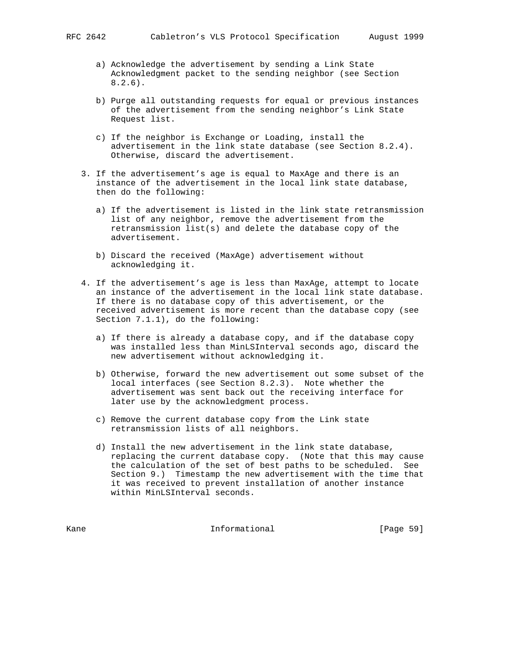- - a) Acknowledge the advertisement by sending a Link State Acknowledgment packet to the sending neighbor (see Section 8.2.6).
	- b) Purge all outstanding requests for equal or previous instances of the advertisement from the sending neighbor's Link State Request list.
	- c) If the neighbor is Exchange or Loading, install the advertisement in the link state database (see Section 8.2.4). Otherwise, discard the advertisement.
	- 3. If the advertisement's age is equal to MaxAge and there is an instance of the advertisement in the local link state database, then do the following:
		- a) If the advertisement is listed in the link state retransmission list of any neighbor, remove the advertisement from the retransmission list(s) and delete the database copy of the advertisement.
		- b) Discard the received (MaxAge) advertisement without acknowledging it.
	- 4. If the advertisement's age is less than MaxAge, attempt to locate an instance of the advertisement in the local link state database. If there is no database copy of this advertisement, or the received advertisement is more recent than the database copy (see Section 7.1.1), do the following:
		- a) If there is already a database copy, and if the database copy was installed less than MinLSInterval seconds ago, discard the new advertisement without acknowledging it.
		- b) Otherwise, forward the new advertisement out some subset of the local interfaces (see Section 8.2.3). Note whether the advertisement was sent back out the receiving interface for later use by the acknowledgment process.
		- c) Remove the current database copy from the Link state retransmission lists of all neighbors.
		- d) Install the new advertisement in the link state database, replacing the current database copy. (Note that this may cause the calculation of the set of best paths to be scheduled. See Section 9.) Timestamp the new advertisement with the time that it was received to prevent installation of another instance within MinLSInterval seconds.

Kane **Informational Informational** [Page 59]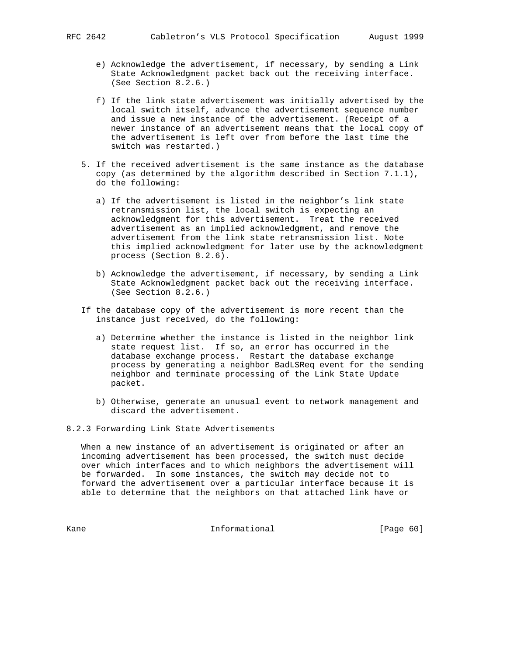- e) Acknowledge the advertisement, if necessary, by sending a Link State Acknowledgment packet back out the receiving interface. (See Section 8.2.6.)
- f) If the link state advertisement was initially advertised by the local switch itself, advance the advertisement sequence number and issue a new instance of the advertisement. (Receipt of a newer instance of an advertisement means that the local copy of the advertisement is left over from before the last time the switch was restarted.)
- 5. If the received advertisement is the same instance as the database copy (as determined by the algorithm described in Section 7.1.1), do the following:
	- a) If the advertisement is listed in the neighbor's link state retransmission list, the local switch is expecting an acknowledgment for this advertisement. Treat the received advertisement as an implied acknowledgment, and remove the advertisement from the link state retransmission list. Note this implied acknowledgment for later use by the acknowledgment process (Section 8.2.6).
	- b) Acknowledge the advertisement, if necessary, by sending a Link State Acknowledgment packet back out the receiving interface. (See Section 8.2.6.)
- If the database copy of the advertisement is more recent than the instance just received, do the following:
	- a) Determine whether the instance is listed in the neighbor link state request list. If so, an error has occurred in the database exchange process. Restart the database exchange process by generating a neighbor BadLSReq event for the sending neighbor and terminate processing of the Link State Update packet.
	- b) Otherwise, generate an unusual event to network management and discard the advertisement.
- 8.2.3 Forwarding Link State Advertisements

 When a new instance of an advertisement is originated or after an incoming advertisement has been processed, the switch must decide over which interfaces and to which neighbors the advertisement will be forwarded. In some instances, the switch may decide not to forward the advertisement over a particular interface because it is able to determine that the neighbors on that attached link have or

Kane Informational [Page 60]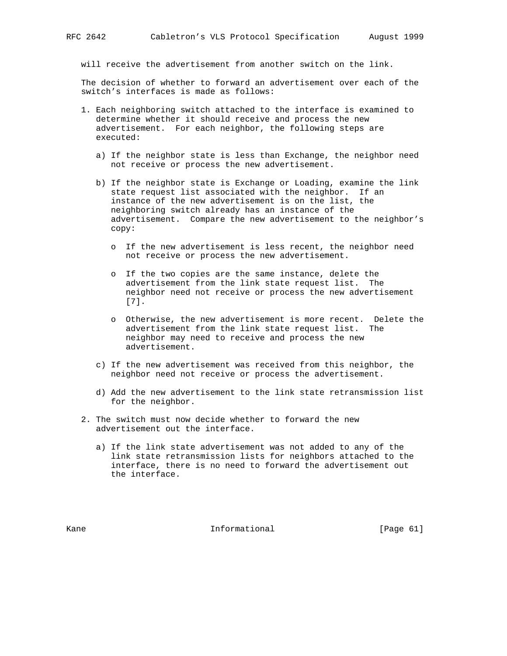will receive the advertisement from another switch on the link.

 The decision of whether to forward an advertisement over each of the switch's interfaces is made as follows:

- 1. Each neighboring switch attached to the interface is examined to determine whether it should receive and process the new advertisement. For each neighbor, the following steps are executed:
	- a) If the neighbor state is less than Exchange, the neighbor need not receive or process the new advertisement.
	- b) If the neighbor state is Exchange or Loading, examine the link state request list associated with the neighbor. If an instance of the new advertisement is on the list, the neighboring switch already has an instance of the advertisement. Compare the new advertisement to the neighbor's copy:
		- o If the new advertisement is less recent, the neighbor need not receive or process the new advertisement.
		- o If the two copies are the same instance, delete the advertisement from the link state request list. The neighbor need not receive or process the new advertisement [7].
		- o Otherwise, the new advertisement is more recent. Delete the advertisement from the link state request list. The neighbor may need to receive and process the new advertisement.
	- c) If the new advertisement was received from this neighbor, the neighbor need not receive or process the advertisement.
	- d) Add the new advertisement to the link state retransmission list for the neighbor.
- 2. The switch must now decide whether to forward the new advertisement out the interface.
	- a) If the link state advertisement was not added to any of the link state retransmission lists for neighbors attached to the interface, there is no need to forward the advertisement out the interface.

Kane **Informational Informational** [Page 61]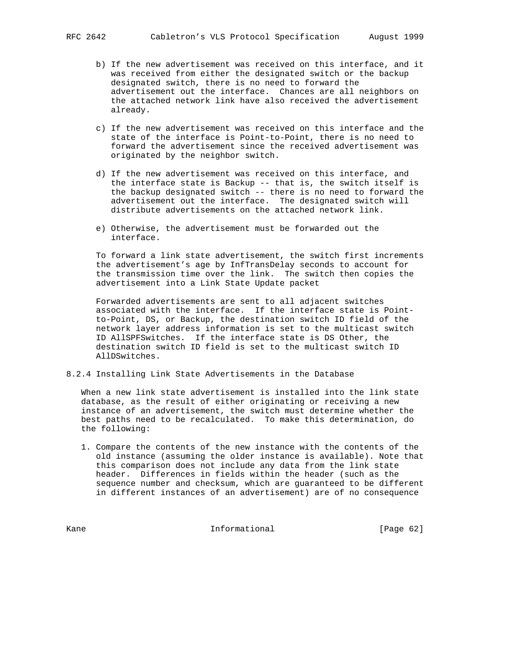- b) If the new advertisement was received on this interface, and it was received from either the designated switch or the backup designated switch, there is no need to forward the advertisement out the interface. Chances are all neighbors on the attached network link have also received the advertisement already.
- c) If the new advertisement was received on this interface and the state of the interface is Point-to-Point, there is no need to forward the advertisement since the received advertisement was originated by the neighbor switch.
- d) If the new advertisement was received on this interface, and the interface state is Backup -- that is, the switch itself is the backup designated switch -- there is no need to forward the advertisement out the interface. The designated switch will distribute advertisements on the attached network link.
- e) Otherwise, the advertisement must be forwarded out the interface.

 To forward a link state advertisement, the switch first increments the advertisement's age by InfTransDelay seconds to account for the transmission time over the link. The switch then copies the advertisement into a Link State Update packet

 Forwarded advertisements are sent to all adjacent switches associated with the interface. If the interface state is Point to-Point, DS, or Backup, the destination switch ID field of the network layer address information is set to the multicast switch ID AllSPFSwitches. If the interface state is DS Other, the destination switch ID field is set to the multicast switch ID AllDSwitches.

8.2.4 Installing Link State Advertisements in the Database

 When a new link state advertisement is installed into the link state database, as the result of either originating or receiving a new instance of an advertisement, the switch must determine whether the best paths need to be recalculated. To make this determination, do the following:

 1. Compare the contents of the new instance with the contents of the old instance (assuming the older instance is available). Note that this comparison does not include any data from the link state header. Differences in fields within the header (such as the sequence number and checksum, which are guaranteed to be different in different instances of an advertisement) are of no consequence

Kane Informational [Page 62]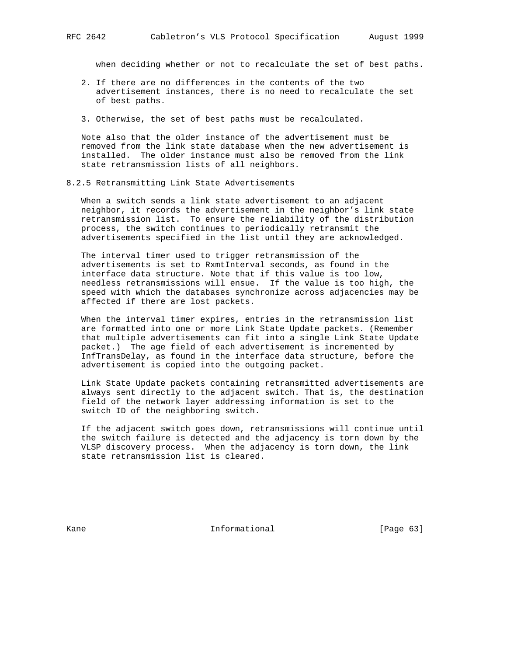when deciding whether or not to recalculate the set of best paths.

- 2. If there are no differences in the contents of the two advertisement instances, there is no need to recalculate the set of best paths.
- 3. Otherwise, the set of best paths must be recalculated.

 Note also that the older instance of the advertisement must be removed from the link state database when the new advertisement is installed. The older instance must also be removed from the link state retransmission lists of all neighbors.

8.2.5 Retransmitting Link State Advertisements

 When a switch sends a link state advertisement to an adjacent neighbor, it records the advertisement in the neighbor's link state retransmission list. To ensure the reliability of the distribution process, the switch continues to periodically retransmit the advertisements specified in the list until they are acknowledged.

 The interval timer used to trigger retransmission of the advertisements is set to RxmtInterval seconds, as found in the interface data structure. Note that if this value is too low, needless retransmissions will ensue. If the value is too high, the speed with which the databases synchronize across adjacencies may be affected if there are lost packets.

 When the interval timer expires, entries in the retransmission list are formatted into one or more Link State Update packets. (Remember that multiple advertisements can fit into a single Link State Update packet.) The age field of each advertisement is incremented by InfTransDelay, as found in the interface data structure, before the advertisement is copied into the outgoing packet.

 Link State Update packets containing retransmitted advertisements are always sent directly to the adjacent switch. That is, the destination field of the network layer addressing information is set to the switch ID of the neighboring switch.

 If the adjacent switch goes down, retransmissions will continue until the switch failure is detected and the adjacency is torn down by the VLSP discovery process. When the adjacency is torn down, the link state retransmission list is cleared.

Kane **Informational Informational** [Page 63]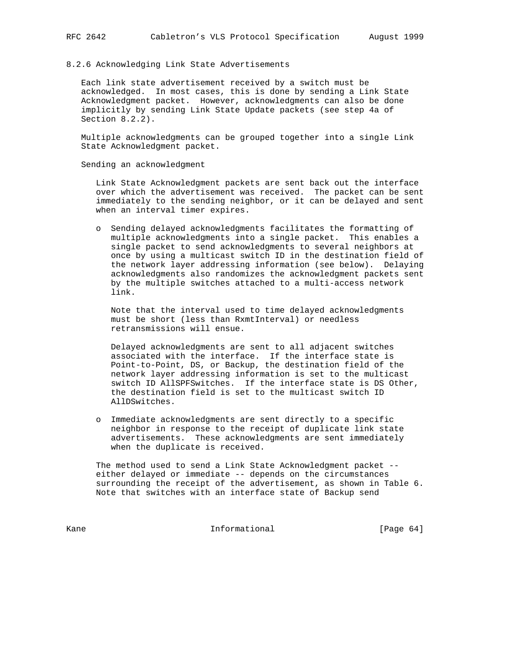## 8.2.6 Acknowledging Link State Advertisements

 Each link state advertisement received by a switch must be acknowledged. In most cases, this is done by sending a Link State Acknowledgment packet. However, acknowledgments can also be done implicitly by sending Link State Update packets (see step 4a of Section 8.2.2).

 Multiple acknowledgments can be grouped together into a single Link State Acknowledgment packet.

Sending an acknowledgment

 Link State Acknowledgment packets are sent back out the interface over which the advertisement was received. The packet can be sent immediately to the sending neighbor, or it can be delayed and sent when an interval timer expires.

 o Sending delayed acknowledgments facilitates the formatting of multiple acknowledgments into a single packet. This enables a single packet to send acknowledgments to several neighbors at once by using a multicast switch ID in the destination field of the network layer addressing information (see below). Delaying acknowledgments also randomizes the acknowledgment packets sent by the multiple switches attached to a multi-access network link.

 Note that the interval used to time delayed acknowledgments must be short (less than RxmtInterval) or needless retransmissions will ensue.

 Delayed acknowledgments are sent to all adjacent switches associated with the interface. If the interface state is Point-to-Point, DS, or Backup, the destination field of the network layer addressing information is set to the multicast switch ID AllSPFSwitches. If the interface state is DS Other, the destination field is set to the multicast switch ID AllDSwitches.

 o Immediate acknowledgments are sent directly to a specific neighbor in response to the receipt of duplicate link state advertisements. These acknowledgments are sent immediately when the duplicate is received.

 The method used to send a Link State Acknowledgment packet - either delayed or immediate -- depends on the circumstances surrounding the receipt of the advertisement, as shown in Table 6. Note that switches with an interface state of Backup send

Kane Informational [Page 64]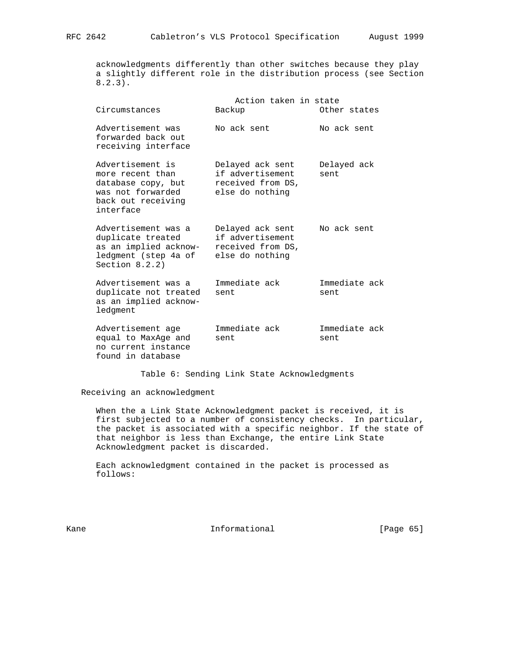acknowledgments differently than other switches because they play a slightly different role in the distribution process (see Section 8.2.3).

| Circumstances                                                                                                      | Action taken in state<br>Backup                                              | Other states          |
|--------------------------------------------------------------------------------------------------------------------|------------------------------------------------------------------------------|-----------------------|
| Advertisement was<br>forwarded back out<br>receiving interface                                                     | No ack sent                                                                  | No ack sent           |
| Advertisement is<br>more recent than<br>database copy, but<br>was not forwarded<br>back out receiving<br>interface | Delayed ack sent<br>if advertisement<br>received from DS,<br>else do nothing | Delayed ack<br>sent   |
| Advertisement was a<br>duplicate treated<br>as an implied acknow-<br>ledgment (step 4a of<br>Section $8.2.2$ )     | Delayed ack sent<br>if advertisement<br>received from DS,<br>else do nothing | No ack sent           |
| Advertisement was a<br>duplicate not treated<br>as an implied acknow-<br>ledgment                                  | Immediate ack<br>sent                                                        | Immediate ack<br>sent |
| Advertisement age<br>equal to MaxAge and<br>no current instance<br>found in database                               | Immediate ack<br>sent                                                        | Immediate ack<br>sent |

Table 6: Sending Link State Acknowledgments

Receiving an acknowledgment

 When the a Link State Acknowledgment packet is received, it is first subjected to a number of consistency checks. In particular, the packet is associated with a specific neighbor. If the state of that neighbor is less than Exchange, the entire Link State Acknowledgment packet is discarded.

 Each acknowledgment contained in the packet is processed as follows:

Kane **Informational Informational** [Page 65]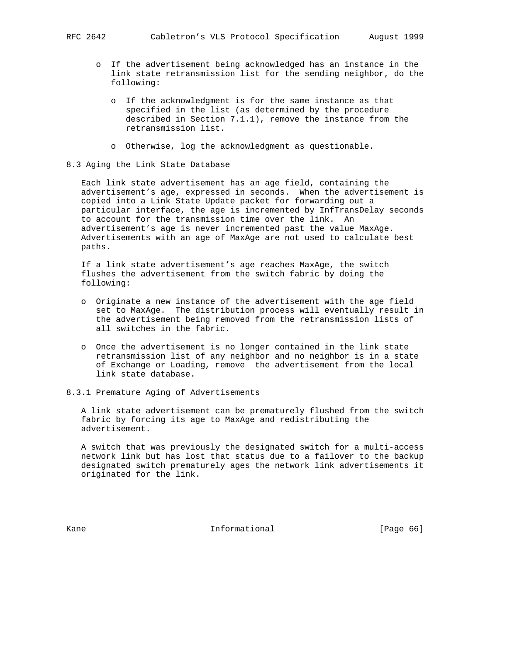- o If the advertisement being acknowledged has an instance in the link state retransmission list for the sending neighbor, do the following:
	- o If the acknowledgment is for the same instance as that specified in the list (as determined by the procedure described in Section 7.1.1), remove the instance from the retransmission list.
	- o Otherwise, log the acknowledgment as questionable.
- 8.3 Aging the Link State Database

 Each link state advertisement has an age field, containing the advertisement's age, expressed in seconds. When the advertisement is copied into a Link State Update packet for forwarding out a particular interface, the age is incremented by InfTransDelay seconds to account for the transmission time over the link. An advertisement's age is never incremented past the value MaxAge. Advertisements with an age of MaxAge are not used to calculate best paths.

 If a link state advertisement's age reaches MaxAge, the switch flushes the advertisement from the switch fabric by doing the following:

- o Originate a new instance of the advertisement with the age field set to MaxAge. The distribution process will eventually result in the advertisement being removed from the retransmission lists of all switches in the fabric.
- o Once the advertisement is no longer contained in the link state retransmission list of any neighbor and no neighbor is in a state of Exchange or Loading, remove the advertisement from the local link state database.
- 8.3.1 Premature Aging of Advertisements

 A link state advertisement can be prematurely flushed from the switch fabric by forcing its age to MaxAge and redistributing the advertisement.

 A switch that was previously the designated switch for a multi-access network link but has lost that status due to a failover to the backup designated switch prematurely ages the network link advertisements it originated for the link.

Kane **Informational Informational** [Page 66]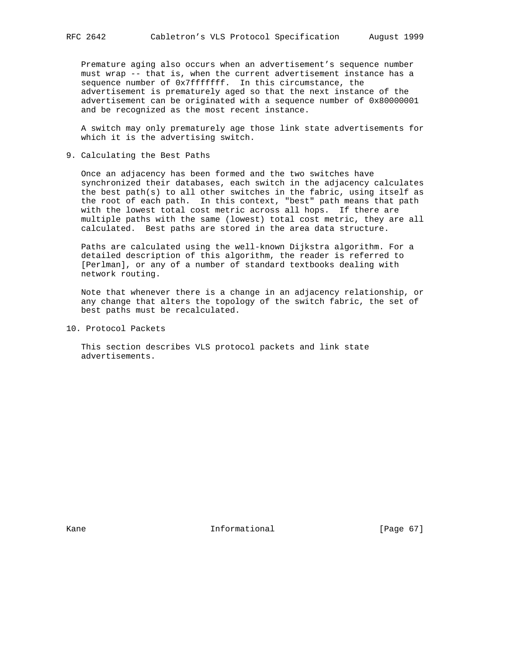Premature aging also occurs when an advertisement's sequence number must wrap -- that is, when the current advertisement instance has a sequence number of 0x7fffffff. In this circumstance, the advertisement is prematurely aged so that the next instance of the advertisement can be originated with a sequence number of 0x80000001 and be recognized as the most recent instance.

 A switch may only prematurely age those link state advertisements for which it is the advertising switch.

9. Calculating the Best Paths

 Once an adjacency has been formed and the two switches have synchronized their databases, each switch in the adjacency calculates the best path(s) to all other switches in the fabric, using itself as the root of each path. In this context, "best" path means that path with the lowest total cost metric across all hops. If there are multiple paths with the same (lowest) total cost metric, they are all calculated. Best paths are stored in the area data structure.

 Paths are calculated using the well-known Dijkstra algorithm. For a detailed description of this algorithm, the reader is referred to [Perlman], or any of a number of standard textbooks dealing with network routing.

 Note that whenever there is a change in an adjacency relationship, or any change that alters the topology of the switch fabric, the set of best paths must be recalculated.

10. Protocol Packets

 This section describes VLS protocol packets and link state advertisements.

Kane **Informational Informational** [Page 67]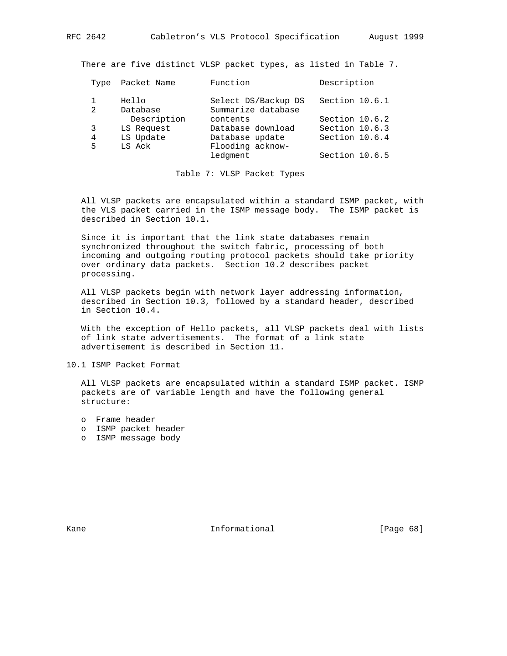There are five distinct VLSP packet types, as listed in Table 7.

| Type | Packet Name | Function            | Description    |
|------|-------------|---------------------|----------------|
|      | Hello       | Select DS/Backup DS | Section 10.6.1 |
| 2    | Database    | Summarize database  |                |
|      | Description | contents            | Section 10.6.2 |
| 3    | LS Request  | Database download   | Section 10.6.3 |
| 4    | LS Update   | Database update     | Section 10.6.4 |
| 5    | LS Ack      | Flooding acknow-    |                |
|      |             | ledgment            | Section 10.6.5 |

Table 7: VLSP Packet Types

 All VLSP packets are encapsulated within a standard ISMP packet, with the VLS packet carried in the ISMP message body. The ISMP packet is described in Section 10.1.

 Since it is important that the link state databases remain synchronized throughout the switch fabric, processing of both incoming and outgoing routing protocol packets should take priority over ordinary data packets. Section 10.2 describes packet processing.

 All VLSP packets begin with network layer addressing information, described in Section 10.3, followed by a standard header, described in Section 10.4.

 With the exception of Hello packets, all VLSP packets deal with lists of link state advertisements. The format of a link state advertisement is described in Section 11.

10.1 ISMP Packet Format

 All VLSP packets are encapsulated within a standard ISMP packet. ISMP packets are of variable length and have the following general structure:

- o Frame header
- o ISMP packet header
- o ISMP message body

Kane **Informational Informational** [Page 68]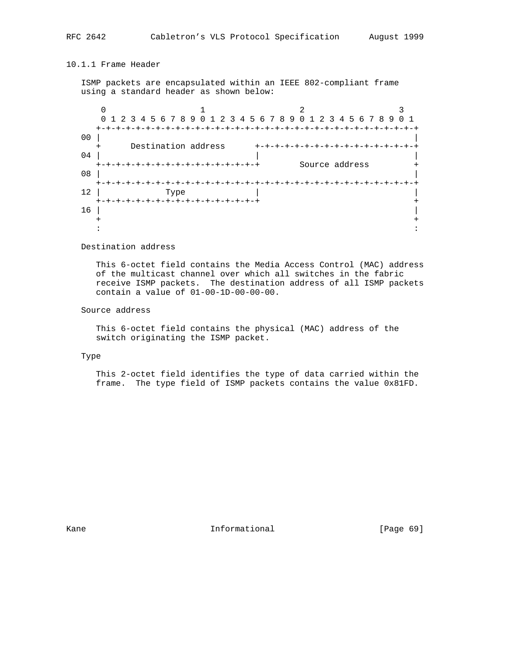# 10.1.1 Frame Header

 ISMP packets are encapsulated within an IEEE 802-compliant frame using a standard header as shown below:

|                | 0 1 2 3 4 5 6 7 8 9 0 1 2 3 4 5 6 7 8 9 0 1 2 3 4 5 6 7 8 9      |  |
|----------------|------------------------------------------------------------------|--|
|                | $+-$                                                             |  |
| 0 <sub>0</sub> |                                                                  |  |
|                | Destination address                                              |  |
| 04             |                                                                  |  |
|                | Source address<br>+-+-+-+-+-+-+-+-+-+-+-+-+-<br>$-+ - + - + - +$ |  |
| 08             |                                                                  |  |
|                | $+-$                                                             |  |
| 12             | Type                                                             |  |
|                | +-+-+-+-+-+-+-+-+-+-+-+                                          |  |
| 16             |                                                                  |  |
|                |                                                                  |  |
|                |                                                                  |  |

# Destination address

 This 6-octet field contains the Media Access Control (MAC) address of the multicast channel over which all switches in the fabric receive ISMP packets. The destination address of all ISMP packets contain a value of 01-00-1D-00-00-00.

# Source address

 This 6-octet field contains the physical (MAC) address of the switch originating the ISMP packet.

## Type

 This 2-octet field identifies the type of data carried within the frame. The type field of ISMP packets contains the value 0x81FD.

Kane **Informational Informational** [Page 69]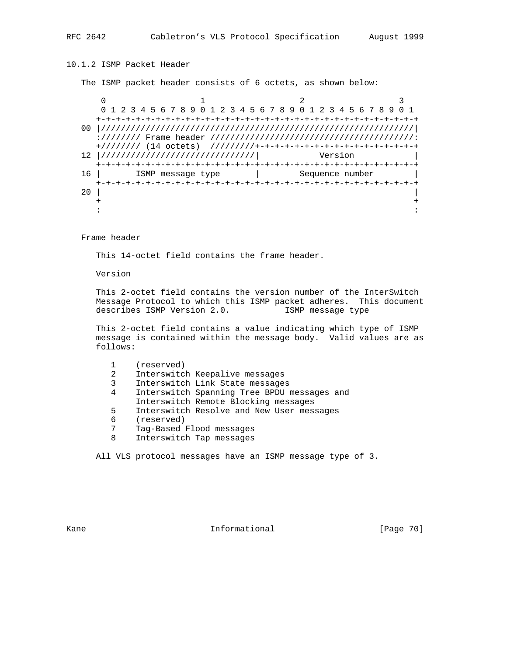# 10.1.2 ISMP Packet Header

The ISMP packet header consists of 6 octets, as shown below:

 $0$  1 2 3 0 1 2 3 4 5 6 7 8 9 0 1 2 3 4 5 6 7 8 9 0 1 2 3 4 5 6 7 8 9 0 1 +-+-+-+-+-+-+-+-+-+-+-+-+-+-+-+-+-+-+-+-+-+-+-+-+-+-+-+-+-+-+-+-+ 00 |///////////////////////////////////////////////////////////////| ://////// Frame header /////////////////////////////////////////: +//////// (14 octets) /////////+-+-+-+-+-+-+-+-+-+-+-+-+-+-+-+-+ 12 |///////////////////////////////| Version | +-+-+-+-+-+-+-+-+-+-+-+-+-+-+-+-+-+-+-+-+-+-+-+-+-+-+-+-+-+-+-+-+ ISMP message type | Sequence number +-+-+-+-+-+-+-+-+-+-+-+-+-+-+-+-+-+-+-+-+-+-+-+-+-+-+-+-+-+-+-+-+  $20$  | + + : :

Frame header

This 14-octet field contains the frame header.

Version

 This 2-octet field contains the version number of the InterSwitch Message Protocol to which this ISMP packet adheres. This document describes ISMP Version 2.0. ISMP message type

 This 2-octet field contains a value indicating which type of ISMP message is contained within the message body. Valid values are as follows:

|   | (reserved)                                  |
|---|---------------------------------------------|
| 2 | Interswitch Keepalive messages              |
| 3 | Interswitch Link State messages             |
| 4 | Interswitch Spanning Tree BPDU messages and |
|   | Interswitch Remote Blocking messages        |
| 5 | Interswitch Resolve and New User messages   |
| 6 | (reserved)                                  |
| 7 | Tag-Based Flood messages                    |
| 8 | Interswitch Tap messages                    |
|   |                                             |

All VLS protocol messages have an ISMP message type of 3.

Kane **Informational Informational** [Page 70]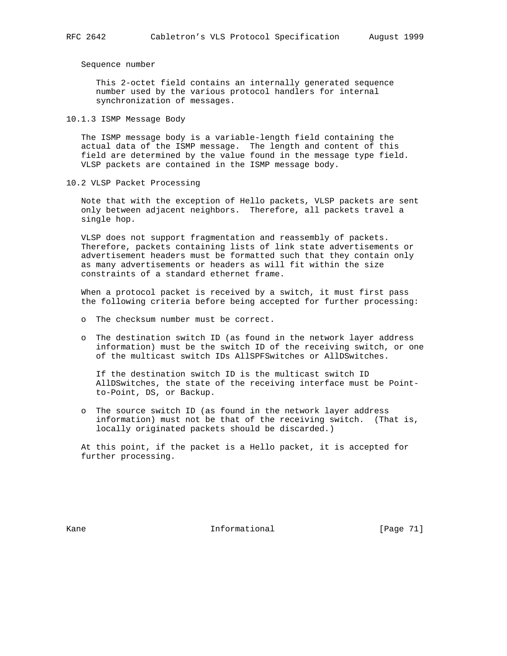Sequence number

 This 2-octet field contains an internally generated sequence number used by the various protocol handlers for internal synchronization of messages.

10.1.3 ISMP Message Body

 The ISMP message body is a variable-length field containing the actual data of the ISMP message. The length and content of this field are determined by the value found in the message type field. VLSP packets are contained in the ISMP message body.

10.2 VLSP Packet Processing

 Note that with the exception of Hello packets, VLSP packets are sent only between adjacent neighbors. Therefore, all packets travel a single hop.

 VLSP does not support fragmentation and reassembly of packets. Therefore, packets containing lists of link state advertisements or advertisement headers must be formatted such that they contain only as many advertisements or headers as will fit within the size constraints of a standard ethernet frame.

 When a protocol packet is received by a switch, it must first pass the following criteria before being accepted for further processing:

- o The checksum number must be correct.
- o The destination switch ID (as found in the network layer address information) must be the switch ID of the receiving switch, or one of the multicast switch IDs AllSPFSwitches or AllDSwitches.

 If the destination switch ID is the multicast switch ID AllDSwitches, the state of the receiving interface must be Point to-Point, DS, or Backup.

 o The source switch ID (as found in the network layer address information) must not be that of the receiving switch. (That is, locally originated packets should be discarded.)

 At this point, if the packet is a Hello packet, it is accepted for further processing.

Kane **Informational Informational** [Page 71]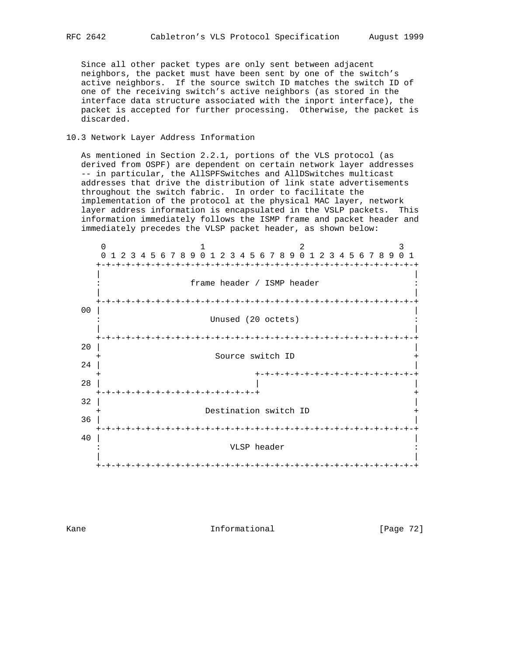Since all other packet types are only sent between adjacent neighbors, the packet must have been sent by one of the switch's active neighbors. If the source switch ID matches the switch ID of one of the receiving switch's active neighbors (as stored in the interface data structure associated with the inport interface), the packet is accepted for further processing. Otherwise, the packet is discarded.

# 10.3 Network Layer Address Information

 As mentioned in Section 2.2.1, portions of the VLS protocol (as derived from OSPF) are dependent on certain network layer addresses -- in particular, the AllSPFSwitches and AllDSwitches multicast addresses that drive the distribution of link state advertisements throughout the switch fabric. In order to facilitate the implementation of the protocol at the physical MAC layer, network layer address information is encapsulated in the VSLP packets. This information immediately follows the ISMP frame and packet header and immediately precedes the VLSP packet header, as shown below:



Kane **Informational Informational** [Page 72]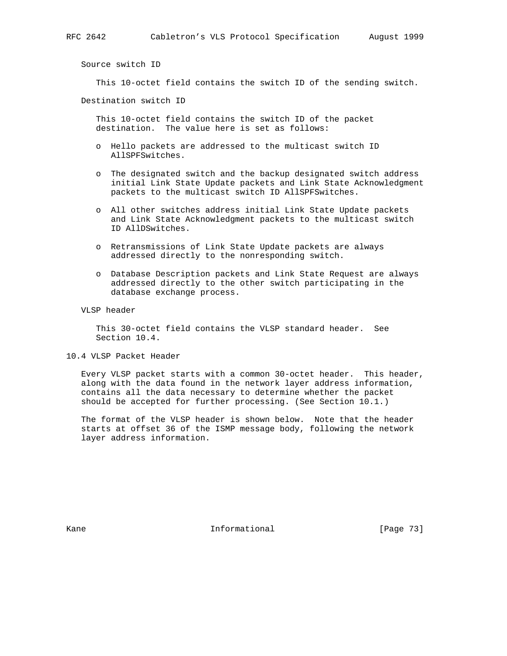Source switch ID

This 10-octet field contains the switch ID of the sending switch.

Destination switch ID

 This 10-octet field contains the switch ID of the packet destination. The value here is set as follows:

- o Hello packets are addressed to the multicast switch ID AllSPFSwitches.
- o The designated switch and the backup designated switch address initial Link State Update packets and Link State Acknowledgment packets to the multicast switch ID AllSPFSwitches.
- o All other switches address initial Link State Update packets and Link State Acknowledgment packets to the multicast switch ID AllDSwitches.
- o Retransmissions of Link State Update packets are always addressed directly to the nonresponding switch.
- o Database Description packets and Link State Request are always addressed directly to the other switch participating in the database exchange process.

VLSP header

 This 30-octet field contains the VLSP standard header. See Section 10.4.

10.4 VLSP Packet Header

 Every VLSP packet starts with a common 30-octet header. This header, along with the data found in the network layer address information, contains all the data necessary to determine whether the packet should be accepted for further processing. (See Section 10.1.)

 The format of the VLSP header is shown below. Note that the header starts at offset 36 of the ISMP message body, following the network layer address information.

Kane **Informational Informational** [Page 73]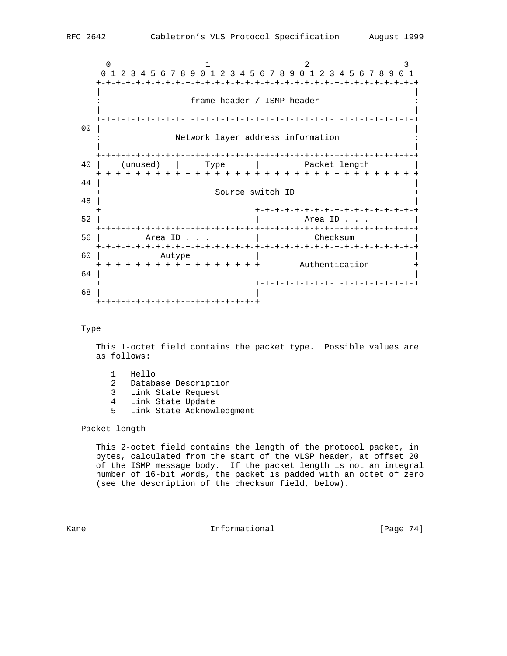

#### Type

 This 1-octet field contains the packet type. Possible values are as follows:

- 1 Hello
- 2 Database Description
- 3 Link State Request
- 4 Link State Update
- 5 Link State Acknowledgment

## Packet length

 This 2-octet field contains the length of the protocol packet, in bytes, calculated from the start of the VLSP header, at offset 20 of the ISMP message body. If the packet length is not an integral number of 16-bit words, the packet is padded with an octet of zero (see the description of the checksum field, below).

Kane **Informational Informational** [Page 74]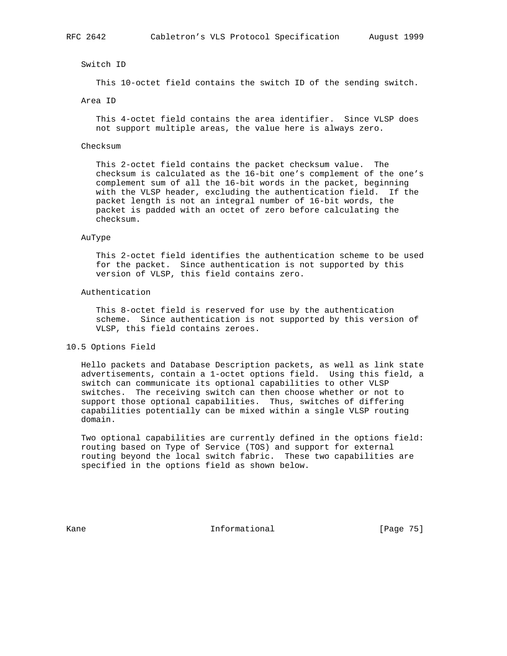#### Switch ID

This 10-octet field contains the switch ID of the sending switch.

#### Area ID

 This 4-octet field contains the area identifier. Since VLSP does not support multiple areas, the value here is always zero.

## Checksum

 This 2-octet field contains the packet checksum value. The checksum is calculated as the 16-bit one's complement of the one's complement sum of all the 16-bit words in the packet, beginning with the VLSP header, excluding the authentication field. If the packet length is not an integral number of 16-bit words, the packet is padded with an octet of zero before calculating the checksum.

#### AuType

 This 2-octet field identifies the authentication scheme to be used for the packet. Since authentication is not supported by this version of VLSP, this field contains zero.

#### Authentication

 This 8-octet field is reserved for use by the authentication scheme. Since authentication is not supported by this version of VLSP, this field contains zeroes.

#### 10.5 Options Field

 Hello packets and Database Description packets, as well as link state advertisements, contain a 1-octet options field. Using this field, a switch can communicate its optional capabilities to other VLSP switches. The receiving switch can then choose whether or not to support those optional capabilities. Thus, switches of differing capabilities potentially can be mixed within a single VLSP routing domain.

 Two optional capabilities are currently defined in the options field: routing based on Type of Service (TOS) and support for external routing beyond the local switch fabric. These two capabilities are specified in the options field as shown below.

Kane **Informational Informational** [Page 75]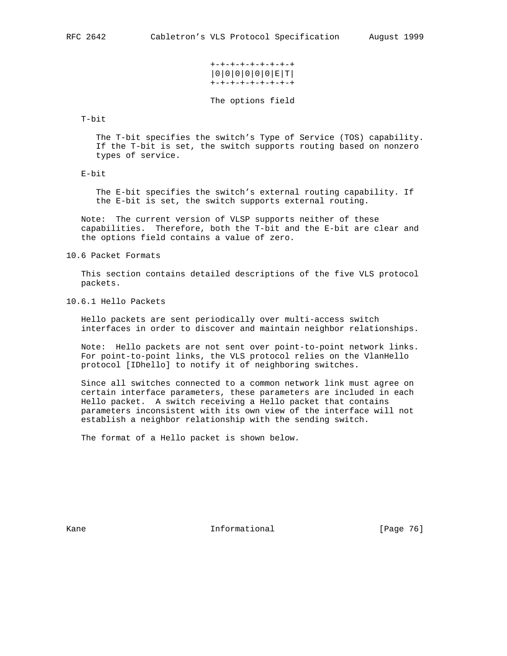## +-+-+-+-+-+-+-+-+ |0|0|0|0|0|0|E|T| +-+-+-+-+-+-+-+-+

The options field

T-bit

 The T-bit specifies the switch's Type of Service (TOS) capability. If the T-bit is set, the switch supports routing based on nonzero types of service.

E-bit

 The E-bit specifies the switch's external routing capability. If the E-bit is set, the switch supports external routing.

 Note: The current version of VLSP supports neither of these capabilities. Therefore, both the T-bit and the E-bit are clear and the options field contains a value of zero.

10.6 Packet Formats

 This section contains detailed descriptions of the five VLS protocol packets.

10.6.1 Hello Packets

 Hello packets are sent periodically over multi-access switch interfaces in order to discover and maintain neighbor relationships.

 Note: Hello packets are not sent over point-to-point network links. For point-to-point links, the VLS protocol relies on the VlanHello protocol [IDhello] to notify it of neighboring switches.

 Since all switches connected to a common network link must agree on certain interface parameters, these parameters are included in each Hello packet. A switch receiving a Hello packet that contains parameters inconsistent with its own view of the interface will not establish a neighbor relationship with the sending switch.

The format of a Hello packet is shown below.

Kane **Informational Informational** [Page 76]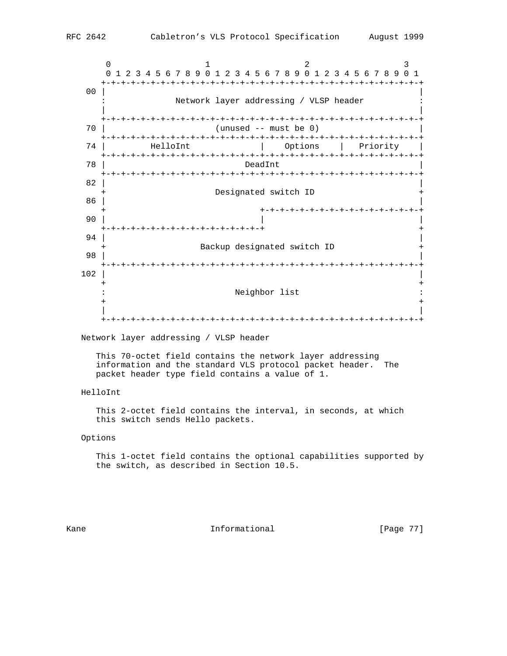$0$  1 2 3 0 1 2 3 4 5 6 7 8 9 0 1 2 3 4 5 6 7 8 9 0 1 2 3 4 5 6 7 8 9 0 1 +-+-+-+-+-+-+-+-+-+-+-+-+-+-+-+-+-+-+-+-+-+-+-+-+-+-+-+-+-+-+-+-+ 00 | | Network layer addressing / VLSP header | | +-+-+-+-+-+-+-+-+-+-+-+-+-+-+-+-+-+-+-+-+-+-+-+-+-+-+-+-+-+-+-+-+ 70 | (unused -- must be 0) | +-+-+-+-+-+-+-+-+-+-+-+-+-+-+-+-+-+-+-+-+-+-+-+-+-+-+-+-+-+-+-+-+ 74 | HelloInt | Options | Priority | +-+-+-+-+-+-+-+-+-+-+-+-+-+-+-+-+-+-+-+-+-+-+-+-+-+-+-+-+-+-+-+-+ 78 | DeadInt | +-+-+-+-+-+-+-+-+-+-+-+-+-+-+-+-+-+-+-+-+-+-+-+-+-+-+-+-+-+-+-+-+  $82$  |  $\blacksquare$ Designated switch ID  $86$  |  $\blacksquare$  + +-+-+-+-+-+-+-+-+-+-+-+-+-+-+-+-+ 90 | | | +-+-+-+-+-+-+-+-+-+-+-+-+-+-+-+-+ + 94 |  $\blacksquare$ Backup designated switch ID 98 | | +-+-+-+-+-+-+-+-+-+-+-+-+-+-+-+-+-+-+-+-+-+-+-+-+-+-+-+-+-+-+-+-+  $102$  | + + : Neighbor list : + + | | +-+-+-+-+-+-+-+-+-+-+-+-+-+-+-+-+-+-+-+-+-+-+-+-+-+-+-+-+-+-+-+-+

Network layer addressing / VLSP header

 This 70-octet field contains the network layer addressing information and the standard VLS protocol packet header. The packet header type field contains a value of 1.

# HelloInt

 This 2-octet field contains the interval, in seconds, at which this switch sends Hello packets.

## Options

 This 1-octet field contains the optional capabilities supported by the switch, as described in Section 10.5.

Kane **Informational Informational** [Page 77]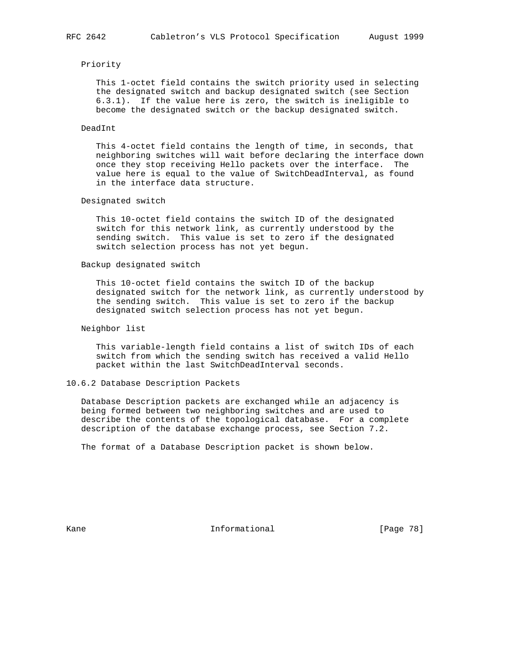## Priority

 This 1-octet field contains the switch priority used in selecting the designated switch and backup designated switch (see Section 6.3.1). If the value here is zero, the switch is ineligible to become the designated switch or the backup designated switch.

### DeadInt

 This 4-octet field contains the length of time, in seconds, that neighboring switches will wait before declaring the interface down once they stop receiving Hello packets over the interface. The value here is equal to the value of SwitchDeadInterval, as found in the interface data structure.

## Designated switch

 This 10-octet field contains the switch ID of the designated switch for this network link, as currently understood by the sending switch. This value is set to zero if the designated switch selection process has not yet begun.

## Backup designated switch

 This 10-octet field contains the switch ID of the backup designated switch for the network link, as currently understood by the sending switch. This value is set to zero if the backup designated switch selection process has not yet begun.

## Neighbor list

 This variable-length field contains a list of switch IDs of each switch from which the sending switch has received a valid Hello packet within the last SwitchDeadInterval seconds.

## 10.6.2 Database Description Packets

 Database Description packets are exchanged while an adjacency is being formed between two neighboring switches and are used to describe the contents of the topological database. For a complete description of the database exchange process, see Section 7.2.

The format of a Database Description packet is shown below.

Kane **Informational Informational** [Page 78]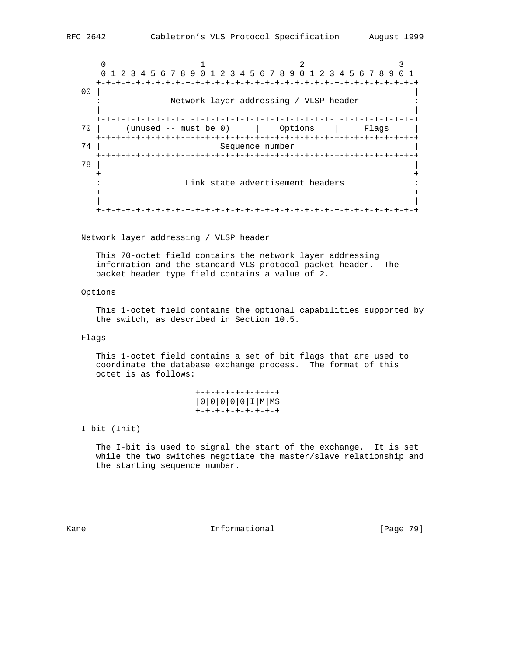$0$  1 2 3 0 1 2 3 4 5 6 7 8 9 0 1 2 3 4 5 6 7 8 9 0 1 2 3 4 5 6 7 8 9 0 1 +-+-+-+-+-+-+-+-+-+-+-+-+-+-+-+-+-+-+-+-+-+-+-+-+-+-+-+-+-+-+-+-+ 00 | | Network layer addressing / VLSP header | | +-+-+-+-+-+-+-+-+-+-+-+-+-+-+-+-+-+-+-+-+-+-+-+-+-+-+-+-+-+-+-+-+ 70 | (unused -- must be 0) | Options | Flags | +-+-+-+-+-+-+-+-+-+-+-+-+-+-+-+-+-+-+-+-+-+-+-+-+-+-+-+-+-+-+-+-+ Sequence number +-+-+-+-+-+-+-+-+-+-+-+-+-+-+-+-+-+-+-+-+-+-+-+-+-+-+-+-+-+-+-+-+ 78 | | + + : Link state advertisement headers : + + | | +-+-+-+-+-+-+-+-+-+-+-+-+-+-+-+-+-+-+-+-+-+-+-+-+-+-+-+-+-+-+-+-+

Network layer addressing / VLSP header

 This 70-octet field contains the network layer addressing information and the standard VLS protocol packet header. The packet header type field contains a value of 2.

## Options

 This 1-octet field contains the optional capabilities supported by the switch, as described in Section 10.5.

#### Flags

 This 1-octet field contains a set of bit flags that are used to coordinate the database exchange process. The format of this octet is as follows:

```
 +-+-+-+-+-+-+-+-+
|0|0|0|0|0|I|M|MS
+-+-+-+-+-+-+-+-+
```
I-bit (Init)

 The I-bit is used to signal the start of the exchange. It is set while the two switches negotiate the master/slave relationship and the starting sequence number.

Kane **Informational Informational** [Page 79]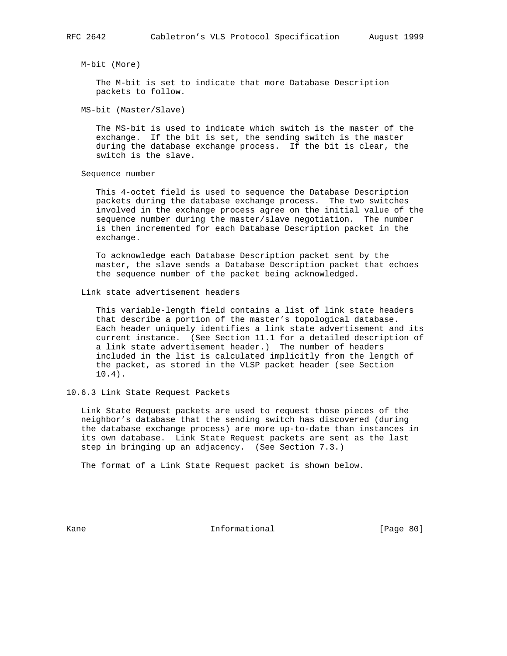M-bit (More)

 The M-bit is set to indicate that more Database Description packets to follow.

MS-bit (Master/Slave)

 The MS-bit is used to indicate which switch is the master of the exchange. If the bit is set, the sending switch is the master during the database exchange process. If the bit is clear, the switch is the slave.

Sequence number

 This 4-octet field is used to sequence the Database Description packets during the database exchange process. The two switches involved in the exchange process agree on the initial value of the sequence number during the master/slave negotiation. The number is then incremented for each Database Description packet in the exchange.

 To acknowledge each Database Description packet sent by the master, the slave sends a Database Description packet that echoes the sequence number of the packet being acknowledged.

Link state advertisement headers

 This variable-length field contains a list of link state headers that describe a portion of the master's topological database. Each header uniquely identifies a link state advertisement and its current instance. (See Section 11.1 for a detailed description of a link state advertisement header.) The number of headers included in the list is calculated implicitly from the length of the packet, as stored in the VLSP packet header (see Section 10.4).

10.6.3 Link State Request Packets

 Link State Request packets are used to request those pieces of the neighbor's database that the sending switch has discovered (during the database exchange process) are more up-to-date than instances in its own database. Link State Request packets are sent as the last step in bringing up an adjacency. (See Section 7.3.)

The format of a Link State Request packet is shown below.

Kane **Informational Informational** [Page 80]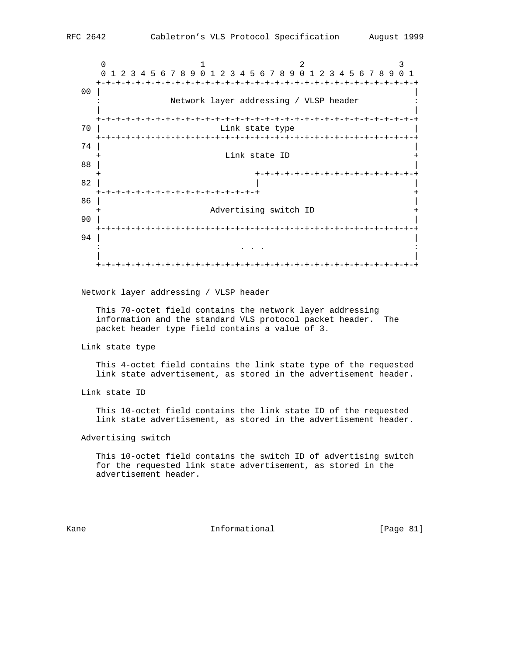$0$  1 2 3 0 1 2 3 4 5 6 7 8 9 0 1 2 3 4 5 6 7 8 9 0 1 2 3 4 5 6 7 8 9 0 1 +-+-+-+-+-+-+-+-+-+-+-+-+-+-+-+-+-+-+-+-+-+-+-+-+-+-+-+-+-+-+-+-+ 00 | | Network layer addressing / VLSP header | | +-+-+-+-+-+-+-+-+-+-+-+-+-+-+-+-+-+-+-+-+-+-+-+-+-+-+-+-+-+-+-+-+ 70 | Link state type | +-+-+-+-+-+-+-+-+-+-+-+-+-+-+-+-+-+-+-+-+-+-+-+-+-+-+-+-+-+-+-+-+  $74$  | Link state ID 88 | | + +-+-+-+-+-+-+-+-+-+-+-+-+-+-+-+-+  $82$  |  $\qquad \qquad$  |  $\qquad \qquad$  |  $\qquad \qquad$  | +-+-+-+-+-+-+-+-+-+-+-+-+-+-+-+-+ +  $86$  |  $\blacksquare$  + Advertising switch ID + 90 |  $\blacksquare$  +-+-+-+-+-+-+-+-+-+-+-+-+-+-+-+-+-+-+-+-+-+-+-+-+-+-+-+-+-+-+-+-+ 94 |  $\blacksquare$ . The state is the state of the state in the state in the state is the state of the state  $\mathbf{z}$  | | +-+-+-+-+-+-+-+-+-+-+-+-+-+-+-+-+-+-+-+-+-+-+-+-+-+-+-+-+-+-+-+-+

Network layer addressing / VLSP header

 This 70-octet field contains the network layer addressing information and the standard VLS protocol packet header. The packet header type field contains a value of 3.

Link state type

 This 4-octet field contains the link state type of the requested link state advertisement, as stored in the advertisement header.

Link state ID

 This 10-octet field contains the link state ID of the requested link state advertisement, as stored in the advertisement header.

Advertising switch

 This 10-octet field contains the switch ID of advertising switch for the requested link state advertisement, as stored in the advertisement header.

Kane **Informational Informational** [Page 81]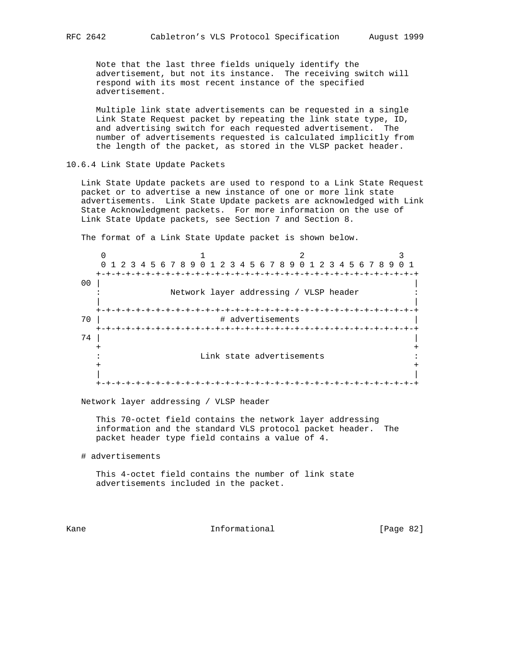Note that the last three fields uniquely identify the advertisement, but not its instance. The receiving switch will respond with its most recent instance of the specified advertisement.

 Multiple link state advertisements can be requested in a single Link State Request packet by repeating the link state type, ID, and advertising switch for each requested advertisement. The number of advertisements requested is calculated implicitly from the length of the packet, as stored in the VLSP packet header.

10.6.4 Link State Update Packets

 Link State Update packets are used to respond to a Link State Request packet or to advertise a new instance of one or more link state advertisements. Link State Update packets are acknowledged with Link State Acknowledgment packets. For more information on the use of Link State Update packets, see Section 7 and Section 8.

The format of a Link State Update packet is shown below.

 $0$  1 2 3 0 1 2 3 4 5 6 7 8 9 0 1 2 3 4 5 6 7 8 9 0 1 2 3 4 5 6 7 8 9 0 1 +-+-+-+-+-+-+-+-+-+-+-+-+-+-+-+-+-+-+-+-+-+-+-+-+-+-+-+-+-+-+-+-+ 00 | | Network layer addressing / VLSP header | | +-+-+-+-+-+-+-+-+-+-+-+-+-+-+-+-+-+-+-+-+-+-+-+-+-+-+-+-+-+-+-+-+ # advertisements +-+-+-+-+-+-+-+-+-+-+-+-+-+-+-+-+-+-+-+-+-+-+-+-+-+-+-+-+-+-+-+-+  $74$  | + + : Link state advertisements : + + | | +-+-+-+-+-+-+-+-+-+-+-+-+-+-+-+-+-+-+-+-+-+-+-+-+-+-+-+-+-+-+-+-+

Network layer addressing / VLSP header

 This 70-octet field contains the network layer addressing information and the standard VLS protocol packet header. The packet header type field contains a value of 4.

# advertisements

 This 4-octet field contains the number of link state advertisements included in the packet.

Kane **Informational Informational** [Page 82]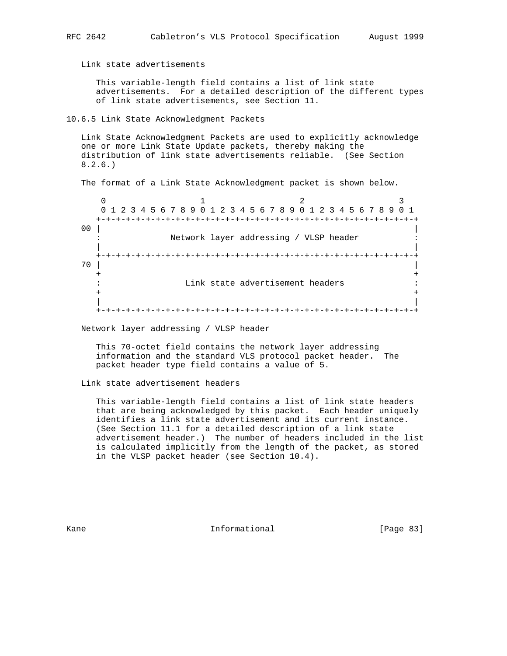Link state advertisements

 This variable-length field contains a list of link state advertisements. For a detailed description of the different types of link state advertisements, see Section 11.

## 10.6.5 Link State Acknowledgment Packets

 Link State Acknowledgment Packets are used to explicitly acknowledge one or more Link State Update packets, thereby making the distribution of link state advertisements reliable. (See Section 8.2.6.)

The format of a Link State Acknowledgment packet is shown below.

 $0$  1 2 3 0 1 2 3 4 5 6 7 8 9 0 1 2 3 4 5 6 7 8 9 0 1 2 3 4 5 6 7 8 9 0 1 +-+-+-+-+-+-+-+-+-+-+-+-+-+-+-+-+-+-+-+-+-+-+-+-+-+-+-+-+-+-+-+-+ 00 | | Network layer addressing / VLSP header | | +-+-+-+-+-+-+-+-+-+-+-+-+-+-+-+-+-+-+-+-+-+-+-+-+-+-+-+-+-+-+-+-+  $70$  | + + : Link state advertisement headers : + + | | +-+-+-+-+-+-+-+-+-+-+-+-+-+-+-+-+-+-+-+-+-+-+-+-+-+-+-+-+-+-+-+-+

Network layer addressing / VLSP header

 This 70-octet field contains the network layer addressing information and the standard VLS protocol packet header. The packet header type field contains a value of 5.

Link state advertisement headers

 This variable-length field contains a list of link state headers that are being acknowledged by this packet. Each header uniquely identifies a link state advertisement and its current instance. (See Section 11.1 for a detailed description of a link state advertisement header.) The number of headers included in the list is calculated implicitly from the length of the packet, as stored in the VLSP packet header (see Section 10.4).

Kane **Informational Informational** [Page 83]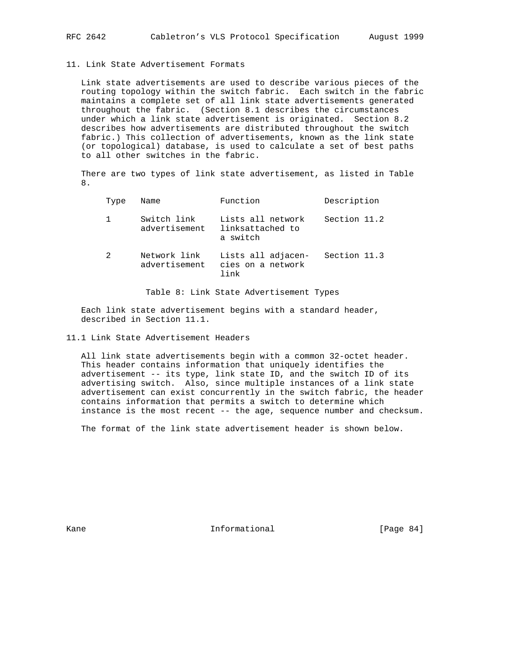### 11. Link State Advertisement Formats

 Link state advertisements are used to describe various pieces of the routing topology within the switch fabric. Each switch in the fabric maintains a complete set of all link state advertisements generated throughout the fabric. (Section 8.1 describes the circumstances under which a link state advertisement is originated. Section 8.2 describes how advertisements are distributed throughout the switch fabric.) This collection of advertisements, known as the link state (or topological) database, is used to calculate a set of best paths to all other switches in the fabric.

 There are two types of link state advertisement, as listed in Table 8.

| Type | Name                          | Function                                          | Description  |
|------|-------------------------------|---------------------------------------------------|--------------|
|      | Switch link<br>advertisement  | Lists all network<br>linksattached to<br>a switch | Section 11.2 |
| 2    | Network link<br>advertisement | Lists all adjacen-<br>cies on a network<br>link   | Section 11.3 |

Table 8: Link State Advertisement Types

 Each link state advertisement begins with a standard header, described in Section 11.1.

## 11.1 Link State Advertisement Headers

 All link state advertisements begin with a common 32-octet header. This header contains information that uniquely identifies the advertisement -- its type, link state ID, and the switch ID of its advertising switch. Also, since multiple instances of a link state advertisement can exist concurrently in the switch fabric, the header contains information that permits a switch to determine which instance is the most recent -- the age, sequence number and checksum.

The format of the link state advertisement header is shown below.

Kane **Informational Informational** [Page 84]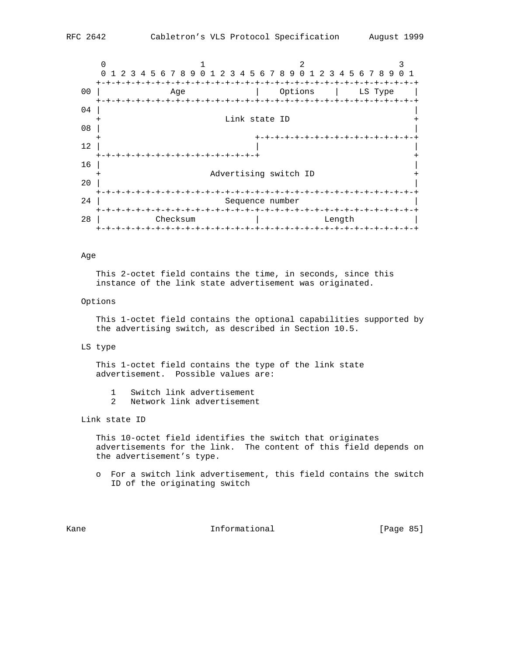

#### Age

 This 2-octet field contains the time, in seconds, since this instance of the link state advertisement was originated.

## Options

 This 1-octet field contains the optional capabilities supported by the advertising switch, as described in Section 10.5.

#### LS type

 This 1-octet field contains the type of the link state advertisement. Possible values are:

- 1 Switch link advertisement
- 2 Network link advertisement

Link state ID

 This 10-octet field identifies the switch that originates advertisements for the link. The content of this field depends on the advertisement's type.

 o For a switch link advertisement, this field contains the switch ID of the originating switch

Kane **Informational Informational** [Page 85]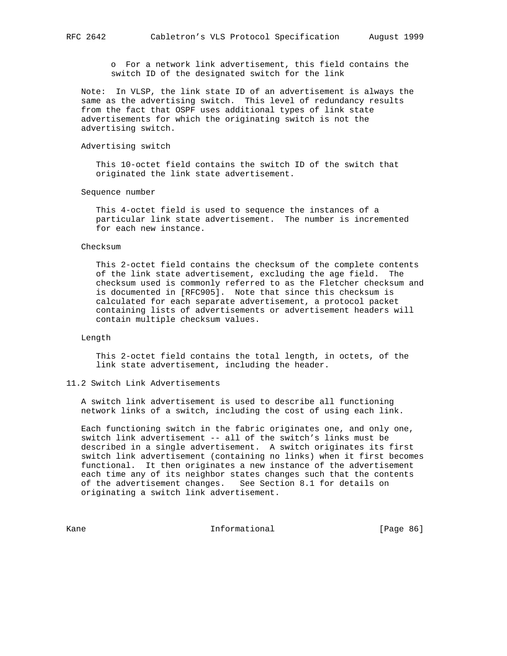o For a network link advertisement, this field contains the switch ID of the designated switch for the link

 Note: In VLSP, the link state ID of an advertisement is always the same as the advertising switch. This level of redundancy results from the fact that OSPF uses additional types of link state advertisements for which the originating switch is not the advertising switch.

## Advertising switch

 This 10-octet field contains the switch ID of the switch that originated the link state advertisement.

Sequence number

 This 4-octet field is used to sequence the instances of a particular link state advertisement. The number is incremented for each new instance.

#### Checksum

 This 2-octet field contains the checksum of the complete contents of the link state advertisement, excluding the age field. The checksum used is commonly referred to as the Fletcher checksum and is documented in [RFC905]. Note that since this checksum is calculated for each separate advertisement, a protocol packet containing lists of advertisements or advertisement headers will contain multiple checksum values.

## Length

 This 2-octet field contains the total length, in octets, of the link state advertisement, including the header.

#### 11.2 Switch Link Advertisements

 A switch link advertisement is used to describe all functioning network links of a switch, including the cost of using each link.

 Each functioning switch in the fabric originates one, and only one, switch link advertisement -- all of the switch's links must be described in a single advertisement. A switch originates its first switch link advertisement (containing no links) when it first becomes functional. It then originates a new instance of the advertisement each time any of its neighbor states changes such that the contents of the advertisement changes. See Section 8.1 for details on originating a switch link advertisement.

Kane **Informational Informational** [Page 86]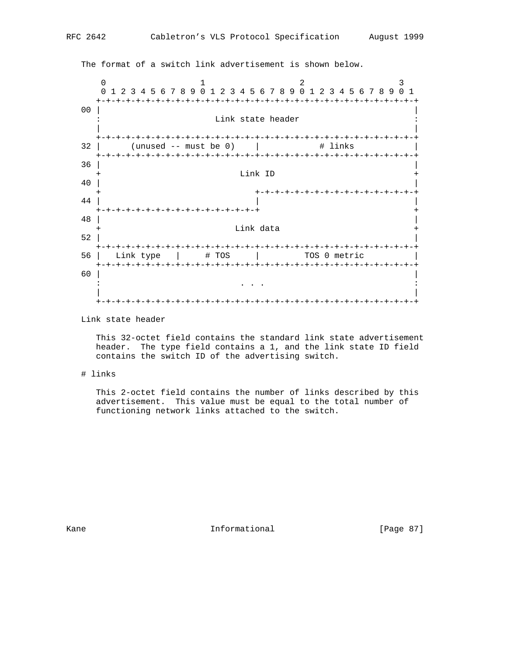The format of a switch link advertisement is shown below. 0  $1$  2 3 0 1 2 3 4 5 6 7 8 9 0 1 2 3 4 5 6 7 8 9 0 1 2 3 4 5 6 7 8 9 0 1 +-+-+-+-+-+-+-+-+-+-+-+-+-+-+-+-+-+-+-+-+-+-+-+-+-+-+-+-+-+-+-+-+ 00 | | Link state header | | +-+-+-+-+-+-+-+-+-+-+-+-+-+-+-+-+-+-+-+-+-+-+-+-+-+-+-+-+-+-+-+-+  $32$  | (unused -- must be 0) | # links +-+-+-+-+-+-+-+-+-+-+-+-+-+-+-+-+-+-+-+-+-+-+-+-+-+-+-+-+-+-+-+-+  $\overline{36}$  |  $\overline{)$ Link ID 40 | | + +-+-+-+-+-+-+-+-+-+-+-+-+-+-+-+-+ 44 | | | +-+-+-+-+-+-+-+-+-+-+-+-+-+-+-+-+ + 48 | | Link data 52 | | +-+-+-+-+-+-+-+-+-+-+-+-+-+-+-+-+-+-+-+-+-+-+-+-+-+-+-+-+-+-+-+-+ 56 | Link type | # TOS | TOS 0 metric +-+-+-+-+-+-+-+-+-+-+-+-+-+-+-+-+-+-+-+-+-+-+-+-+-+-+-+-+-+-+-+-+ 60 | | . The state is the state of the state in the state is a state of the state in the state  $\mathcal{A}$  | | +-+-+-+-+-+-+-+-+-+-+-+-+-+-+-+-+-+-+-+-+-+-+-+-+-+-+-+-+-+-+-+-+

Link state header

 This 32-octet field contains the standard link state advertisement header. The type field contains a 1, and the link state ID field contains the switch ID of the advertising switch.

# links

 This 2-octet field contains the number of links described by this advertisement. This value must be equal to the total number of functioning network links attached to the switch.

Kane Informational [Page 87]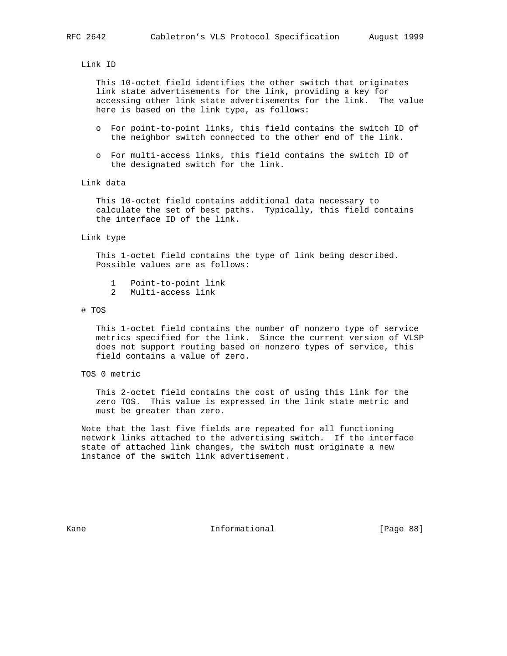Link ID

 This 10-octet field identifies the other switch that originates link state advertisements for the link, providing a key for accessing other link state advertisements for the link. The value here is based on the link type, as follows:

- o For point-to-point links, this field contains the switch ID of the neighbor switch connected to the other end of the link.
- o For multi-access links, this field contains the switch ID of the designated switch for the link.

Link data

 This 10-octet field contains additional data necessary to calculate the set of best paths. Typically, this field contains the interface ID of the link.

Link type

 This 1-octet field contains the type of link being described. Possible values are as follows:

- 1 Point-to-point link
- 2 Multi-access link

#### # TOS

 This 1-octet field contains the number of nonzero type of service metrics specified for the link. Since the current version of VLSP does not support routing based on nonzero types of service, this field contains a value of zero.

## TOS 0 metric

 This 2-octet field contains the cost of using this link for the zero TOS. This value is expressed in the link state metric and must be greater than zero.

 Note that the last five fields are repeated for all functioning network links attached to the advertising switch. If the interface state of attached link changes, the switch must originate a new instance of the switch link advertisement.

Kane **Informational Informational** [Page 88]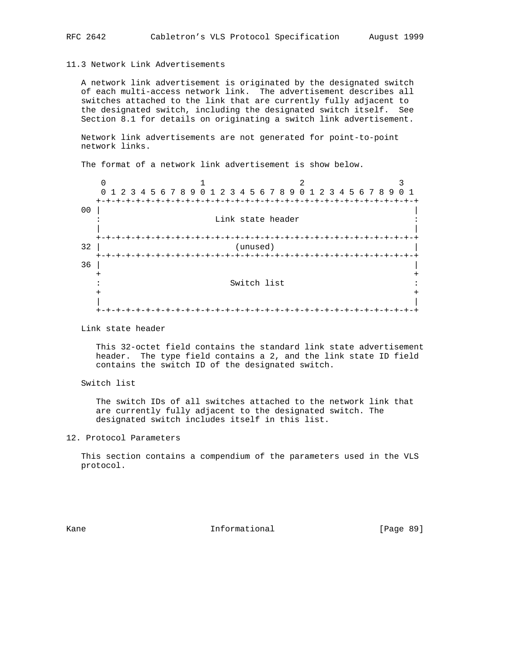## 11.3 Network Link Advertisements

 A network link advertisement is originated by the designated switch of each multi-access network link. The advertisement describes all switches attached to the link that are currently fully adjacent to the designated switch, including the designated switch itself. See Section 8.1 for details on originating a switch link advertisement.

 Network link advertisements are not generated for point-to-point network links.

The format of a network link advertisement is show below.

 $0$  1 2 3 0 1 2 3 4 5 6 7 8 9 0 1 2 3 4 5 6 7 8 9 0 1 2 3 4 5 6 7 8 9 0 1 +-+-+-+-+-+-+-+-+-+-+-+-+-+-+-+-+-+-+-+-+-+-+-+-+-+-+-+-+-+-+-+-+ 00 | | Link state header | | +-+-+-+-+-+-+-+-+-+-+-+-+-+-+-+-+-+-+-+-+-+-+-+-+-+-+-+-+-+-+-+-+ 32 | (unused) | +-+-+-+-+-+-+-+-+-+-+-+-+-+-+-+-+-+-+-+-+-+-+-+-+-+-+-+-+-+-+-+-+  $\overline{36}$  |  $\overline{)$  + + : Switch list : + + | | +-+-+-+-+-+-+-+-+-+-+-+-+-+-+-+-+-+-+-+-+-+-+-+-+-+-+-+-+-+-+-+-+

Link state header

 This 32-octet field contains the standard link state advertisement header. The type field contains a 2, and the link state ID field contains the switch ID of the designated switch.

Switch list

 The switch IDs of all switches attached to the network link that are currently fully adjacent to the designated switch. The designated switch includes itself in this list.

12. Protocol Parameters

 This section contains a compendium of the parameters used in the VLS protocol.

Kane **Informational Informational** [Page 89]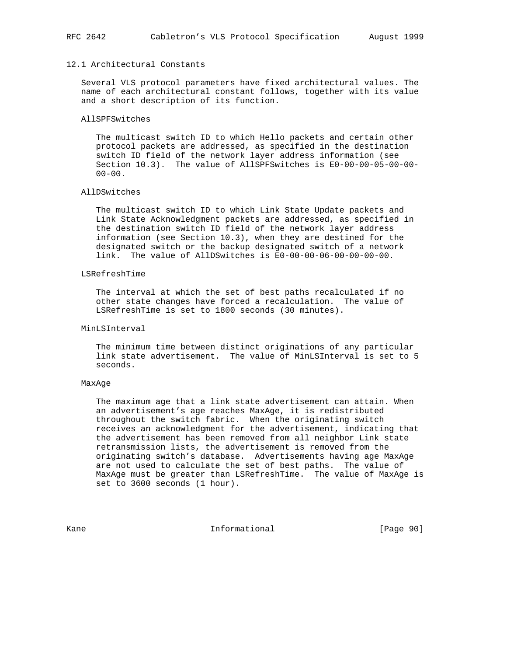## 12.1 Architectural Constants

 Several VLS protocol parameters have fixed architectural values. The name of each architectural constant follows, together with its value and a short description of its function.

## AllSPFSwitches

 The multicast switch ID to which Hello packets and certain other protocol packets are addressed, as specified in the destination switch ID field of the network layer address information (see Section 10.3). The value of AllSPFSwitches is E0-00-00-05-00-00-  $00-00.$ 

#### AllDSwitches

 The multicast switch ID to which Link State Update packets and Link State Acknowledgment packets are addressed, as specified in the destination switch ID field of the network layer address information (see Section 10.3), when they are destined for the designated switch or the backup designated switch of a network link. The value of AllDSwitches is E0-00-00-06-00-00-00-00.

### LSRefreshTime

 The interval at which the set of best paths recalculated if no other state changes have forced a recalculation. The value of LSRefreshTime is set to 1800 seconds (30 minutes).

#### MinLSInterval

 The minimum time between distinct originations of any particular link state advertisement. The value of MinLSInterval is set to 5 seconds.

#### MaxAge

 The maximum age that a link state advertisement can attain. When an advertisement's age reaches MaxAge, it is redistributed throughout the switch fabric. When the originating switch receives an acknowledgment for the advertisement, indicating that the advertisement has been removed from all neighbor Link state retransmission lists, the advertisement is removed from the originating switch's database. Advertisements having age MaxAge are not used to calculate the set of best paths. The value of MaxAge must be greater than LSRefreshTime. The value of MaxAge is set to 3600 seconds (1 hour).

Kane **Informational Informational** [Page 90]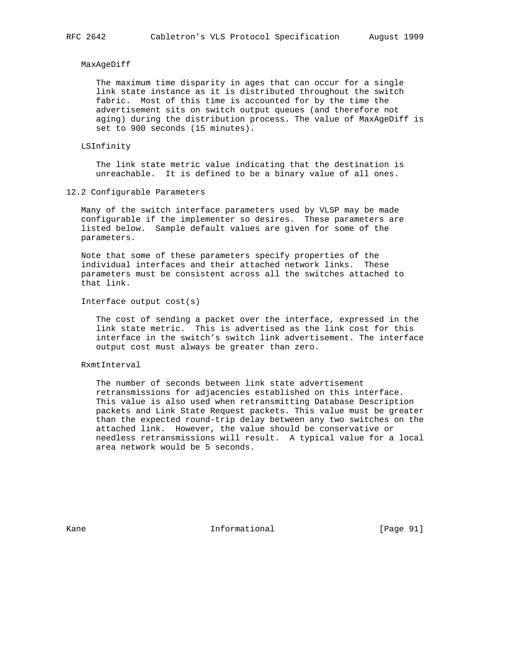#### MaxAgeDiff

 The maximum time disparity in ages that can occur for a single link state instance as it is distributed throughout the switch fabric. Most of this time is accounted for by the time the advertisement sits on switch output queues (and therefore not aging) during the distribution process. The value of MaxAgeDiff is set to 900 seconds (15 minutes).

## LSInfinity

 The link state metric value indicating that the destination is unreachable. It is defined to be a binary value of all ones.

12.2 Configurable Parameters

 Many of the switch interface parameters used by VLSP may be made configurable if the implementer so desires. These parameters are listed below. Sample default values are given for some of the parameters.

 Note that some of these parameters specify properties of the individual interfaces and their attached network links. These parameters must be consistent across all the switches attached to that link.

Interface output cost(s)

 The cost of sending a packet over the interface, expressed in the link state metric. This is advertised as the link cost for this interface in the switch's switch link advertisement. The interface output cost must always be greater than zero.

## RxmtInterval

 The number of seconds between link state advertisement retransmissions for adjacencies established on this interface. This value is also used when retransmitting Database Description packets and Link State Request packets. This value must be greater than the expected round-trip delay between any two switches on the attached link. However, the value should be conservative or needless retransmissions will result. A typical value for a local area network would be 5 seconds.

Kane **Informational Informational** [Page 91]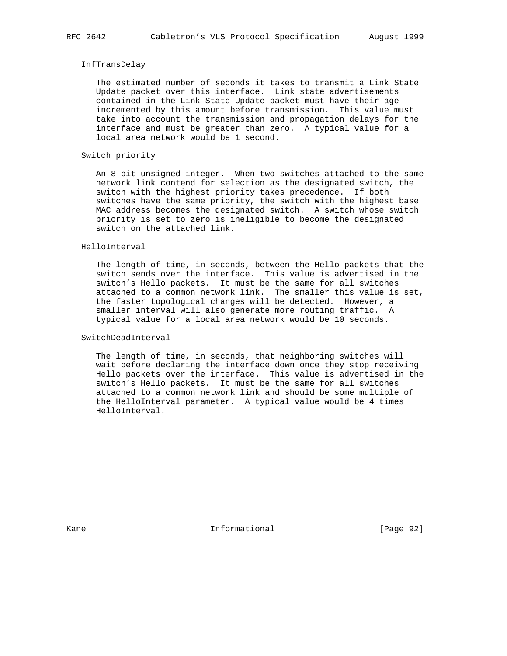## InfTransDelay

 The estimated number of seconds it takes to transmit a Link State Update packet over this interface. Link state advertisements contained in the Link State Update packet must have their age incremented by this amount before transmission. This value must take into account the transmission and propagation delays for the interface and must be greater than zero. A typical value for a local area network would be 1 second.

## Switch priority

 An 8-bit unsigned integer. When two switches attached to the same network link contend for selection as the designated switch, the switch with the highest priority takes precedence. If both switches have the same priority, the switch with the highest base MAC address becomes the designated switch. A switch whose switch priority is set to zero is ineligible to become the designated switch on the attached link.

#### HelloInterval

 The length of time, in seconds, between the Hello packets that the switch sends over the interface. This value is advertised in the switch's Hello packets. It must be the same for all switches attached to a common network link. The smaller this value is set, the faster topological changes will be detected. However, a smaller interval will also generate more routing traffic. A typical value for a local area network would be 10 seconds.

SwitchDeadInterval

 The length of time, in seconds, that neighboring switches will wait before declaring the interface down once they stop receiving Hello packets over the interface. This value is advertised in the switch's Hello packets. It must be the same for all switches attached to a common network link and should be some multiple of the HelloInterval parameter. A typical value would be 4 times HelloInterval.

Kane **Informational Informational** [Page 92]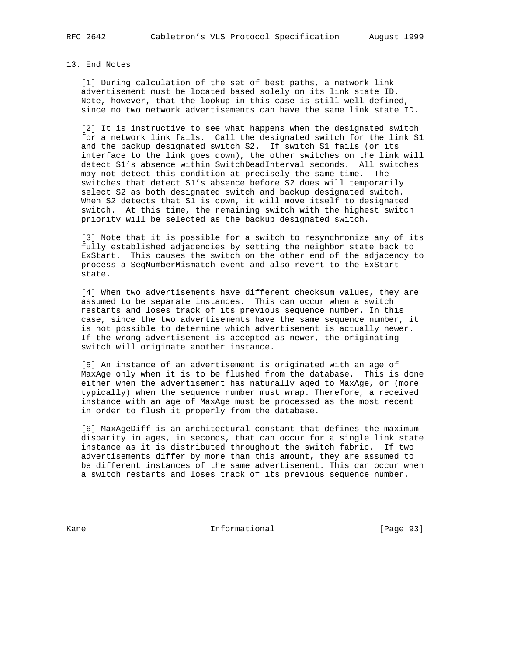#### 13. End Notes

 [1] During calculation of the set of best paths, a network link advertisement must be located based solely on its link state ID. Note, however, that the lookup in this case is still well defined, since no two network advertisements can have the same link state ID.

[2] It is instructive to see what happens when the designated switch for a network link fails. Call the designated switch for the link S1 and the backup designated switch S2. If switch S1 fails (or its interface to the link goes down), the other switches on the link will detect S1's absence within SwitchDeadInterval seconds. All switches may not detect this condition at precisely the same time. The switches that detect S1's absence before S2 does will temporarily select S2 as both designated switch and backup designated switch. When S2 detects that S1 is down, it will move itself to designated switch. At this time, the remaining switch with the highest switch priority will be selected as the backup designated switch.

 [3] Note that it is possible for a switch to resynchronize any of its fully established adjacencies by setting the neighbor state back to ExStart. This causes the switch on the other end of the adjacency to process a SeqNumberMismatch event and also revert to the ExStart state.

 [4] When two advertisements have different checksum values, they are assumed to be separate instances. This can occur when a switch restarts and loses track of its previous sequence number. In this case, since the two advertisements have the same sequence number, it is not possible to determine which advertisement is actually newer. If the wrong advertisement is accepted as newer, the originating switch will originate another instance.

 [5] An instance of an advertisement is originated with an age of MaxAge only when it is to be flushed from the database. This is done either when the advertisement has naturally aged to MaxAge, or (more typically) when the sequence number must wrap. Therefore, a received instance with an age of MaxAge must be processed as the most recent in order to flush it properly from the database.

 [6] MaxAgeDiff is an architectural constant that defines the maximum disparity in ages, in seconds, that can occur for a single link state instance as it is distributed throughout the switch fabric. If two advertisements differ by more than this amount, they are assumed to be different instances of the same advertisement. This can occur when a switch restarts and loses track of its previous sequence number.

Kane Informational [Page 93]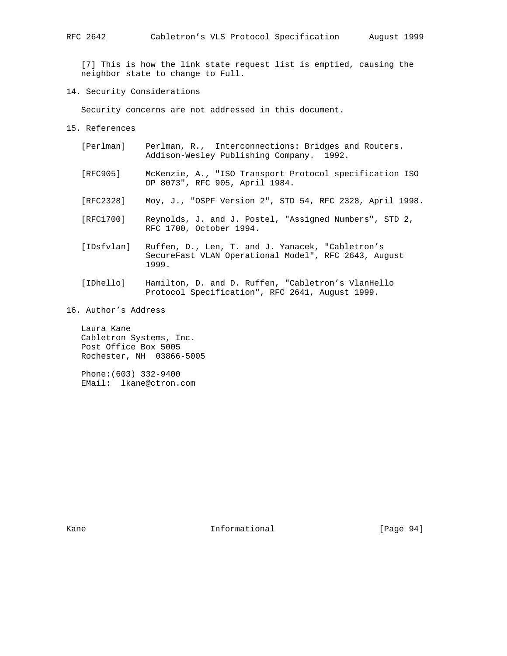[7] This is how the link state request list is emptied, causing the neighbor state to change to Full.

14. Security Considerations

Security concerns are not addressed in this document.

- 15. References
	- [Perlman] Perlman, R., Interconnections: Bridges and Routers. Addison-Wesley Publishing Company. 1992.
	- [RFC905] McKenzie, A., "ISO Transport Protocol specification ISO DP 8073", RFC 905, April 1984.
	- [RFC2328] Moy, J., "OSPF Version 2", STD 54, RFC 2328, April 1998.
	- [RFC1700] Reynolds, J. and J. Postel, "Assigned Numbers", STD 2, RFC 1700, October 1994.
	- [IDsfvlan] Ruffen, D., Len, T. and J. Yanacek, "Cabletron's SecureFast VLAN Operational Model", RFC 2643, August 1999.
	- [IDhello] Hamilton, D. and D. Ruffen, "Cabletron's VlanHello Protocol Specification", RFC 2641, August 1999.
- 16. Author's Address

 Laura Kane Cabletron Systems, Inc. Post Office Box 5005 Rochester, NH 03866-5005

 Phone:(603) 332-9400 EMail: lkane@ctron.com

Kane **Informational Informational** [Page 94]